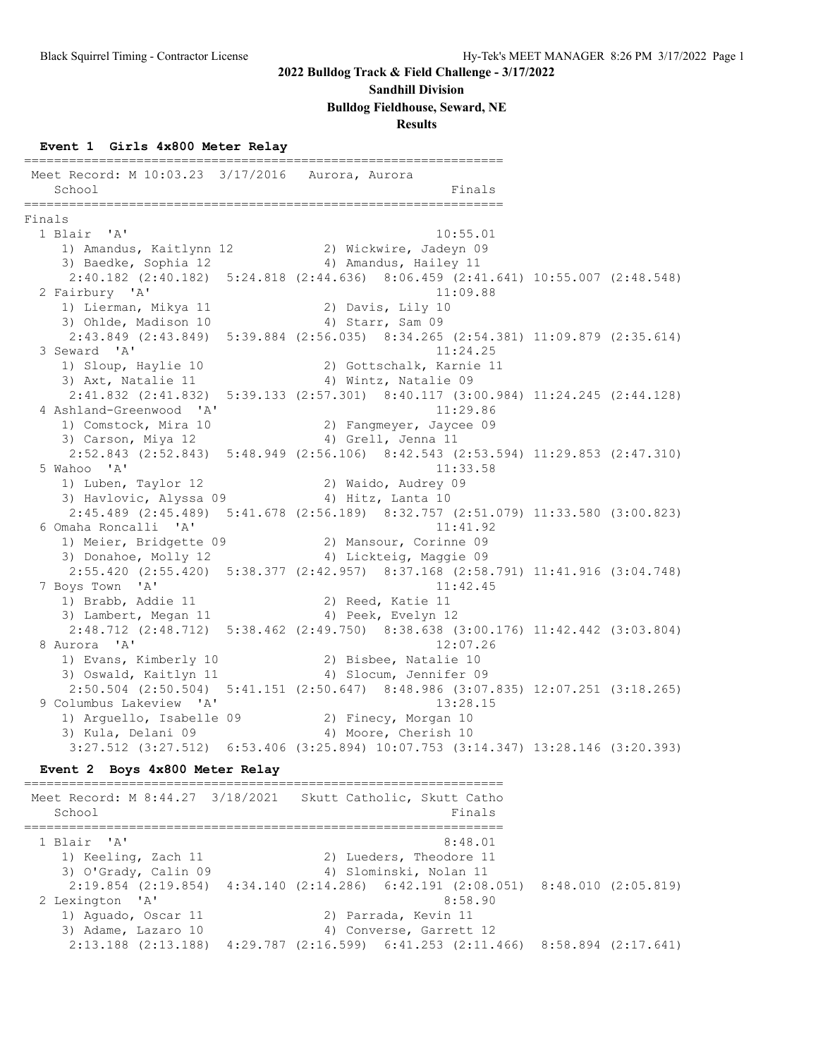#### **Sandhill Division**

**Bulldog Fieldhouse, Seward, NE**

**Results**

#### **Event 1 Girls 4x800 Meter Relay**

================================================================ Meet Record: M 10:03.23 3/17/2016 Aurora, Aurora School Finals ================================================================ Finals<br>1 Blair 'A' 1 Blair 'A' 10:55.01 1) Amandus, Kaitlynn 12 2) Wickwire, Jadeyn 09 3) Baedke, Sophia 12 4) Amandus, Hailey 11 2:40.182 (2:40.182) 5:24.818 (2:44.636) 8:06.459 (2:41.641) 10:55.007 (2:48.548) 2 Fairbury 'A' 11:09.88 1) Lierman, Mikya 11 2) Davis, Lily 10 3) Ohlde, Madison 10 4) Starr, Sam 09 2:43.849 (2:43.849) 5:39.884 (2:56.035) 8:34.265 (2:54.381) 11:09.879 (2:35.614) 3 Seward 'A' 11:24.25 1) Sloup, Haylie 10 2) Gottschalk, Karnie 11 3) Axt, Natalie 11 4) Wintz, Natalie 09 2:41.832 (2:41.832) 5:39.133 (2:57.301) 8:40.117 (3:00.984) 11:24.245 (2:44.128) 4 Ashland-Greenwood 'A' 11:29.86 1) Comstock, Mira 10 2) Fangmeyer, Jaycee 09 3) Carson, Miya 12 (4) Grell, Jenna 11 2:52.843 (2:52.843) 5:48.949 (2:56.106) 8:42.543 (2:53.594) 11:29.853 (2:47.310) 5 Wahoo 'A' 11:33.58 1) Luben, Taylor 12 2) Waido, Audrey 09 3) Havlovic, Alyssa 09 (4) Hitz, Lanta 10 2:45.489 (2:45.489) 5:41.678 (2:56.189) 8:32.757 (2:51.079) 11:33.580 (3:00.823) 6 Omaha Roncalli 'A' 11:41.92 1) Meier, Bridgette 09 2) Mansour, Corinne 09 3) Donahoe, Molly 12 4) Lickteig, Maggie 09 2:55.420 (2:55.420) 5:38.377 (2:42.957) 8:37.168 (2:58.791) 11:41.916 (3:04.748) 7 Boys Town 'A' 11:42.45 1) Brabb, Addie 11 2) Reed, Katie 11 3) Lambert, Megan 11 4) Peek, Evelyn 12 2:48.712 (2:48.712) 5:38.462 (2:49.750) 8:38.638 (3:00.176) 11:42.442 (3:03.804) 8 Aurora 'A' 12:07.26 1) Evans, Kimberly 10 2) Bisbee, Natalie 10 3) Oswald, Kaitlyn 11 4) Slocum, Jennifer 09 2:50.504 (2:50.504) 5:41.151 (2:50.647) 8:48.986 (3:07.835) 12:07.251 (3:18.265) 9 Columbus Lakeview 'A' 13:28.15 1) Arguello, Isabelle 09 2) Finecy, Morgan 10 3) Kula, Delani 09 1988 4) Moore, Cherish 10 3:27.512 (3:27.512) 6:53.406 (3:25.894) 10:07.753 (3:14.347) 13:28.146 (3:20.393) **Event 2 Boys 4x800 Meter Relay** ================================================================ Meet Record: M 8:44.27 3/18/2021 Skutt Catholic, Skutt Catho School Finals ================================================================ 1 Blair 'A' 8:48.01 1) Keeling, Zach 11 2) Lueders, Theodore 11 3) O'Grady, Calin 09 4) Slominski, Nolan 11 2:19.854 (2:19.854) 4:34.140 (2:14.286) 6:42.191 (2:08.051) 8:48.010 (2:05.819) 2 Lexington 'A' 8:58.90 1) Aguado, Oscar 11 120 2) Parrada, Kevin 11

 3) Adame, Lazaro 10 4) Converse, Garrett 12 2:13.188 (2:13.188) 4:29.787 (2:16.599) 6:41.253 (2:11.466) 8:58.894 (2:17.641)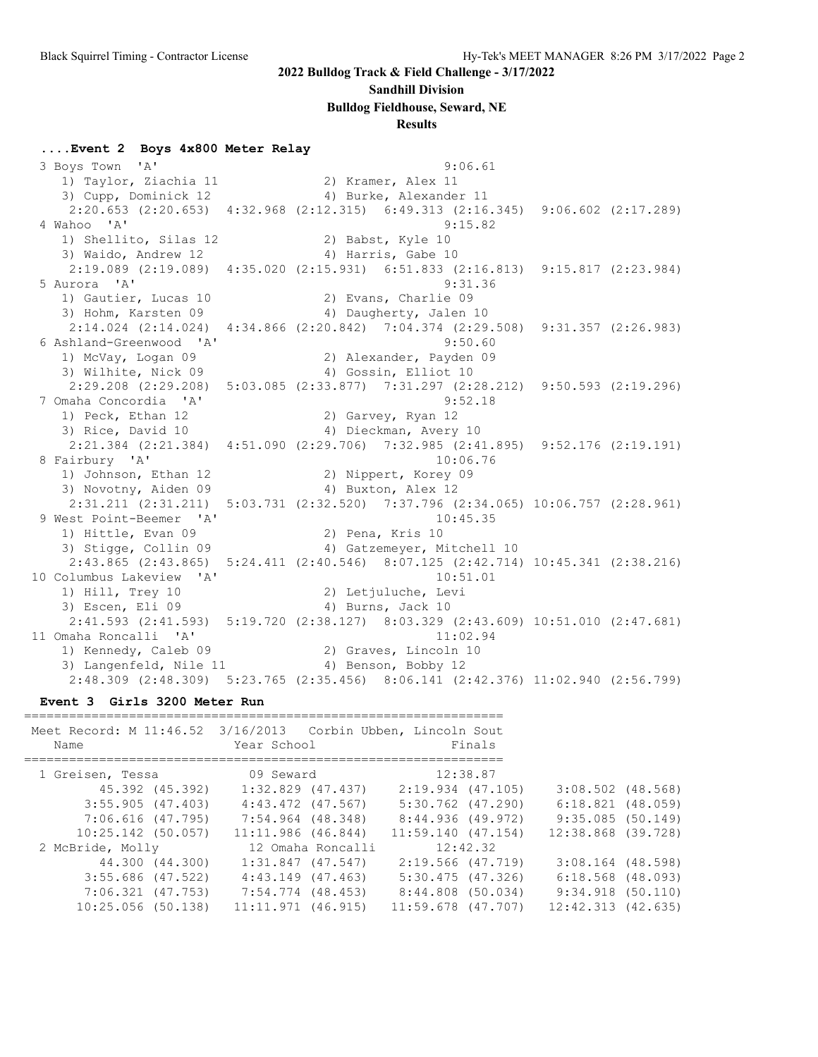#### **Sandhill Division**

**Bulldog Fieldhouse, Seward, NE**

#### **Results**

#### **....Event 2 Boys 4x800 Meter Relay**

 3 Boys Town 'A' 9:06.61 1) Taylor, Ziachia 11 and 2) Kramer, Alex 11 3) Cupp, Dominick 12 4) Burke, Alexander 11 2:20.653 (2:20.653) 4:32.968 (2:12.315) 6:49.313 (2:16.345) 9:06.602 (2:17.289) 4 Wahoo 'A' 9:15.82 1) Shellito, Silas 12 2) Babst, Kyle 10 3) Waido, Andrew 12 4) Harris, Gabe 10 2:19.089 (2:19.089) 4:35.020 (2:15.931) 6:51.833 (2:16.813) 9:15.817 (2:23.984) 5 Aurora 'A' 9:31.36 1) Gautier, Lucas 10 (2) Evans, Charlie 09 3) Hohm, Karsten 09 4) Daugherty, Jalen 10 2:14.024 (2:14.024) 4:34.866 (2:20.842) 7:04.374 (2:29.508) 9:31.357 (2:26.983) 6 Ashland-Greenwood 'A' 9:50.60 1) McVay, Logan 09 2) Alexander, Payden 09 3) Wilhite, Nick 09 4) Gossin, Elliot 10 2:29.208 (2:29.208) 5:03.085 (2:33.877) 7:31.297 (2:28.212) 9:50.593 (2:19.296) 7 Omaha Concordia 'A' 9:52.18 1) Peck, Ethan 12 2) Garvey, Ryan 12 3) Rice, David 10 4) Dieckman, Avery 10 2:21.384 (2:21.384) 4:51.090 (2:29.706) 7:32.985 (2:41.895) 9:52.176 (2:19.191) 8 Fairbury 'A' 10:06.76 1) Johnson, Ethan 12 2) Nippert, Korey 09 3) Novotny, Aiden 09 4) Buxton, Alex 12 2:31.211 (2:31.211) 5:03.731 (2:32.520) 7:37.796 (2:34.065) 10:06.757 (2:28.961) 9 West Point-Beemer 'A' 10:45.35<br>1) Hittle, Evan 09 2) Pena, Kris 10 1) Hittle, Evan 09 2) Pena, Kris 10 3) Stigge, Collin 09 4) Gatzemeyer, Mitchell 10 2:43.865 (2:43.865) 5:24.411 (2:40.546) 8:07.125 (2:42.714) 10:45.341 (2:38.216) 10 Columbus Lakeview 'A' 10:51.01 1) Hill, Trey 10 2) Letjuluche, Levi 3) Escen, Eli 09 4) Burns, Jack 10 2:41.593 (2:41.593) 5:19.720 (2:38.127) 8:03.329 (2:43.609) 10:51.010 (2:47.681) 11 Omaha Roncalli 'A' 11:02.94 1) Kennedy, Caleb 09 2) Graves, Lincoln 10 3) Langenfeld, Nile 11 (4) Benson, Bobby 12 2:48.309 (2:48.309) 5:23.765 (2:35.456) 8:06.141 (2:42.376) 11:02.940 (2:56.799)

**Event 3 Girls 3200 Meter Run**

| Meet Record: M 11:46.52 3/16/2013 Corbin Ubben, Lincoln Sout<br>Name | Year School           |                   |                        | Finals   |                        |  |
|----------------------------------------------------------------------|-----------------------|-------------------|------------------------|----------|------------------------|--|
| 1 Greisen, Tessa                                                     | 09 Seward             |                   |                        | 12:38.87 |                        |  |
| 45.392 (45.392)                                                      | $1:32.829$ $(47.437)$ |                   | $2:19.934$ (47.105)    |          | $3:08.502$ (48.568)    |  |
| 3:55.905(47.403)                                                     | 4:43.472 (47.567)     |                   | $5:30.762$ (47.290)    |          | $6:18.821$ $(48.059)$  |  |
| 7:06.616 (47.795)                                                    | 7:54.964 (48.348)     |                   | 8:44.936 (49.972)      |          | 9:35.085(50.149)       |  |
| $10:25.142$ (50.057)                                                 | $11:11.986$ (46.844)  |                   | $11:59.140$ (47.154)   |          | 12:38.868 (39.728)     |  |
| 2 McBride, Molly                                                     |                       | 12 Omaha Roncalli |                        | 12:42.32 |                        |  |
| 44.300 (44.300)                                                      | $1:31.847$ $(47.547)$ |                   | 2:19.566 (47.719)      |          | $3:08.164$ (48.598)    |  |
| $3:55.686$ (47.522)                                                  | $4:43.149$ $(47.463)$ |                   | $5:30.475$ $(47.326)$  |          | $6:18.568$ $(48.093)$  |  |
| $7:06.321$ $(47.753)$                                                | 7:54.774 (48.453)     |                   | $8:44.808$ (50.034)    |          | $9:34.918$ (50.110)    |  |
| $10:25.056$ (50.138)                                                 | $11:11.971$ (46.915)  |                   | $11:59.678$ $(47.707)$ |          | $12:42.313$ $(42.635)$ |  |
|                                                                      |                       |                   |                        |          |                        |  |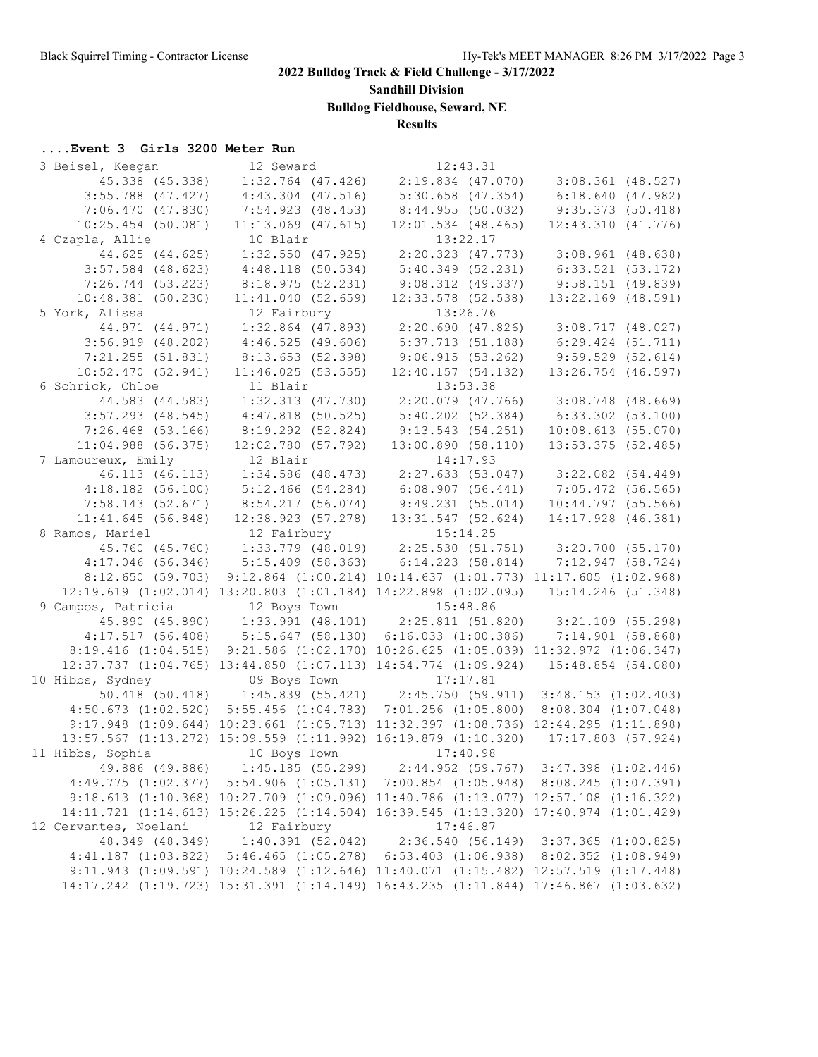**Sandhill Division**

**Bulldog Fieldhouse, Seward, NE**

## **Results**

### **....Event 3 Girls 3200 Meter Run**

| 3 Beisel, Keegan      | 12 Seward                                                                           | 12:43.31                                                        |                                                                                |
|-----------------------|-------------------------------------------------------------------------------------|-----------------------------------------------------------------|--------------------------------------------------------------------------------|
| 45.338 (45.338)       | $1:32.764$ $(47.426)$                                                               | $2:19.834$ $(47.070)$                                           | $3:08.361$ (48.527)                                                            |
| $3:55.788$ (47.427)   | $4:43.304$ $(47.516)$                                                               | $5:30.658$ $(47.354)$                                           | 6:18.640(47.982)                                                               |
| 7:06.470(47.830)      | 7:54.923(48.453)                                                                    | 8:44.955(50.032)                                                | 9:35.373(50.418)                                                               |
| $10:25.454$ (50.081)  | $11:13.069$ (47.615)                                                                | $12:01.534$ (48.465)                                            | 12:43.310(41.776)                                                              |
| 4 Czapla, Allie       | 10 Blair                                                                            | 13:22.17                                                        |                                                                                |
| 44.625 (44.625)       | $1:32.550$ (47.925)                                                                 |                                                                 | $2:20.323$ (47.773) 3:08.961 (48.638)                                          |
| $3:57.584$ (48.623)   | 4:48.118(50.534)                                                                    |                                                                 | $5:40.349$ (52.231) 6:33.521 (53.172)                                          |
| $7:26.744$ (53.223)   | 8:18.975(52.231)                                                                    | 9:08.312(49.337)                                                | $9:58.151$ (49.839)                                                            |
| $10:48.381$ (50.230)  | 11:41.040(52.659)                                                                   | $12:33.578$ (52.538)                                            | 13:22.169 (48.591)                                                             |
| 5 York, Alissa        | 12 Fairbury                                                                         | 13:26.76                                                        |                                                                                |
| 44.971 (44.971)       | 1:32.864 (47.893)                                                                   |                                                                 | $2:20.690$ (47.826) 3:08.717 (48.027)                                          |
| $3:56.919$ (48.202)   | 4:46.525(49.606)                                                                    |                                                                 | $5:37.713$ (51.188) 6:29.424 (51.711)                                          |
| 7:21.255(51.831)      | 8:13.653(52.398)                                                                    |                                                                 | $9:06.915(53.262)$ $9:59.529(52.614)$                                          |
| 10:52.470(52.941)     | 11:46.025(53.555)                                                                   | 12:40.157(54.132)                                               | $13:26.754$ (46.597)                                                           |
| 6 Schrick, Chloe      | 11 Blair                                                                            | 13:53.38                                                        |                                                                                |
| 44.583 (44.583)       | $1:32.313$ (47.730)                                                                 |                                                                 | $2:20.079$ (47.766) 3:08.748 (48.669)                                          |
| $3:57.293$ (48.545)   | $4:47.818$ (50.525)                                                                 | 5:40.202 (52.384)                                               | $6:33.302$ $(53.100)$                                                          |
| $7:26.468$ (53.166)   | $8:19.292$ (52.824)                                                                 | 9:13.543(54.251)                                                | 10:08.613(55.070)                                                              |
| $11:04.988$ (56.375)  | 12:02.780(57.792)                                                                   | 13:00.890(58.110)                                               | $13:53.375$ (52.485)                                                           |
| 7 Lamoureux, Emily    | 12 Blair                                                                            | 14:17.93                                                        |                                                                                |
| 46.113 (46.113)       | 1:34.586 (48.473)                                                                   |                                                                 |                                                                                |
| $4:18.182$ (56.100)   | 5:12.466(54.284)                                                                    |                                                                 | 2:27.633 (53.047)   3:22.082 (54.449)<br>6:08.907 (56.441)   7:05.472 (56.565) |
|                       | $7:58.143$ (52.671) $8:54.217$ (56.074)                                             | 9:49.231(55.014)                                                | 10:44.797(55.566)                                                              |
| 11:41.645(56.848)     | $12:38.923$ (57.278)                                                                | $13:31.547$ (52.624)                                            | 14:17.928 (46.381)                                                             |
| 8 Ramos, Mariel       | 12 Fairbury                                                                         | 15:14.25                                                        |                                                                                |
|                       | 45.760 (45.760) 1:33.779 (48.019) 2:25.530 (51.751) 3:20.700 (55.170)               |                                                                 |                                                                                |
| $4:17.046$ (56.346)   | 5:15.409 (58.363) 6:14.223 (58.814) 7:12.947 (58.724)                               |                                                                 |                                                                                |
| 8:12.650(59.703)      |                                                                                     | 9:12.864 (1:00.214) 10:14.637 (1:01.773) 11:17.605 (1:02.968)   |                                                                                |
|                       | 12:19.619 (1:02.014) 13:20.803 (1:01.184) 14:22.898 (1:02.095) 15:14.246 (51.348)   |                                                                 |                                                                                |
| 9 Campos, Patricia    | 12 Boys Town                                                                        | 15:48.86                                                        |                                                                                |
|                       | 45.890 (45.890) 1:33.991 (48.101) 2:25.811 (51.820) 3:21.109 (55.298)               |                                                                 |                                                                                |
|                       | $4:17.517$ (56.408) $5:15.647$ (58.130) 6:16.033 (1:00.386)                         |                                                                 | 7:14.901(58.868)                                                               |
| 8:19.416(1:04.515)    |                                                                                     | $9:21.586$ (1:02.170) 10:26.625 (1:05.039) 11:32.972 (1:06.347) |                                                                                |
|                       | 12:37.737 (1:04.765) 13:44.850 (1:07.113) 14:54.774 (1:09.924)                      |                                                                 | 15:48.854 (54.080)                                                             |
| 10 Hibbs, Sydney      | 09 Boys Town                                                                        | 17:17.81                                                        |                                                                                |
|                       | $50.418$ (50.418) 1:45.839 (55.421) 2:45.750 (59.911) 3:48.153 (1:02.403)           |                                                                 |                                                                                |
|                       | $4:50.673$ (1:02.520) 5:55.456 (1:04.783) 7:01.256 (1:05.800)                       |                                                                 | $8:08.304$ $(1:07.048)$                                                        |
|                       | 9:17.948 (1:09.644) 10:23.661 (1:05.713) 11:32.397 (1:08.736) 12:44.295 (1:11.898)  |                                                                 |                                                                                |
|                       | 13:57.567 (1:13.272) 15:09.559 (1:11.992) 16:19.879 (1:10.320) 17:17.803 (57.924)   |                                                                 |                                                                                |
| 11 Hibbs, Sophia      | 10 Boys Town                                                                        | 17:40.98                                                        |                                                                                |
| 49.886 (49.886)       | 1:45.185(55.299)                                                                    |                                                                 | $2:44.952$ (59.767) $3:47.398$ (1:02.446)                                      |
|                       | 4:49.775 (1:02.377) 5:54.906 (1:05.131) 7:00.854 (1:05.948) 8:08.245 (1:07.391)     |                                                                 |                                                                                |
|                       | 9:18.613 (1:10.368) 10:27.709 (1:09.096) 11:40.786 (1:13.077) 12:57.108 (1:16.322)  |                                                                 |                                                                                |
|                       | 14:11.721 (1:14.613) 15:26.225 (1:14.504) 16:39.545 (1:13.320) 17:40.974 (1:01.429) |                                                                 |                                                                                |
| 12 Cervantes, Noelani | 12 Fairbury                                                                         | 17:46.87                                                        |                                                                                |
| 48.349 (48.349)       |                                                                                     | $1:40.391$ (52.042) 2:36.540 (56.149) 3:37.365 (1:00.825)       |                                                                                |
|                       | 4:41.187 (1:03.822) 5:46.465 (1:05.278) 6:53.403 (1:06.938) 8:02.352 (1:08.949)     |                                                                 |                                                                                |
|                       | 9:11.943 (1:09.591) 10:24.589 (1:12.646) 11:40.071 (1:15.482) 12:57.519 (1:17.448)  |                                                                 |                                                                                |
|                       | 14:17.242 (1:19.723) 15:31.391 (1:14.149) 16:43.235 (1:11.844) 17:46.867 (1:03.632) |                                                                 |                                                                                |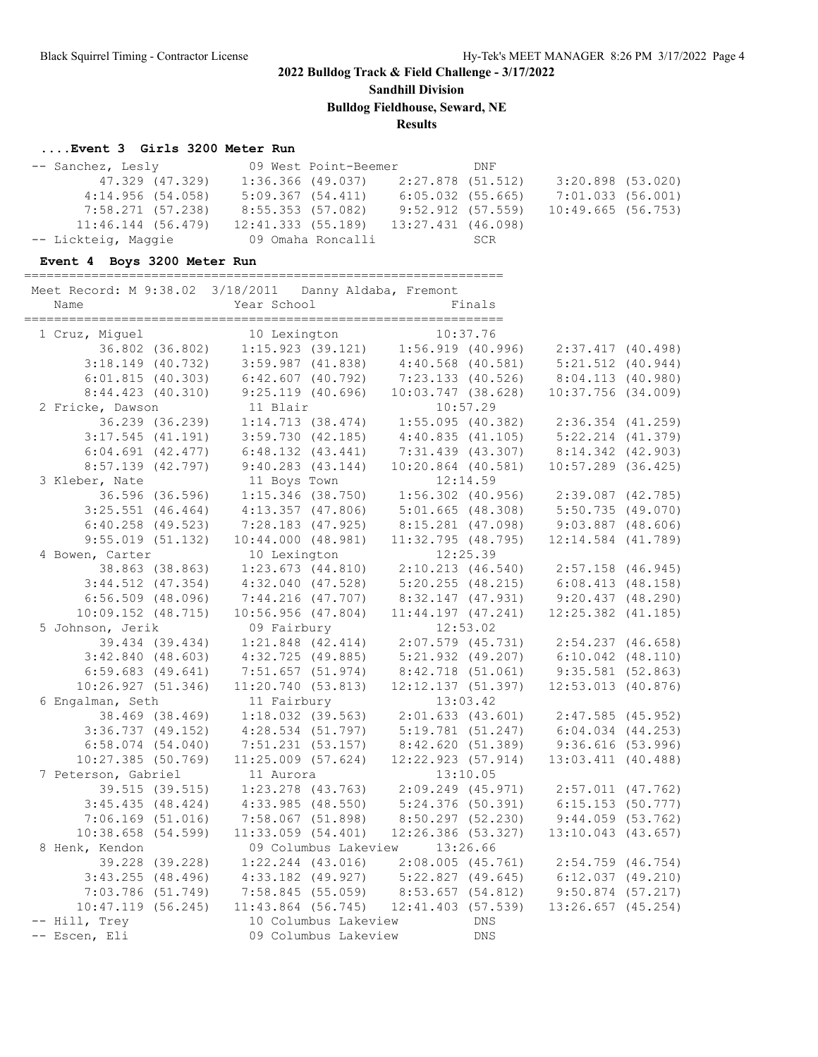**Sandhill Division**

**Bulldog Fieldhouse, Seward, NE**

**Results**

### **....Event 3 Girls 3200 Meter Run**

| -- Sanchez, Lesly    |                   | 09 West Point-Beemer |                       | DNF |                   |  |
|----------------------|-------------------|----------------------|-----------------------|-----|-------------------|--|
| 47.329 (47.329)      |                   | $1:36.366$ (49.037)  | 2:27.878 (51.512)     |     | 3:20.898 (53.020) |  |
| 4:14.956(54.058)     |                   | 5:09.367(54.411)     | $6:05.032$ $(55.665)$ |     | 7:01.033 (56.001) |  |
| 7:58.271 (57.238)    |                   | 8:55.353 (57.082)    | $9:52.912$ (57.559)   |     | 10:49.665(56.753) |  |
| $11:46.144$ (56.479) | 12:41.333(55.189) |                      | 13:27.431 (46.098)    |     |                   |  |
| -- Lickteig, Maggie  |                   |                      |                       |     |                   |  |

### **Event 4 Boys 3200 Meter Run**

================================================================

| Meet Record: M 9:38.02 3/18/2011 Danny Aldaba, Fremont |                                                             |                                                             |                        |            |                                         |  |
|--------------------------------------------------------|-------------------------------------------------------------|-------------------------------------------------------------|------------------------|------------|-----------------------------------------|--|
| Name                                                   | Year School                                                 |                                                             |                        | Finals     |                                         |  |
|                                                        |                                                             |                                                             |                        |            |                                         |  |
| 1 Cruz, Miguel                                         | 10 Lexington                                                |                                                             |                        | 10:37.76   |                                         |  |
| 36.802 (36.802)                                        |                                                             | $3:59.987$ (41.838) $4:40.568$ (40.581)                     |                        |            | 2:37.417 (40.498)                       |  |
| $3:18.149$ (40.732)                                    |                                                             |                                                             |                        |            | 5:21.512 (40.944)                       |  |
| 6:01.815(40.303)                                       | 6:42.607(40.792)                                            |                                                             | $7:23.133$ (40.526)    |            | 8:04.113 (40.980)                       |  |
| 8:44.423(40.310)                                       |                                                             | $9:25.119$ (40.696)                                         | $10:03.747$ (38.628)   |            | $10:37.756$ $(34.009)$                  |  |
| 2 Fricke, Dawson                                       | 11 Blair                                                    |                                                             |                        | 10:57.29   |                                         |  |
| 36.239 (36.239)                                        |                                                             | $1:14.713$ (38.474) $1:55.095$ (40.382)                     |                        |            | 2:36.354 (41.259)                       |  |
| $3:17.545$ (41.191)                                    | 3:59.730(42.185)                                            |                                                             | 4:40.835(41.105)       |            | 5:22.214 (41.379)                       |  |
| $6:04.691$ $(42.477)$                                  | $6:48.132$ $(43.441)$                                       |                                                             | 7:31.439 (43.307)      |            | 8:14.342 (42.903)                       |  |
| $8:57.139$ $(42.797)$                                  | $9:40.283$ $(43.144)$                                       |                                                             | $10:20.864$ (40.581)   |            | $10:57.289$ (36.425)                    |  |
| 3 Kleber, Nate                                         | 11 Boys Town                                                |                                                             |                        | 12:14.59   |                                         |  |
| 36.596 (36.596)                                        |                                                             | $1:15.346$ (38.750)                                         |                        |            | $1:56.302$ (40.956) $2:39.087$ (42.785) |  |
| $3:25.551$ (46.464)                                    | $4:13.357$ (47.806)                                         |                                                             | 5:01.665(48.308)       |            | 5:50.735(49.070)                        |  |
| $6:40.258$ (49.523)                                    | $7:28.183$ (47.925)                                         |                                                             | 8:15.281 (47.098)      |            | $9:03.887$ $(48.606)$                   |  |
| 9:55.019(51.132)                                       | 10:44.000(48.981)                                           |                                                             | $11:32.795$ (48.795)   |            | $12:14.584$ $(41.789)$                  |  |
| 4 Bowen, Carter                                        | 10 Lexington                                                |                                                             |                        | 12:25.39   |                                         |  |
| 38.863 (38.863)                                        | $1:23.673$ (44.810) $2:10.213$ (46.540) $2:57.158$ (46.945) |                                                             |                        |            |                                         |  |
| $3:44.512$ (47.354)                                    | $4:32.040$ $(47.528)$                                       |                                                             | 5:20.255(48.215)       |            | 6:08.413(48.158)                        |  |
| $6:56.509$ (48.096)                                    | 7:44.216 (47.707)                                           |                                                             | 8:32.147 (47.931)      |            | 9:20.437(48.290)                        |  |
| $10:09.152$ $(48.715)$                                 | 10:56.956(47.804)                                           |                                                             | $11:44.197$ $(47.241)$ |            | $12:25.382$ $(41.185)$                  |  |
| 5 Johnson, Jerik                                       | 09 Fairbury                                                 |                                                             |                        | 12:53.02   |                                         |  |
| 39.434 (39.434)                                        |                                                             | $1:21.848$ $(42.414)$                                       |                        |            | 2:07.579 (45.731) 2:54.237 (46.658)     |  |
| $3:42.840$ (48.603)                                    | $4:32.725$ (49.885)                                         |                                                             |                        |            | $5:21.932$ (49.207) 6:10.042 (48.110)   |  |
| $6:59.683$ $(49.641)$                                  | 7:51.657 (51.974)                                           |                                                             |                        |            | 8:42.718 (51.061) 9:35.581 (52.863)     |  |
| 10:26.927(51.346)                                      | 11:20.740 (53.813)                                          |                                                             | 12:12.137 (51.397)     |            | 12:53.013 (40.876)                      |  |
| 6 Engalman, Seth                                       | 11 Fairbury                                                 |                                                             |                        | 13:03.42   |                                         |  |
| 38.469 (38.469)                                        | $1:18.032$ (39.563)                                         |                                                             |                        |            | 2:01.633 (43.601) 2:47.585 (45.952)     |  |
| $3:36.737$ (49.152)                                    |                                                             | $4:28.534$ (51.797)                                         |                        |            | 5:19.781 (51.247) 6:04.034 (44.253)     |  |
| $6:58.074$ $(54.040)$                                  |                                                             | 7:51.231 (53.157) 8:42.620 (51.389) 9:36.616 (53.996)       |                        |            |                                         |  |
| $10:27.385$ (50.769)                                   | $11:25.009$ (57.624)                                        |                                                             | $12:22.923$ (57.914)   |            | 13:03.411 (40.488)                      |  |
| 7 Peterson, Gabriel                                    | 11 Aurora                                                   |                                                             |                        | 13:10.05   |                                         |  |
| 39.515 (39.515)                                        |                                                             | $1:23.278$ (43.763) $2:09.249$ (45.971) $2:57.011$ (47.762) |                        |            |                                         |  |
| 3:45.435(48.424)                                       | 4:33.985(48.550)                                            |                                                             | 5:24.376(50.391)       |            | 6:15.153 (50.777)                       |  |
| $7:06.169$ (51.016)                                    | 7:58.067 (51.898)                                           |                                                             | 8:50.297 (52.230)      |            | 9:44.059(53.762)                        |  |
| 10:38.658(54.599)                                      | $11:33.059$ (54.401)                                        |                                                             | $12:26.386$ (53.327)   |            | 13:10.043 (43.657)                      |  |
| 8 Henk, Kendon                                         |                                                             | 09 Columbus Lakeview 13:26.66                               |                        |            |                                         |  |
| 39.228 (39.228)                                        |                                                             | $1:22.244$ (43.016) $2:08.005$ (45.761) $2:54.759$ (46.754) |                        |            |                                         |  |
| $3:43.255$ (48.496)                                    | $4:33.182$ (49.927) $5:22.827$ (49.645) $6:12.037$ (49.210) |                                                             |                        |            |                                         |  |
| $7:03.786$ (51.749)                                    |                                                             | 7:58.845 (55.059) 8:53.657 (54.812)                         |                        |            | $9:50.874$ (57.217)                     |  |
| 10:47.119(56.245)                                      |                                                             | $11:43.864$ (56.745) $12:41.403$ (57.539)                   |                        |            | $13:26.657$ (45.254)                    |  |
| -- Hill, Trey                                          |                                                             | 10 Columbus Lakeview                                        |                        | <b>DNS</b> |                                         |  |
| -- Escen, Eli                                          |                                                             | 09 Columbus Lakeview                                        |                        | <b>DNS</b> |                                         |  |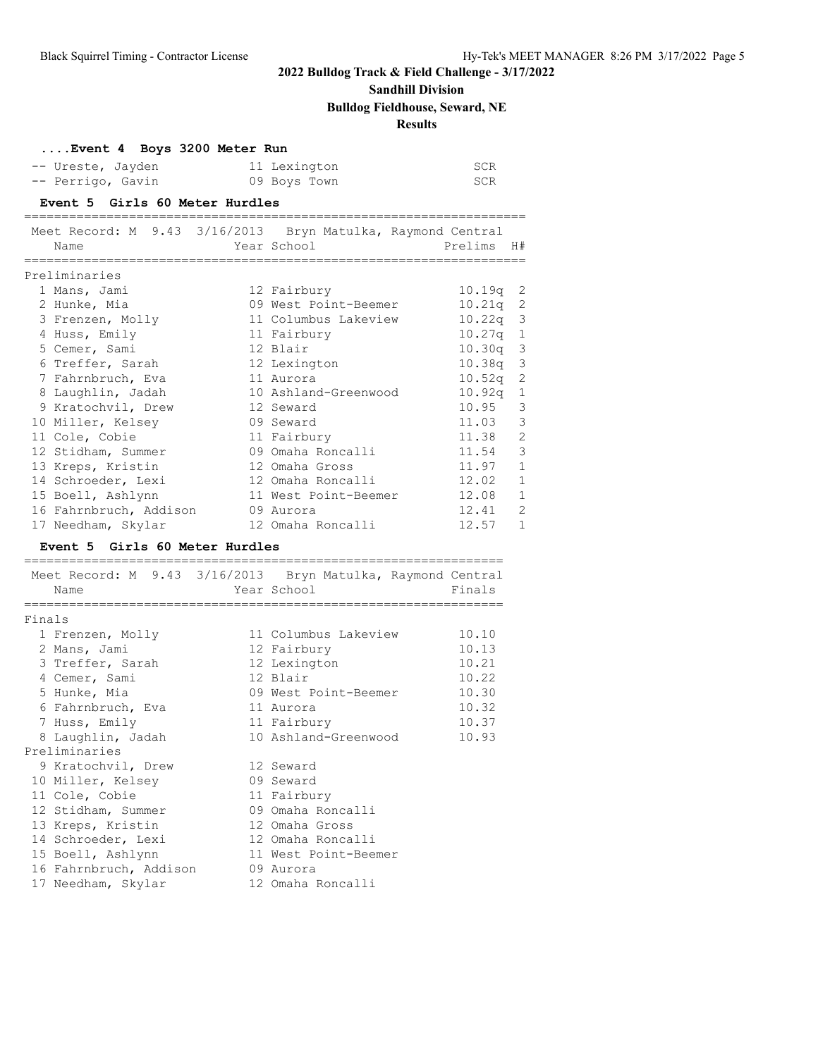# **Sandhill Division**

## **Bulldog Fieldhouse, Seward, NE**

## **Results**

|        | Event 4 Boys 3200 Meter Run                                         |                               |                                    |
|--------|---------------------------------------------------------------------|-------------------------------|------------------------------------|
|        | -- Ureste, Jayden                                                   | 11 Lexington                  | SCR                                |
|        | -- Perrigo, Gavin                                                   | 09 Boys Town                  | <b>SCR</b>                         |
|        | Event 5 Girls 60 Meter Hurdles<br>______________________________    |                               |                                    |
|        | Meet Record: M 9.43 3/16/2013 Bryn Matulka, Raymond Central         |                               |                                    |
|        | Name                                                                | Year School                   | Prelims H#                         |
|        | ================<br>Preliminaries                                   | ===================           |                                    |
|        | 1 Mans, Jami                                                        | 12 Fairbury                   | $10.19q$ 2                         |
|        | 2 Hunke, Mia                                                        | 09 West Point-Beemer          | $\overline{\phantom{2}}$<br>10.21q |
|        | 3 Frenzen, Molly                                                    | 11 Columbus Lakeview          | $\mathcal{S}$<br>10.22q            |
|        | 4 Huss, Emily                                                       | 11 Fairbury                   | 10.27q<br>$\mathbf{1}$             |
|        | 5 Cemer, Sami                                                       | 12 Blair                      | 3<br>10.30q                        |
|        | 6 Treffer, Sarah                                                    | 12 Lexington                  | 3<br>10.38q                        |
|        | 7 Fahrnbruch, Eva                                                   | 11 Aurora                     | $\overline{c}$<br>10.52q           |
|        | 8 Laughlin, Jadah                                                   | 10 Ashland-Greenwood          | $\mathbf{1}$<br>10.92q             |
|        | 9 Kratochvil, Drew                                                  | 12 Seward                     | 3<br>10.95                         |
|        | 10 Miller, Kelsey                                                   | 09 Seward                     | 11.03<br>3                         |
|        | 11 Cole, Cobie                                                      | 11 Fairbury                   | 11.38<br>$\mathbf{2}$              |
|        | 12 Stidham, Summer                                                  | 09 Omaha Roncalli             | 3<br>11.54                         |
|        | 13 Kreps, Kristin                                                   | 12 Omaha Gross                | $\mathbf{1}$<br>11.97              |
|        | 14 Schroeder, Lexi                                                  | 12 Omaha Roncalli             | $\mathbf{1}$<br>12.02              |
|        | 15 Boell, Ashlynn                                                   | 11 West Point-Beemer          | $\mathbf{1}$<br>12.08              |
|        | 16 Fahrnbruch, Addison                                              | 09 Aurora                     | 12.41<br>2                         |
|        | 17 Needham, Skylar                                                  | 12 Omaha Roncalli             | 12.57<br>1                         |
|        | Event 5 Girls 60 Meter Hurdles                                      |                               |                                    |
|        |                                                                     |                               |                                    |
|        | Meet Record: M 9.43 3/16/2013 Bryn Matulka, Raymond Central<br>Name | Year School                   | Finals                             |
|        | ============                                                        | ============================= | ============                       |
| Finals |                                                                     |                               |                                    |
|        | 1 Frenzen, Molly                                                    | 11 Columbus Lakeview          | 10.10                              |
|        | 2 Mans, Jami                                                        | 12 Fairbury                   | 10.13                              |
|        | 3 Treffer, Sarah                                                    | 12 Lexington                  | 10.21                              |
|        | 4 Cemer, Sami                                                       | 12 Blair                      | 10.22                              |
|        | 5 Hunke, Mia                                                        | 09 West Point-Beemer          | 10.30                              |
|        | 6 Fahrnbruch, Eva                                                   | 11 Aurora                     | 10.32                              |
|        | 7 Huss, Emily                                                       | 11 Fairbury                   | 10.37                              |
|        | 8 Laughlin, Jadah                                                   | 10 Ashland-Greenwood          | 10.93                              |
|        | Preliminaries                                                       |                               |                                    |
|        | 9 Kratochvil, Drew                                                  | 12 Seward                     |                                    |
|        | 10 Miller, Kelsey                                                   | 09 Seward                     |                                    |
|        | 11 Cole, Cobie                                                      | 11 Fairbury                   |                                    |
|        | 12 Stidham, Summer                                                  | 09 Omaha Roncalli             |                                    |
|        | 13 Kreps, Kristin                                                   | 12 Omaha Gross                |                                    |
|        | 14 Schroeder, Lexi                                                  | 12 Omaha Roncalli             |                                    |
|        | 15 Boell, Ashlynn                                                   | 11 West Point-Beemer          |                                    |
|        | 16 Fahrnbruch, Addison                                              | 09 Aurora                     |                                    |
|        | 17 Needham, Skylar                                                  | 12 Omaha Roncalli             |                                    |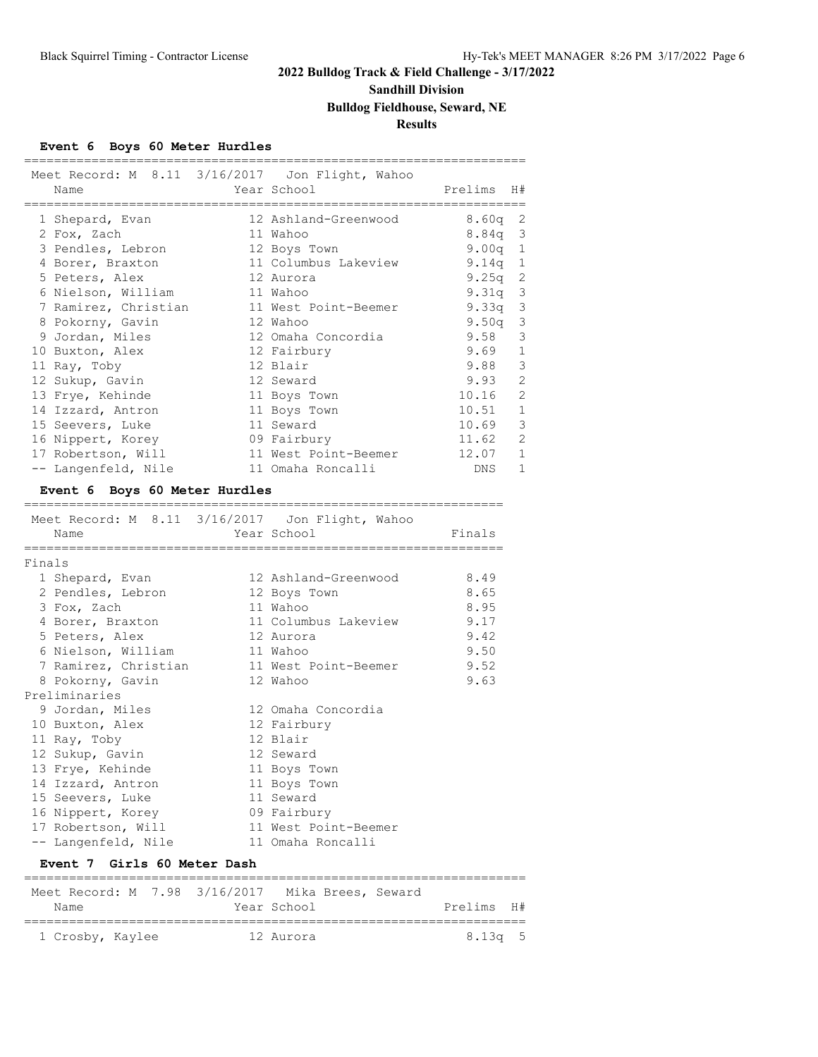# **Sandhill Division**

# **Bulldog Fieldhouse, Seward, NE**

## **Results**

### **Event 6 Boys 60 Meter Hurdles**

|        | Name<br>---------------------- |             | =====================<br>Meet Record: M 8.11 3/16/2017 Jon Flight, Wahoo<br>Year School<br>.====================== | Prelims H#<br>=================== |                |
|--------|--------------------------------|-------------|--------------------------------------------------------------------------------------------------------------------|-----------------------------------|----------------|
|        | 1 Shepard, Evan                |             | 12 Ashland-Greenwood                                                                                               | $8.60q$ 2                         |                |
|        | 2 Fox, Zach                    |             | 11 Wahoo                                                                                                           | $8.84q$ 3                         |                |
|        | 3 Pendles, Lebron              |             | 12 Boys Town                                                                                                       | 9.00 $q$ 1                        |                |
|        | 4 Borer, Braxton               |             | 11 Columbus Lakeview                                                                                               | 9.14 $q$ 1                        |                |
|        | 5 Peters, Alex                 |             | 12 Aurora                                                                                                          | 9.25q                             | 2              |
|        | 6 Nielson, William             |             | 11 Wahoo                                                                                                           | $9.31q$ 3                         |                |
|        | 7 Ramirez, Christian           |             | 11 West Point-Beemer                                                                                               | 9.33q                             | 3              |
|        | 8 Pokorny, Gavin               |             | 12 Wahoo                                                                                                           | 9.50q                             | 3              |
|        | 9 Jordan, Miles                |             | 12 Omaha Concordia                                                                                                 | 9.58                              | 3              |
|        | 10 Buxton, Alex                |             | 12 Fairbury                                                                                                        | 9.69                              | $\mathbf{1}$   |
|        | 11 Ray, Toby                   |             | 12 Blair                                                                                                           | 9.88                              | $\mathcal{E}$  |
|        | 12 Sukup, Gavin                |             | 12 Seward                                                                                                          | 9.93                              | 2              |
|        | 13 Frye, Kehinde               |             | 11 Boys Town                                                                                                       | 10.16                             | 2              |
|        | 14 Izzard, Antron              |             | 11 Boys Town                                                                                                       | $10.51$ 1                         |                |
|        | 15 Seevers, Luke               |             | 11 Seward                                                                                                          | 10.69                             | 3              |
|        | 16 Nippert, Korey              |             | 09 Fairbury                                                                                                        | 11.62                             | -2             |
|        | 17 Robertson, Will             |             | 11 West Point-Beemer                                                                                               | $12.07$ 1                         |                |
|        | -- Langenfeld, Nile            |             | 11 Omaha Roncalli                                                                                                  | DNS                               | $\overline{1}$ |
|        | Event 6 Boys 60 Meter Hurdles  |             |                                                                                                                    |                                   |                |
|        |                                |             | Meet Record: M 8.11 3/16/2017 Jon Flight, Wahoo                                                                    |                                   |                |
|        | Name                           | Year School |                                                                                                                    | Finals                            |                |
|        | ;=====================         |             |                                                                                                                    |                                   |                |
| Finals |                                |             |                                                                                                                    |                                   |                |
|        | 1 Shepard, Evan                |             | 12 Ashland-Greenwood                                                                                               | 8.49                              |                |
|        | 2 Pendles, Lebron              |             | 12 Boys Town                                                                                                       | 8.65                              |                |
|        | 3 Fox, Zach                    |             | 11 Wahoo                                                                                                           | 8.95                              |                |
|        | 4 Borer, Braxton               |             | 11 Columbus Lakeview                                                                                               | 9.17                              |                |
|        | 5 Peters, Alex                 |             | 12 Aurora                                                                                                          | 9.42                              |                |
|        | 6 Nielson, William             |             | 11 Wahoo                                                                                                           | 9.50                              |                |
|        | 7 Ramirez, Christian           |             | 11 West Point-Beemer                                                                                               | 9.52                              |                |
|        | 8 Pokorny, Gavin               |             | 12 Wahoo                                                                                                           | 9.63                              |                |
|        | Preliminaries                  |             |                                                                                                                    |                                   |                |
|        | 9 Jordan, Miles                |             | 12 Omaha Concordia                                                                                                 |                                   |                |
|        | 10 Buxton, Alex                |             | 12 Fairbury                                                                                                        |                                   |                |
|        | 11 Ray, Toby                   |             | 12 Blair                                                                                                           |                                   |                |
|        | 12 Sukup, Gavin                |             | 12 Seward                                                                                                          |                                   |                |
|        | 13 Frye, Kehinde               |             | 11 Boys Town                                                                                                       |                                   |                |
|        | 14 Izzard, Antron              |             | 11 Boys Town                                                                                                       |                                   |                |
|        | 15 Seevers, Luke               |             | 11 Seward                                                                                                          |                                   |                |
|        | 16 Nippert, Korey              |             | 09 Fairbury                                                                                                        |                                   |                |
|        | 17 Robertson, Will             |             | 11 West Point-Beemer                                                                                               |                                   |                |
|        | -- Langenfeld, Nile            |             | 11 Omaha Roncalli                                                                                                  |                                   |                |

#### **Event 7 Girls 60 Meter Dash**

|                  |  |  | Meet Record: M 7.98 3/16/2017 Mika Brees, Seward |             |  |            |  |
|------------------|--|--|--------------------------------------------------|-------------|--|------------|--|
| Name             |  |  |                                                  | Year School |  | Prelims H# |  |
|                  |  |  |                                                  |             |  |            |  |
| 1 Crosby, Kaylee |  |  |                                                  | 12 Aurora   |  | $8.13q$ 5  |  |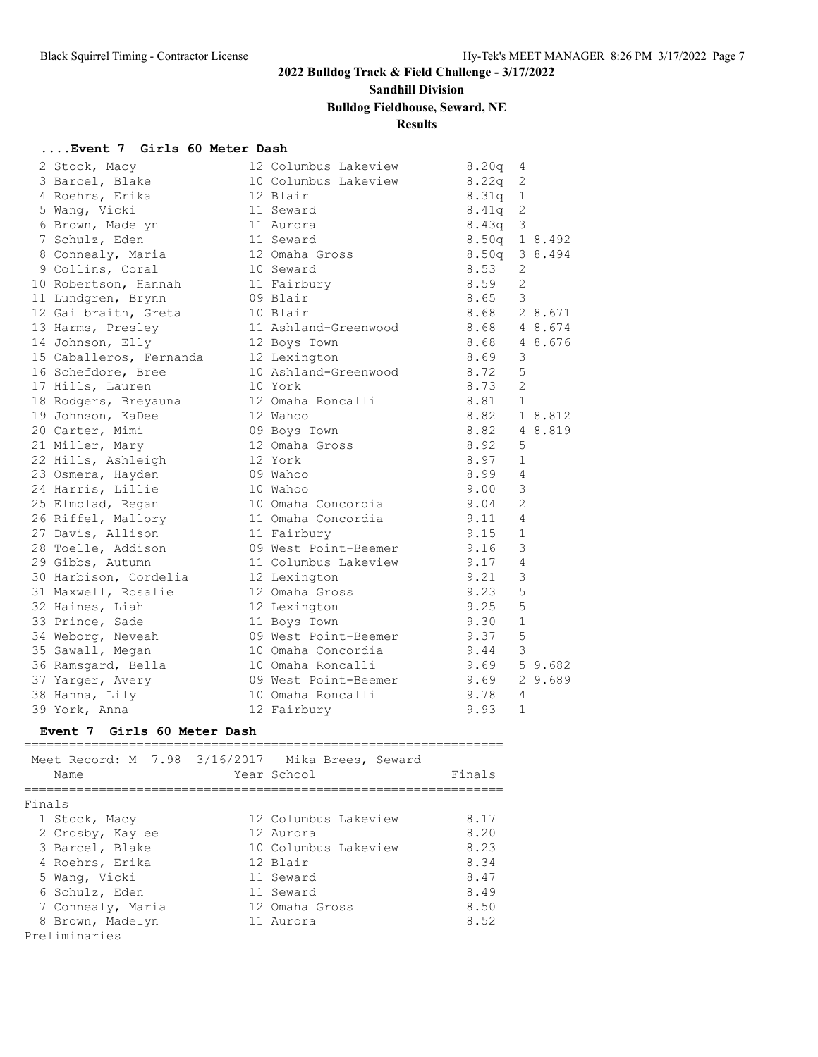# **Sandhill Division**

## **Bulldog Fieldhouse, Seward, NE**

## **Results**

### **....Event 7 Girls 60 Meter Dash**

| 2 Stock, Macy           | 12 Columbus Lakeview | 8.20q             | 4              |         |
|-------------------------|----------------------|-------------------|----------------|---------|
| 3 Barcel, Blake         | 10 Columbus Lakeview | 8.22q             | 2              |         |
| 4 Roehrs, Erika         | 12 Blair             | 8.31q             | $\mathbf{1}$   |         |
| 5 Wang, Vicki           | 11 Seward            | 8.41q             | 2              |         |
| 6 Brown, Madelyn        | 11 Aurora            | 8.43q             | 3              |         |
| 7 Schulz, Eden          | 11 Seward            | $8.50q$ 1 $8.492$ |                |         |
| 8 Connealy, Maria       | 12 Omaha Gross       | 8.50q             |                | 3 8.494 |
| 9 Collins, Coral        | 10 Seward            | 8.53              | 2              |         |
| 10 Robertson, Hannah    | 11 Fairbury          | 8.59              | $\overline{2}$ |         |
| 11 Lundgren, Brynn      | 09 Blair             | 8.65              | 3              |         |
| 12 Gailbraith, Greta    | 10 Blair             | 8.68              |                | 2 8.671 |
| 13 Harms, Presley       | 11 Ashland-Greenwood | 8.68              |                | 4 8.674 |
| 14 Johnson, Elly        | 12 Boys Town         | 8.68              |                | 4 8.676 |
| 15 Caballeros, Fernanda | 12 Lexington         | 8.69              | 3              |         |
| 16 Schefdore, Bree      | 10 Ashland-Greenwood | 8.72              | 5              |         |
| 17 Hills, Lauren        | 10 York              | 8.73              | $\overline{2}$ |         |
| 18 Rodgers, Breyauna    | 12 Omaha Roncalli    | 8.81              | $\mathbf{1}$   |         |
| 19 Johnson, KaDee       | 12 Wahoo             | 8.82              |                | 1 8.812 |
| 20 Carter, Mimi         | 09 Boys Town         | 8.82              |                | 4 8.819 |
| 21 Miller, Mary         | 12 Omaha Gross       | 8.92              | 5              |         |
| 22 Hills, Ashleigh      | 12 York              | 8.97              | $\mathbf{1}$   |         |
| 23 Osmera, Hayden       | 09 Wahoo             | 8.99              | $\overline{4}$ |         |
| 24 Harris, Lillie       | 10 Wahoo             | 9.00              | 3              |         |
| 25 Elmblad, Regan       | 10 Omaha Concordia   | 9.04              | $\overline{2}$ |         |
| 26 Riffel, Mallory      | 11 Omaha Concordia   | 9.11              | 4              |         |
| 27 Davis, Allison       | 11 Fairbury          | 9.15              | $\mathbf{1}$   |         |
| 28 Toelle, Addison      | 09 West Point-Beemer | 9.16              | 3              |         |
| 29 Gibbs, Autumn        | 11 Columbus Lakeview | 9.17              | 4              |         |
| 30 Harbison, Cordelia   | 12 Lexington         | 9.21              | 3              |         |
| 31 Maxwell, Rosalie     | 12 Omaha Gross       | 9.23              | 5              |         |
| 32 Haines, Liah         | 12 Lexington         | 9.25              | 5              |         |
| 33 Prince, Sade         | 11 Boys Town         | 9.30              | $\mathbf{1}$   |         |
| 34 Weborg, Neveah       | 09 West Point-Beemer | 9.37              | 5              |         |
| 35 Sawall, Megan        | 10 Omaha Concordia   | 9.44              | 3              |         |
| 36 Ramsgard, Bella      | 10 Omaha Roncalli    | 9.69              |                | 59.682  |
| 37 Yarger, Avery        | 09 West Point-Beemer | 9.69              |                | 2 9.689 |
| 38 Hanna, Lily          | 10 Omaha Roncalli    | 9.78              | 4              |         |
| 39 York, Anna           | 12 Fairbury          | 9.93              | $\mathbf{1}$   |         |
|                         |                      |                   |                |         |

### **Event 7 Girls 60 Meter Dash**

| Meet Record: M 7.98 3/16/2017 Mika Brees, Seward<br>Name | Year School          | Finals |
|----------------------------------------------------------|----------------------|--------|
| Finals                                                   |                      |        |
| 1 Stock, Macy                                            | 12 Columbus Lakeview | 8.17   |
| 2 Crosby, Kaylee                                         | 12 Aurora            | 8.20   |
| 3 Barcel, Blake                                          | 10 Columbus Lakeview | 8.23   |
| 4 Roehrs, Erika                                          | 12 Blair             | 8.34   |
| 5 Wang, Vicki                                            | 11 Seward            | 8.47   |
| 6 Schulz, Eden                                           | 11 Seward            | 8.49   |
| 7 Connealy, Maria                                        | 12 Omaha Gross       | 8.50   |
| 8 Brown, Madelyn                                         | 11 Aurora            | 8.52   |
| Preliminaries                                            |                      |        |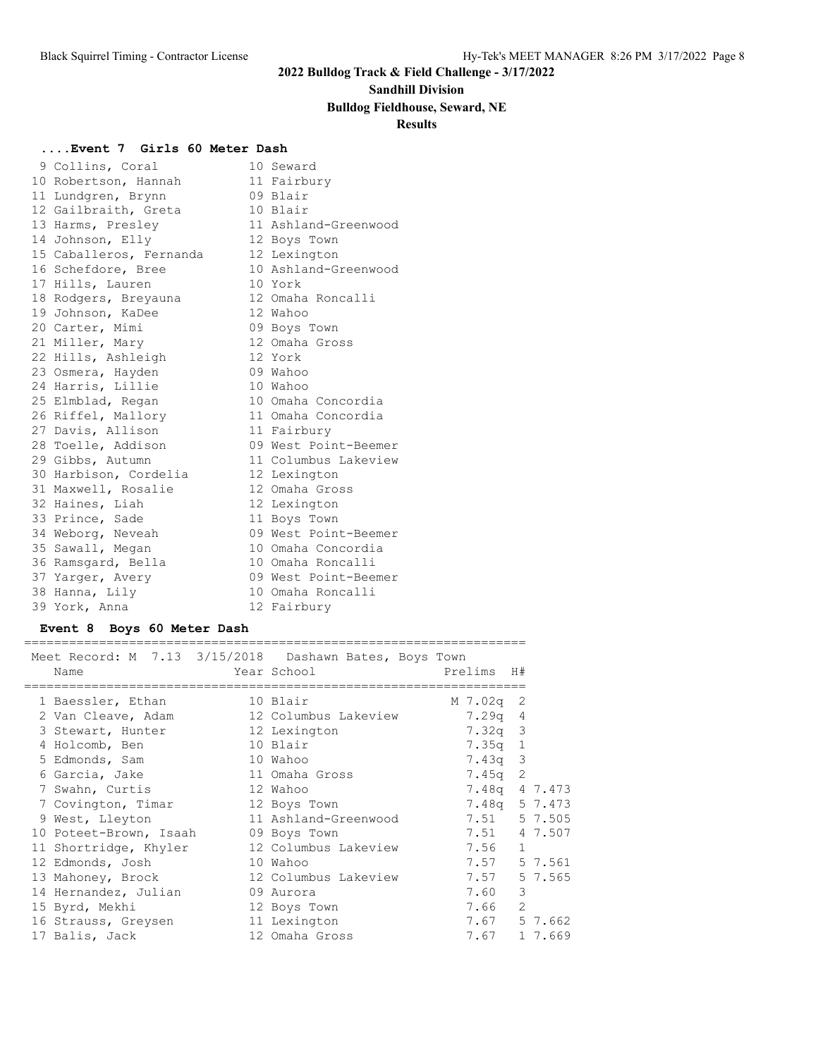### **Sandhill Division**

### **Bulldog Fieldhouse, Seward, NE**

### **Results**

### **....Event 7 Girls 60 Meter Dash**

|                                                                                                                                                                                                                                                                                                                                                                                                                                                                                                                                                                                                                                                                               | 10 Seward            |
|-------------------------------------------------------------------------------------------------------------------------------------------------------------------------------------------------------------------------------------------------------------------------------------------------------------------------------------------------------------------------------------------------------------------------------------------------------------------------------------------------------------------------------------------------------------------------------------------------------------------------------------------------------------------------------|----------------------|
|                                                                                                                                                                                                                                                                                                                                                                                                                                                                                                                                                                                                                                                                               | 11 Fairbury          |
|                                                                                                                                                                                                                                                                                                                                                                                                                                                                                                                                                                                                                                                                               | 09 Blair             |
|                                                                                                                                                                                                                                                                                                                                                                                                                                                                                                                                                                                                                                                                               | 10 Blair             |
|                                                                                                                                                                                                                                                                                                                                                                                                                                                                                                                                                                                                                                                                               | 11 Ashland-Greenwood |
|                                                                                                                                                                                                                                                                                                                                                                                                                                                                                                                                                                                                                                                                               | 12 Boys Town         |
|                                                                                                                                                                                                                                                                                                                                                                                                                                                                                                                                                                                                                                                                               | 12 Lexington         |
|                                                                                                                                                                                                                                                                                                                                                                                                                                                                                                                                                                                                                                                                               | 10 Ashland-Greenwood |
|                                                                                                                                                                                                                                                                                                                                                                                                                                                                                                                                                                                                                                                                               | 10 York              |
|                                                                                                                                                                                                                                                                                                                                                                                                                                                                                                                                                                                                                                                                               | 12 Omaha Roncalli    |
|                                                                                                                                                                                                                                                                                                                                                                                                                                                                                                                                                                                                                                                                               | 12 Wahoo             |
|                                                                                                                                                                                                                                                                                                                                                                                                                                                                                                                                                                                                                                                                               | 09 Boys Town         |
|                                                                                                                                                                                                                                                                                                                                                                                                                                                                                                                                                                                                                                                                               | 12 Omaha Gross       |
|                                                                                                                                                                                                                                                                                                                                                                                                                                                                                                                                                                                                                                                                               | 12 York              |
|                                                                                                                                                                                                                                                                                                                                                                                                                                                                                                                                                                                                                                                                               | 09 Wahoo             |
|                                                                                                                                                                                                                                                                                                                                                                                                                                                                                                                                                                                                                                                                               | 10 Wahoo             |
|                                                                                                                                                                                                                                                                                                                                                                                                                                                                                                                                                                                                                                                                               | 10 Omaha Concordia   |
|                                                                                                                                                                                                                                                                                                                                                                                                                                                                                                                                                                                                                                                                               | 11 Omaha Concordia   |
|                                                                                                                                                                                                                                                                                                                                                                                                                                                                                                                                                                                                                                                                               | 11 Fairbury          |
|                                                                                                                                                                                                                                                                                                                                                                                                                                                                                                                                                                                                                                                                               | 09 West Point-Beemer |
|                                                                                                                                                                                                                                                                                                                                                                                                                                                                                                                                                                                                                                                                               | 11 Columbus Lakeview |
|                                                                                                                                                                                                                                                                                                                                                                                                                                                                                                                                                                                                                                                                               | 12 Lexington         |
|                                                                                                                                                                                                                                                                                                                                                                                                                                                                                                                                                                                                                                                                               | 12 Omaha Gross       |
|                                                                                                                                                                                                                                                                                                                                                                                                                                                                                                                                                                                                                                                                               | 12 Lexington         |
|                                                                                                                                                                                                                                                                                                                                                                                                                                                                                                                                                                                                                                                                               | 11 Boys Town         |
|                                                                                                                                                                                                                                                                                                                                                                                                                                                                                                                                                                                                                                                                               | 09 West Point-Beemer |
|                                                                                                                                                                                                                                                                                                                                                                                                                                                                                                                                                                                                                                                                               | 10 Omaha Concordia   |
|                                                                                                                                                                                                                                                                                                                                                                                                                                                                                                                                                                                                                                                                               | 10 Omaha Roncalli    |
|                                                                                                                                                                                                                                                                                                                                                                                                                                                                                                                                                                                                                                                                               | 09 West Point-Beemer |
|                                                                                                                                                                                                                                                                                                                                                                                                                                                                                                                                                                                                                                                                               | 10 Omaha Roncalli    |
|                                                                                                                                                                                                                                                                                                                                                                                                                                                                                                                                                                                                                                                                               | 12 Fairbury          |
| 9 Collins, Coral<br>10 Robertson, Hannah<br>11 Lundgren, Brynn<br>12 Gailbraith, Greta<br>13 Harms, Presley<br>14 Johnson, Elly<br>15 Caballeros, Fernanda<br>16 Schefdore, Bree<br>17 Hills, Lauren<br>18 Rodgers, Breyauna<br>19 Johnson, KaDee<br>20 Carter, Mimi<br>21 Miller, Mary<br>22 Hills, Ashleigh<br>23 Osmera, Hayden<br>24 Harris, Lillie<br>25 Elmblad, Regan<br>26 Riffel, Mallory<br>27 Davis, Allison<br>28 Toelle, Addison<br>29 Gibbs, Autumn<br>30 Harbison, Cordelia<br>31 Maxwell, Rosalie<br>32 Haines, Liah<br>33 Prince, Sade<br>34 Weborg, Neveah<br>35 Sawall, Megan<br>36 Ramsgard, Bella<br>37 Yarger, Avery<br>38 Hanna, Lily<br>39 York, Anna |                      |

### **Event 8 Boys 60 Meter Dash**

===================================================================

| Meet Record: M 7.13 3/15/2018 Dashawn Bates, Boys Town<br>Name | Year School          | Prelims H#    |              |         |
|----------------------------------------------------------------|----------------------|---------------|--------------|---------|
| 1 Baessler, Ethan 10 Blair                                     |                      | M 7.02q 2     |              |         |
|                                                                |                      | $7.29q$ 4     |              |         |
| 3 Stewart, Hunter                                              | 12 Lexington         | $7.32q$ 3     |              |         |
| 4 Holcomb, Ben                                                 | 10 Blair             | 7.35q 1       |              |         |
| 5 Edmonds, Sam                                                 | 10 Wahoo             | $7.43q$ 3     |              |         |
| 6 Garcia, Jake                                                 | 11 Omaha Gross       | $7.45q$ 2     |              |         |
| 7 Swahn, Curtis                                                | 12 Wahoo             | 7.48q 4 7.473 |              |         |
| 7 Covington, Timar 12 Boys Town                                |                      | 7.48q 5 7.473 |              |         |
| 9 West, Lleyton                                                |                      |               |              |         |
| 10 Poteet-Brown, Isaah 09 Boys Town                            |                      | 7.51 4 7.507  |              |         |
| 11 Shortridge, Khyler 12 Columbus Lakeview                     |                      | 7.56          | $\mathbf{1}$ |         |
| 12 Edmonds, Josh                                               | 10 Wahoo             | 7.57 5 7.561  |              |         |
| 13 Mahoney, Brock                                              | 12 Columbus Lakeview | 7.57          |              | 5 7.565 |
| 14 Hernandez, Julian                                           | 09 Aurora            | 7.60          | 3            |         |
| 15 Byrd, Mekhi                                                 | 12 Boys Town         | 7.66          | 2            |         |
| 16 Strauss, Greysen                                            | 11 Lexington         | 7.67          |              | 5 7.662 |
| 17 Balis, Jack                                                 | 12 Omaha Gross       | 7.67          |              | 1 7.669 |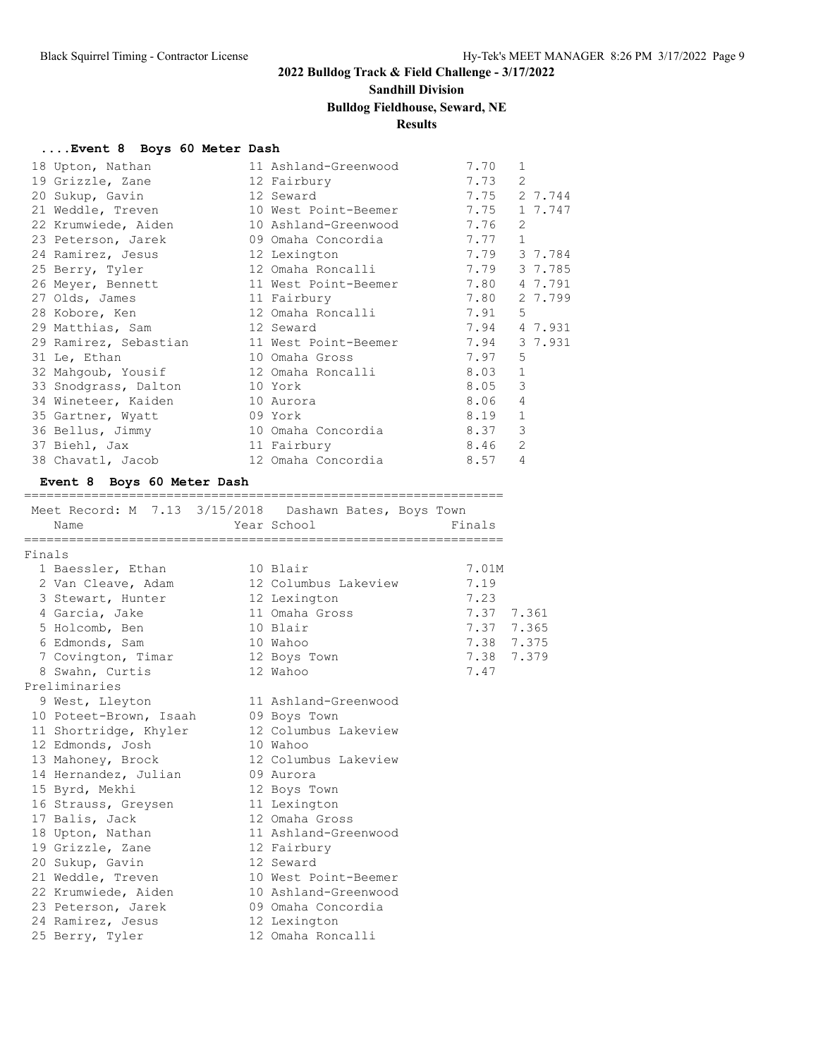# **Sandhill Division**

# **Bulldog Fieldhouse, Seward, NE**

## **Results**

### **....Event 8 Boys 60 Meter Dash**

| 18 Upton, Nathan               | 11 Ashland-Greenwood                       | 7.70   | 1              |
|--------------------------------|--------------------------------------------|--------|----------------|
| 19 Grizzle, Zane               | 12 Fairbury                                | 7.73   | 2              |
| 20 Sukup, Gavin                | 12 Seward                                  |        | 7.75 2 7.744   |
| 21 Weddle, Treven              | 10 West Point-Beemer                       |        | 7.75 1 7.747   |
| 22 Krumwiede, Aiden            | 10 Ashland-Greenwood                       | 7.76   | 2              |
| 23 Peterson, Jarek             | 09 Omaha Concordia                         | 7.77 1 |                |
| 24 Ramirez, Jesus              | 12 Lexington                               |        | 7.79 3 7.784   |
| 25 Berry, Tyler                | 12 Omaha Roncalli                          |        | 7.79 3 7.785   |
| 26 Meyer, Bennett              | 11 West Point-Beemer                       | 7.80   | 4 7.791        |
| 27 Olds, James                 | 11 Fairbury                                | 7.80   | 2 7.799        |
| 28 Kobore, Ken                 | 12 Omaha Roncalli                          | 7.91   | 5              |
| 29 Matthias, Sam and 12 Seward |                                            |        | 7.94 4 7.931   |
|                                | 29 Ramirez, Sebastian 11 West Point-Beemer |        | 7.94 3 7.931   |
| 31 Le, Ethan                   | 10 Omaha Gross                             | 7.97   | 5              |
| 32 Mahqoub, Yousif             | 12 Omaha Roncalli                          | 8.03   | $\mathbf{1}$   |
| 33 Snodgrass, Dalton           | 10 York                                    | 8.05   | 3              |
| 34 Wineteer, Kaiden            | 10 Aurora                                  | 8.06   | 4              |
| 35 Gartner, Wyatt              | 09 York                                    | 8.19   | $\mathbf{1}$   |
| 36 Bellus, Jimmy               | 10 Omaha Concordia                         | 8.37   | 3              |
| 37 Biehl, Jax                  | 11 Fairbury                                | 8.46   | 2              |
| 38 Chavatl, Jacob              | 12 Omaha Concordia                         | 8.57   | $\overline{4}$ |

## **Event 8 Boys 60 Meter Dash**

#### ================================================================

|        |                        | Meet Record: M 7.13 3/15/2018 Dashawn Bates, Boys Town |            |  |
|--------|------------------------|--------------------------------------------------------|------------|--|
|        | Name                   | Year School                                            | Finals     |  |
| Finals |                        |                                                        |            |  |
|        | 1 Baessler, Ethan      | 10 Blair                                               | 7.01M      |  |
|        | 2 Van Cleave, Adam     | 12 Columbus Lakeview                                   | 7.19       |  |
|        | 3 Stewart, Hunter      | 12 Lexington                                           | 7.23       |  |
|        | 4 Garcia, Jake         | 11 Omaha Gross                                         | 7.37 7.361 |  |
|        | 5 Holcomb, Ben         | 10 Blair                                               | 7.37 7.365 |  |
|        | 6 Edmonds, Sam         | 10 Wahoo                                               | 7.38 7.375 |  |
|        | 7 Covington, Timar     | 12 Boys Town                                           | 7.38 7.379 |  |
|        | 8 Swahn, Curtis        | 12 Wahoo                                               | 7.47       |  |
|        | Preliminaries          |                                                        |            |  |
|        | 9 West, Lleyton        | 11 Ashland-Greenwood                                   |            |  |
|        | 10 Poteet-Brown, Isaah | 09 Boys Town                                           |            |  |
|        | 11 Shortridge, Khyler  | 12 Columbus Lakeview                                   |            |  |
|        | 12 Edmonds, Josh       | 10 Wahoo                                               |            |  |
|        | 13 Mahoney, Brock      | 12 Columbus Lakeview                                   |            |  |
|        | 14 Hernandez, Julian   | 09 Aurora                                              |            |  |
|        | 15 Byrd, Mekhi         | 12 Boys Town                                           |            |  |
|        | 16 Strauss, Greysen    | 11 Lexington                                           |            |  |
|        | 17 Balis, Jack         | 12 Omaha Gross                                         |            |  |
|        | 18 Upton, Nathan       | 11 Ashland-Greenwood                                   |            |  |
|        | 19 Grizzle, Zane       | 12 Fairbury                                            |            |  |
|        | 20 Sukup, Gavin        | 12 Seward                                              |            |  |
|        | 21 Weddle, Treven      | 10 West Point-Beemer                                   |            |  |
|        | 22 Krumwiede, Aiden    | 10 Ashland-Greenwood                                   |            |  |
|        | 23 Peterson, Jarek     | 09 Omaha Concordia                                     |            |  |
|        | 24 Ramirez, Jesus      | 12 Lexington                                           |            |  |
|        | 25 Berry, Tyler        | 12 Omaha Roncalli                                      |            |  |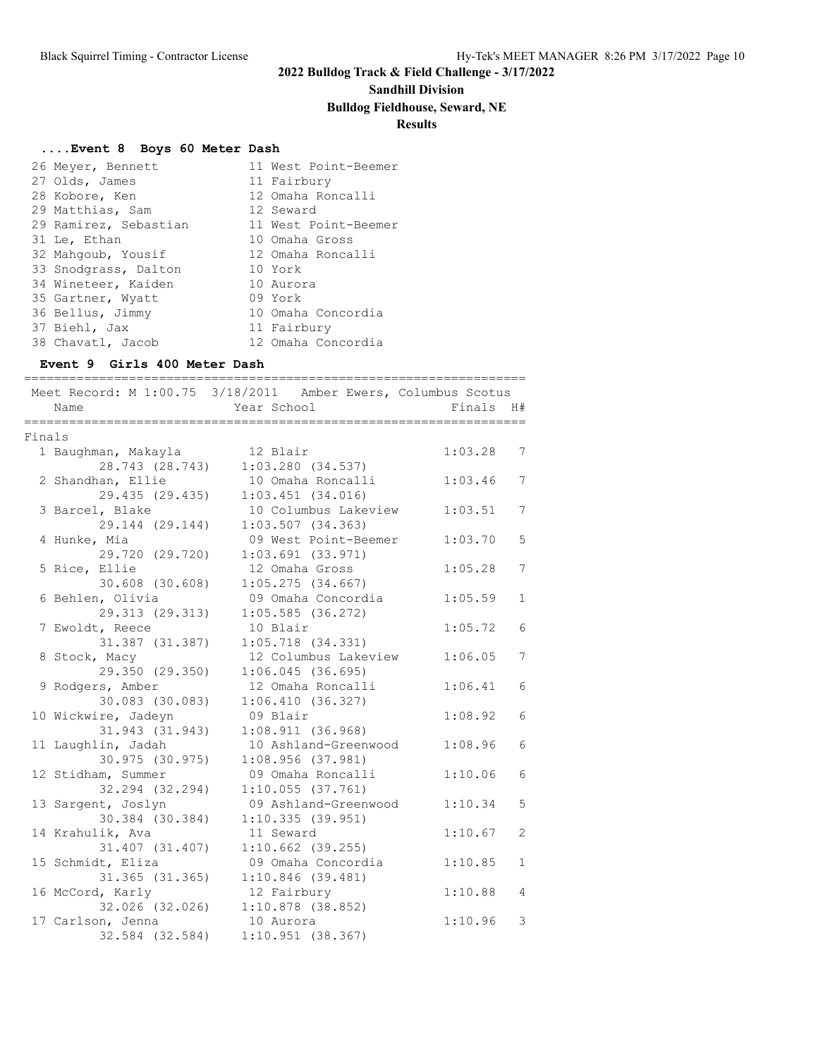## **Sandhill Division**

## **Bulldog Fieldhouse, Seward, NE**

## **Results**

## **....Event 8 Boys 60 Meter Dash**

| 26 Meyer, Bennett     | 11 West Point-Beemer |
|-----------------------|----------------------|
| 27 Olds, James        | 11 Fairbury          |
| 28 Kobore, Ken        | 12 Omaha Roncalli    |
| 29 Matthias, Sam      | 12 Seward            |
| 29 Ramirez, Sebastian | 11 West Point-Beemer |
| 31 Le, Ethan          | 10 Omaha Gross       |
| 32 Mahgoub, Yousif    | 12 Omaha Roncalli    |
| 33 Snodgrass, Dalton  | 10 York              |
| 34 Wineteer, Kaiden   | 10 Aurora            |
| 35 Gartner, Wyatt     | 09 York              |
| 36 Bellus, Jimmy      | 10 Omaha Concordia   |
| 37 Biehl, Jax         | 11 Fairbury          |
| 38 Chavatl, Jacob     | 12 Omaha Concordia   |

### **Event 9 Girls 400 Meter Dash**

|        | Name                | Meet Record: M 1:00.75 3/18/2011 Amber Ewers, Columbus Scotus<br>Year School | _______________<br>Finals | H#           |
|--------|---------------------|------------------------------------------------------------------------------|---------------------------|--------------|
|        | ============        |                                                                              |                           |              |
| Finals |                     |                                                                              |                           |              |
|        | 1 Baughman, Makayla | 12 Blair                                                                     | 1:03.28                   | 7            |
|        | 28.743 (28.743)     | $1:03.280$ (34.537)                                                          |                           |              |
|        | 2 Shandhan, Ellie   | 10 Omaha Roncalli                                                            | 1:03.46                   | 7            |
|        | 29.435 (29.435)     | $1:03.451$ $(34.016)$                                                        |                           |              |
|        | 3 Barcel, Blake     | 10 Columbus Lakeview                                                         | 1:03.51                   | 7            |
|        | 29.144 (29.144)     | 1:03.507(34.363)                                                             |                           |              |
|        | 4 Hunke, Mia        | 09 West Point-Beemer                                                         | 1:03.70                   | 5            |
|        | 29.720 (29.720)     | $1:03.691$ $(33.971)$                                                        |                           |              |
|        | 5 Rice, Ellie       | 12 Omaha Gross                                                               | 1:05.28                   | 7            |
|        | 30.608 (30.608)     | 1:05.275(34.667)                                                             |                           |              |
|        | 6 Behlen, Olivia    | 09 Omaha Concordia                                                           | 1:05.59                   | $\mathbf{1}$ |
|        | 29.313 (29.313)     | $1:05.585$ (36.272)                                                          |                           |              |
|        | 7 Ewoldt, Reece     | 10 Blair                                                                     | 1:05.72                   | 6            |
|        | 31.387 (31.387)     | $1:05.718$ $(34.331)$                                                        |                           |              |
|        | 8 Stock, Macy       | 12 Columbus Lakeview                                                         | 1:06.05                   | 7            |
|        | 29.350 (29.350)     | 1:06.045(36.695)                                                             |                           |              |
|        | 9 Rodgers, Amber    | 12 Omaha Roncalli                                                            | 1:06.41                   | 6            |
|        | 30.083 (30.083)     | 1:06.410(36.327)                                                             |                           |              |
|        | 10 Wickwire, Jadeyn | 09 Blair                                                                     | 1:08.92                   | 6            |
|        | 31.943 (31.943)     | 1:08.911(36.968)                                                             |                           |              |
|        | 11 Laughlin, Jadah  | 10 Ashland-Greenwood                                                         | 1:08.96                   | 6            |
|        | 30.975 (30.975)     | 1:08.956(37.981)                                                             |                           |              |
|        | 12 Stidham, Summer  | 09 Omaha Roncalli                                                            | 1:10.06                   | 6            |
|        | 32.294 (32.294)     | 1:10.055(37.761)                                                             |                           |              |
|        | 13 Sargent, Joslyn  | 09 Ashland-Greenwood                                                         | 1:10.34                   | 5            |
|        | 30.384 (30.384)     | 1:10.335(39.951)                                                             |                           |              |
|        | 14 Krahulik, Ava    | 11 Seward                                                                    | 1:10.67                   | 2            |
|        | 31.407 (31.407)     | $1:10.662$ (39.255)                                                          |                           |              |
|        | 15 Schmidt, Eliza   | 09 Omaha Concordia                                                           | 1:10.85                   | $\mathbf{1}$ |
|        | 31.365 (31.365)     | 1:10.846(39.481)                                                             |                           |              |
|        | 16 McCord, Karly    | 12 Fairbury                                                                  | 1:10.88                   | 4            |
|        | 32.026 (32.026)     | $1:10.878$ (38.852)                                                          |                           |              |
|        | 17 Carlson, Jenna   | 10 Aurora                                                                    | 1:10.96                   | 3            |
|        | 32.584 (32.584)     | 1:10.951(38.367)                                                             |                           |              |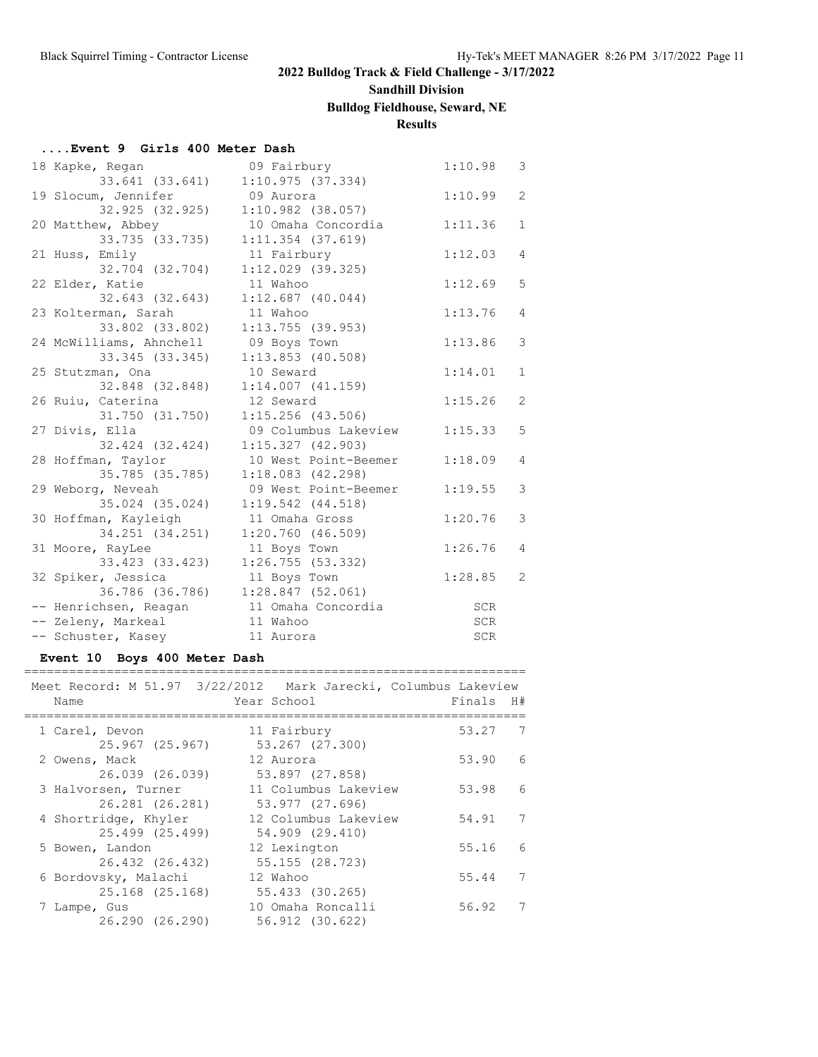## **Sandhill Division**

## **Bulldog Fieldhouse, Seward, NE**

## **Results**

### **....Event 9 Girls 400 Meter Dash**

| 18 Kapke, Regan         | 09 Fairbury           | 1:10.98    | 3              |
|-------------------------|-----------------------|------------|----------------|
| 33.641 (33.641)         | 1:10.975(37.334)      |            |                |
| 19 Slocum, Jennifer     | 09 Aurora             | 1:10.99    | $\overline{2}$ |
| 32.925 (32.925)         | $1:10.982$ (38.057)   |            |                |
| 20 Matthew, Abbey       | 10 Omaha Concordia    | 1:11.36    | $\mathbf{1}$   |
| 33.735 (33.735)         | $1:11.354$ (37.619)   |            |                |
| 21 Huss, Emily          | 11 Fairbury           | 1:12.03    | $\overline{4}$ |
| 32.704 (32.704)         | $1:12.029$ (39.325)   |            |                |
| 22 Elder, Katie         | 11 Wahoo              | 1:12.69    | 5              |
| 32.643 (32.643)         | $1:12.687$ (40.044)   |            |                |
| 23 Kolterman, Sarah     | 11 Wahoo              | 1:13.76    | $\overline{4}$ |
| 33.802 (33.802)         | 1:13.755(39.953)      |            |                |
| 24 McWilliams, Ahnchell | 09 Boys Town          | 1:13.86    | 3              |
| 33.345 (33.345)         | $1:13.853$ (40.508)   |            |                |
| 25 Stutzman, Ona        | 10 Seward             | 1:14.01    | $\mathbf{1}$   |
| 32.848 (32.848)         | $1:14.007$ $(41.159)$ |            |                |
| 26 Ruiu, Caterina       | 12 Seward             | 1:15.26    | 2              |
| 31.750 (31.750)         | $1:15.256$ (43.506)   |            |                |
| 27 Divis, Ella          | 09 Columbus Lakeview  | 1:15.33    | 5              |
| 32.424 (32.424)         | 1:15.327(42.903)      |            |                |
| 28 Hoffman, Taylor      | 10 West Point-Beemer  | 1:18.09    | 4              |
| 35.785 (35.785)         | $1:18.083$ $(42.298)$ |            |                |
| 29 Weborg, Neveah       | 09 West Point-Beemer  | 1:19.55    | 3              |
| 35.024 (35.024)         | $1:19.542$ $(44.518)$ |            |                |
| 30 Hoffman, Kayleigh    | 11 Omaha Gross        | 1:20.76    | 3              |
| 34.251 (34.251)         | 1:20.760(46.509)      |            |                |
| 31 Moore, RayLee        | 11 Boys Town          | 1:26.76    | $\overline{4}$ |
| 33.423 (33.423)         | 1:26.755(53.332)      |            |                |
| 32 Spiker, Jessica      | 11 Boys Town          | 1:28.85    | 2              |
| 36.786 (36.786)         | $1:28.847$ (52.061)   |            |                |
| -- Henrichsen, Reagan   | 11 Omaha Concordia    | SCR        |                |
| -- Zeleny, Markeal      | 11 Wahoo              | SCR        |                |
| -- Schuster, Kasey      | 11 Aurora             | <b>SCR</b> |                |

### **Event 10 Boys 400 Meter Dash**

| Meet Record: M 51.97 3/22/2012 Mark Jarecki, Columbus Lakeview |                      |        |                 |
|----------------------------------------------------------------|----------------------|--------|-----------------|
| Name                                                           | Year School          | Finals | H#              |
| 1 Carel, Devon                                                 | 11 Fairbury          | 53.27  | 7               |
| 25.967 (25.967)                                                | 53.267 (27.300)      |        |                 |
| 2 Owens, Mack                                                  | 12 Aurora            | 53.90  | $6\overline{6}$ |
| 26.039 (26.039)                                                | 53.897 (27.858)      |        |                 |
| 3 Halvorsen, Turner                                            | 11 Columbus Lakeview | 53.98  | 6               |
| 26.281 (26.281)                                                | 53.977 (27.696)      |        |                 |
| 4 Shortridge, Khyler                                           | 12 Columbus Lakeview | 54.91  | 7               |
| 25.499 (25.499)                                                | 54.909 (29.410)      |        |                 |
| 5 Bowen, Landon                                                | 12 Lexington         | 55.16  | $6\overline{6}$ |
| 26.432 (26.432)                                                | 55.155 (28.723)      |        |                 |
| 6 Bordovsky, Malachi                                           | 12 Wahoo             | 55.44  | 7               |
| 25.168 (25.168)                                                | 55.433 (30.265)      |        |                 |
| 7 Lampe, Gus                                                   | 10 Omaha Roncalli    | 56.92  | 7               |
| 26.290 (26.290)                                                | 56.912 (30.622)      |        |                 |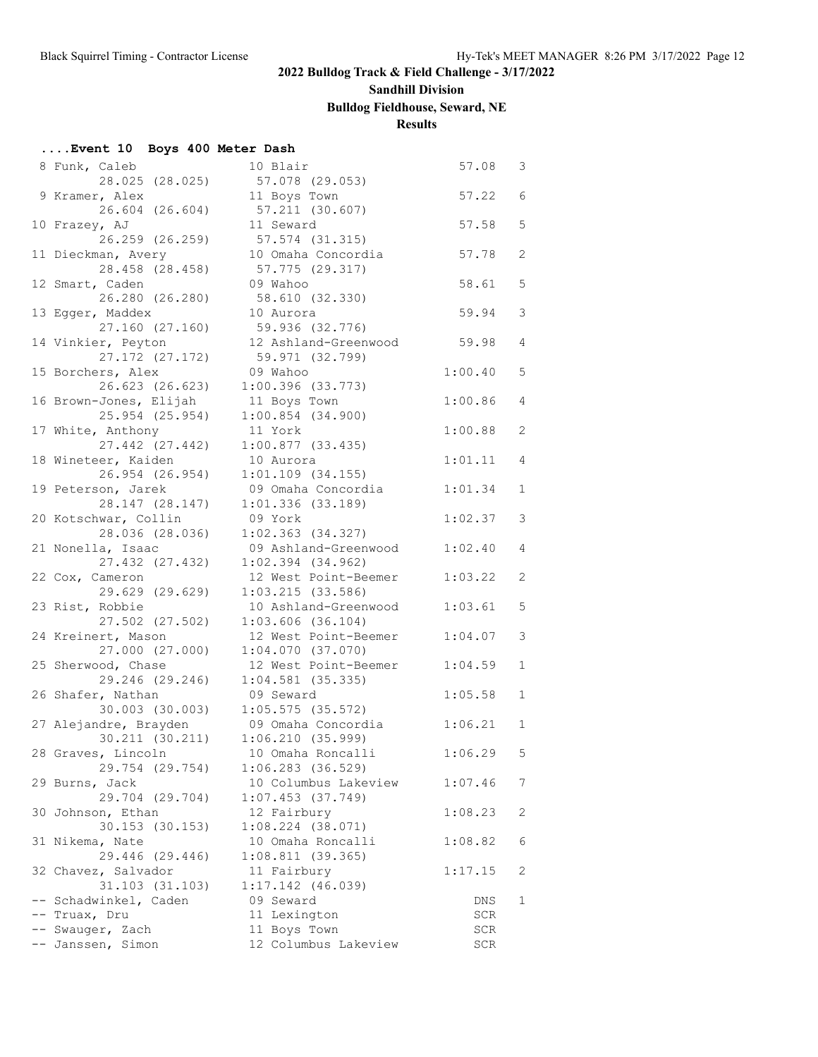# **Sandhill Division**

# **Bulldog Fieldhouse, Seward, NE**

## **Results**

## **....Event 10 Boys 400 Meter Dash**

| 8 Funk, Caleb          | 10 Blair              | 57.08   | 3              |
|------------------------|-----------------------|---------|----------------|
| 28.025 (28.025)        | 57.078 (29.053)       |         |                |
| 9 Kramer, Alex         | 11 Boys Town          | 57.22   | 6              |
| 26.604 (26.604)        | 57.211 (30.607)       |         |                |
| 10 Frazey, AJ          | 11 Seward             | 57.58   | 5              |
| 26.259 (26.259)        | 57.574 (31.315)       |         |                |
| 11 Dieckman, Avery     | 10 Omaha Concordia    | 57.78   | $\mathbf{2}$   |
| 28.458 (28.458)        | 57.775 (29.317)       |         |                |
| 12 Smart, Caden        | 09 Wahoo              | 58.61   | 5              |
| 26.280 (26.280)        | 58.610 (32.330)       |         |                |
| 13 Egger, Maddex       | 10 Aurora             | 59.94   | 3              |
| 27.160 (27.160)        | 59.936 (32.776)       |         |                |
| 14 Vinkier, Peyton     | 12 Ashland-Greenwood  | 59.98   | $\overline{4}$ |
| 27.172 (27.172)        | 59.971 (32.799)       |         |                |
| 15 Borchers, Alex      | 09 Wahoo              | 1:00.40 | 5              |
| 26.623 (26.623)        | $1:00.396$ (33.773)   |         |                |
| 16 Brown-Jones, Elijah | 11 Boys Town          | 1:00.86 | $\overline{4}$ |
| 25.954 (25.954)        | $1:00.854$ (34.900)   |         |                |
| 17 White, Anthony      | 11 York               | 1:00.88 | 2              |
| 27.442 (27.442)        | 1:00.877(33.435)      |         |                |
| 18 Wineteer, Kaiden    | 10 Aurora             | 1:01.11 | $\overline{4}$ |
| 26.954 (26.954)        | $1:01.109$ $(34.155)$ |         |                |
| 19 Peterson, Jarek     | 09 Omaha Concordia    | 1:01.34 | $\mathbf{1}$   |
| 28.147 (28.147)        | $1:01.336$ (33.189)   |         |                |
| 20 Kotschwar, Collin   | 09 York               | 1:02.37 | 3              |
| 28.036 (28.036)        |                       |         |                |
|                        | $1:02.363$ $(34.327)$ |         |                |
| 21 Nonella, Isaac      | 09 Ashland-Greenwood  | 1:02.40 | $\overline{4}$ |
| 27.432 (27.432)        | $1:02.394$ (34.962)   |         |                |
| 22 Cox, Cameron        | 12 West Point-Beemer  | 1:03.22 | 2              |
| 29.629 (29.629)        | 1:03.215(33.586)      |         |                |
| 23 Rist, Robbie        | 10 Ashland-Greenwood  | 1:03.61 | 5              |
| 27.502 (27.502)        | $1:03.606$ (36.104)   |         |                |
| 24 Kreinert, Mason     | 12 West Point-Beemer  | 1:04.07 | 3              |
| 27.000 (27.000)        | $1:04.070$ (37.070)   |         |                |
| 25 Sherwood, Chase     | 12 West Point-Beemer  | 1:04.59 | $\mathbf{1}$   |
| 29.246 (29.246)        | $1:04.581$ (35.335)   |         |                |
| 26 Shafer, Nathan      | 09 Seward             | 1:05.58 | 1              |
| 30.003 (30.003)        | $1:05.575$ (35.572)   |         |                |
| 27 Alejandre, Brayden  | 09 Omaha Concordia    | 1:06.21 | $\mathbf{1}$   |
| 30.211 (30.211)        | 1:06.210(35.999)      |         |                |
| 28 Graves, Lincoln     | 10 Omaha Roncalli     | 1:06.29 | 5              |
| 29.754 (29.754)        | $1:06.283$ (36.529)   |         |                |
| 29 Burns, Jack         | 10 Columbus Lakeview  | 1:07.46 | 7              |
| 29.704 (29.704)        | $1:07.453$ (37.749)   |         |                |
| 30 Johnson, Ethan      | 12 Fairbury           | 1:08.23 | 2              |
| 30.153 (30.153)        | $1:08.224$ (38.071)   |         |                |
| 31 Nikema, Nate        | 10 Omaha Roncalli     | 1:08.82 | 6              |
| 29.446 (29.446)        | 1:08.811(39.365)      |         |                |
| 32 Chavez, Salvador    | 11 Fairbury           | 1:17.15 | 2              |
| 31.103 (31.103)        | $1:17.142$ (46.039)   |         |                |
| -- Schadwinkel, Caden  | 09 Seward             | DNS     | 1              |
| -- Truax, Dru          | 11 Lexington          | SCR     |                |
| -- Swauger, Zach       | 11 Boys Town          | SCR     |                |
| -- Janssen, Simon      | 12 Columbus Lakeview  | SCR     |                |
|                        |                       |         |                |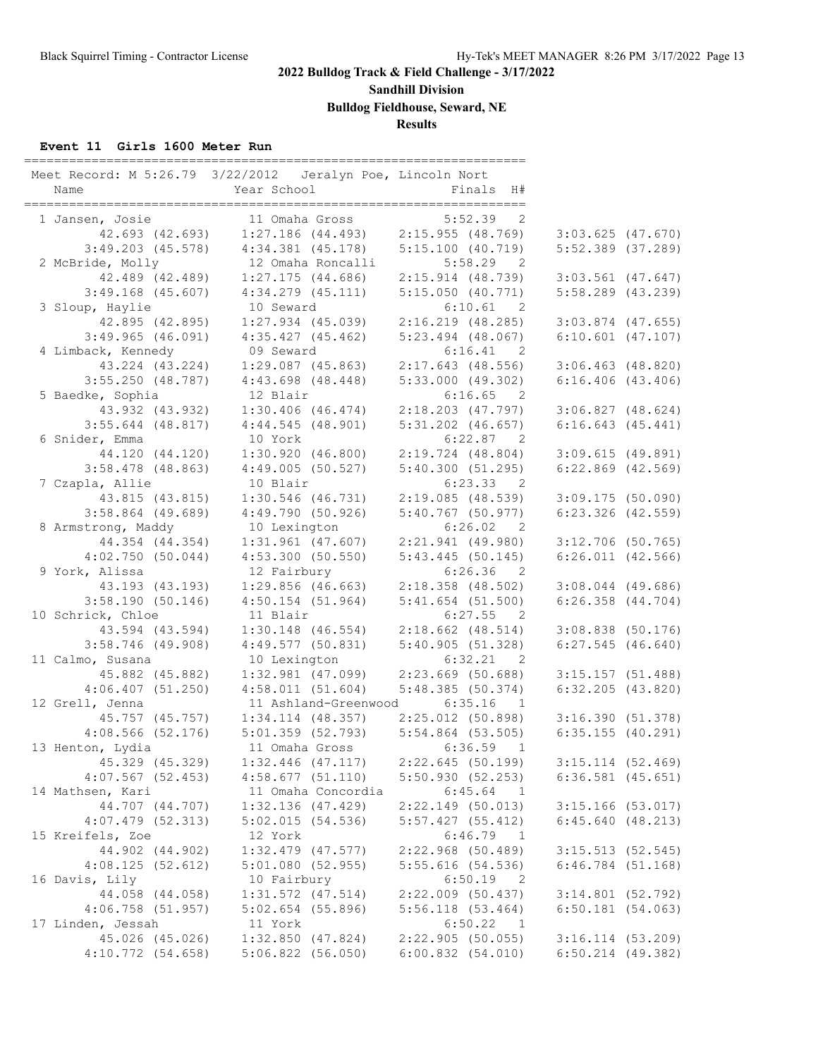**Sandhill Division**

**Bulldog Fieldhouse, Seward, NE**

**Results**

### **Event 11 Girls 1600 Meter Run**

| Name                                   | Meet Record: M 5:26.79 3/22/2012 Jeralyn Poe, Lincoln Nort<br>Year School | Finals H#                                     |                                            |  |
|----------------------------------------|---------------------------------------------------------------------------|-----------------------------------------------|--------------------------------------------|--|
| 1 Jansen, Josie                        | 11 Omaha Gross                                                            | $5:52.39$ 2                                   |                                            |  |
|                                        | 42.693 (42.693) 1:27.186 (44.493) 2:15.955 (48.769)                       |                                               | $3:03.625$ (47.670)                        |  |
| $3:49.203$ (45.578)                    | $4:34.381$ $(45.178)$                                                     | 5:15.100(40.719)                              | $5:52.389$ $(37.289)$                      |  |
| 2 McBride, Molly                       | 12 Omaha Roncalli                                                         | 5:58.29<br>$\overline{2}$                     |                                            |  |
| 42.489 (42.489)                        | $1:27.175$ (44.686)                                                       | 2:15.914 (48.739)                             | $3:03.561$ (47.647)                        |  |
| $3:49.168$ (45.607)                    | $4:34.279$ $(45.111)$                                                     | 5:15.050(40.771)                              | $5:58.289$ $(43.239)$                      |  |
| 3 Sloup, Haylie                        | 10 Seward                                                                 | 6:10.61 2                                     |                                            |  |
| 42.895 (42.895)                        | $1:27.934$ $(45.039)$                                                     | 2:16.219(48.285)                              | $3:03.874$ (47.655)                        |  |
| $3:49.965$ (46.091)                    | 4:35.427(45.462)                                                          | $5:23.494$ $(48.067)$                         | $6:10.601$ $(47.107)$                      |  |
| 4 Limback, Kennedy                     | 09 Seward                                                                 | 6:16.41<br>$\overline{2}$                     |                                            |  |
| 43.224 (43.224)                        | $1:29.087$ (45.863)                                                       | $2:17.643$ (48.556)                           | $3:06.463$ (48.820)                        |  |
| $3:55.250$ (48.787)                    | $4:43.698$ $(48.448)$                                                     | 5:33.000(49.302)                              | $6:16.406$ $(43.406)$                      |  |
| 5 Baedke, Sophia                       | 12 Blair                                                                  | $6:16.65$ 2                                   |                                            |  |
| 43.932 (43.932)                        | $1:30.406$ (46.474)                                                       | $2:18.203$ (47.797)                           | $3:06.827$ $(48.624)$                      |  |
| $3:55.644$ (48.817)                    | 4:44.545(48.901)                                                          | $5:31.202$ $(46.657)$                         | $6:16.643$ $(45.441)$                      |  |
| 6 Snider, Emma                         | 10 York                                                                   | 6:22.87 2                                     |                                            |  |
| 44.120 (44.120)                        | 1:30.920(46.800)                                                          | $2:19.724$ (48.804)                           | 3:09.615(49.891)                           |  |
| $3:58.478$ (48.863)                    | 4:49.005(50.527)                                                          | 5:40.300(51.295)                              | $6:22.869$ $(42.569)$                      |  |
| 7 Czapla, Allie                        | 10 Blair                                                                  | 6:23.33 2                                     |                                            |  |
| 43.815 (43.815)                        | $1:30.546$ (46.731)                                                       | 2:19.085(48.539)                              | 3:09.175(50.090)                           |  |
| $3:58.864$ (49.689)                    | 4:49.790(50.926)                                                          | 5:40.767(50.977)                              | $6:23.326$ $(42.559)$                      |  |
| 8 Armstrong, Maddy                     | 10 Lexington                                                              | 6:26.02<br>$\overline{2}$                     |                                            |  |
| 44.354 (44.354)                        | $1:31.961$ (47.607)                                                       | $2:21.941$ (49.980)                           | $3:12.706$ (50.765)                        |  |
| 4:02.750(50.044)                       | 4:53.300(50.550)                                                          | $5:43.445$ (50.145)                           | $6:26.011$ $(42.566)$                      |  |
| 9 York, Alissa                         | 12 Fairbury                                                               | $6:26.36$ 2                                   |                                            |  |
| 43.193 (43.193)                        | $1:29.856$ (46.663)                                                       | $2:18.358$ (48.502)                           | $3:08.044$ (49.686)                        |  |
| 3:58.190(50.146)                       | $4:50.154$ (51.964)                                                       | 5:41.654(51.500)                              | $6:26.358$ $(44.704)$                      |  |
| 10 Schrick, Chloe                      | 11 Blair                                                                  | 6:27.55<br>$\overline{2}$                     |                                            |  |
| 43.594 (43.594)                        | $1:30.148$ (46.554)                                                       | $2:18.662$ (48.514)                           | $3:08.838$ (50.176)                        |  |
| $3:58.746$ (49.908)                    | 4:49.577(50.831)                                                          | 5:40.905(51.328)                              | $6:27.545$ (46.640)                        |  |
| 11 Calmo, Susana                       | 10 Lexington                                                              | 6:32.21 2                                     |                                            |  |
| 45.882 (45.882)                        | $1:32.981$ (47.099)                                                       | $2:23.669$ (50.688)                           | 3:15.157(51.488)                           |  |
| 4:06.407(51.250)                       | 4:58.011(51.604)                                                          | 5:48.385(50.374)                              | $6:32.205$ $(43.820)$                      |  |
| 12 Grell, Jenna                        | 11 Ashland-Greenwood                                                      | 6:35.16<br>$\overline{1}$                     |                                            |  |
| 45.757 (45.757)<br>$4:08.566$ (52.176) | $1:34.114$ $(48.357)$<br>5:01.359(52.793)                                 | 2:25.012(50.898)                              | 3:16.390(51.378)                           |  |
| 13 Henton, Lydia                       | 11 Omaha Gross                                                            | 5:54.864 (53.505)<br>$6:36.59$ 1              | 6:35.155(40.291)                           |  |
|                                        | $1:32.446$ (47.117)                                                       |                                               |                                            |  |
| 45.329 (45.329)<br>$4:07.567$ (52.453) |                                                                           | 2:22.645(50.199)                              | $3:15.114$ (52.469)<br>$6:36.581$ (45.651) |  |
| 14 Mathsen, Kari                       | 4:58.677(51.110)<br>11 Omaha Concordia                                    | 5:50.930(52.253)<br>6:45.64<br>$\overline{1}$ |                                            |  |
| 44.707 (44.707)                        | $1:32.136$ (47.429)                                                       | $2:22.149$ (50.013)                           | $3:15.166$ (53.017)                        |  |
| $4:07.479$ $(52.313)$                  | 5:02.015(54.536)                                                          | 5:57.427(55.412)                              | 6:45.640(48.213)                           |  |
| 15 Kreifels, Zoe                       | 12 York                                                                   | $6:46.79$ 1                                   |                                            |  |
| 44.902 (44.902)                        | $1:32.479$ $(47.577)$                                                     | 2:22.968(50.489)                              | 3:15.513(52.545)                           |  |
| 4:08.125(52.612)                       | 5:01.080(52.955)                                                          | 5:55.616(54.536)                              | $6:46.784$ $(51.168)$                      |  |
| 16 Davis, Lily                         | 10 Fairbury                                                               | 6:50.19<br>- 2                                |                                            |  |
| 44.058 (44.058)                        | $1:31.572$ $(47.514)$                                                     | $2:22.009$ (50.437)                           | $3:14.801$ (52.792)                        |  |
| $4:06.758$ (51.957)                    | $5:02.654$ (55.896)                                                       | 5:56.118(53.464)                              | $6:50.181$ (54.063)                        |  |
| 17 Linden, Jessah                      | 11 York                                                                   | 6:50.22 1                                     |                                            |  |
| 45.026 (45.026)                        | $1:32.850$ (47.824)                                                       | $2:22.905$ (50.055)                           | $3:16.114$ (53.209)                        |  |
| 4:10.772(54.658)                       | $5:06.822$ (56.050)                                                       | 6:00.832(54.010)                              | $6:50.214$ $(49.382)$                      |  |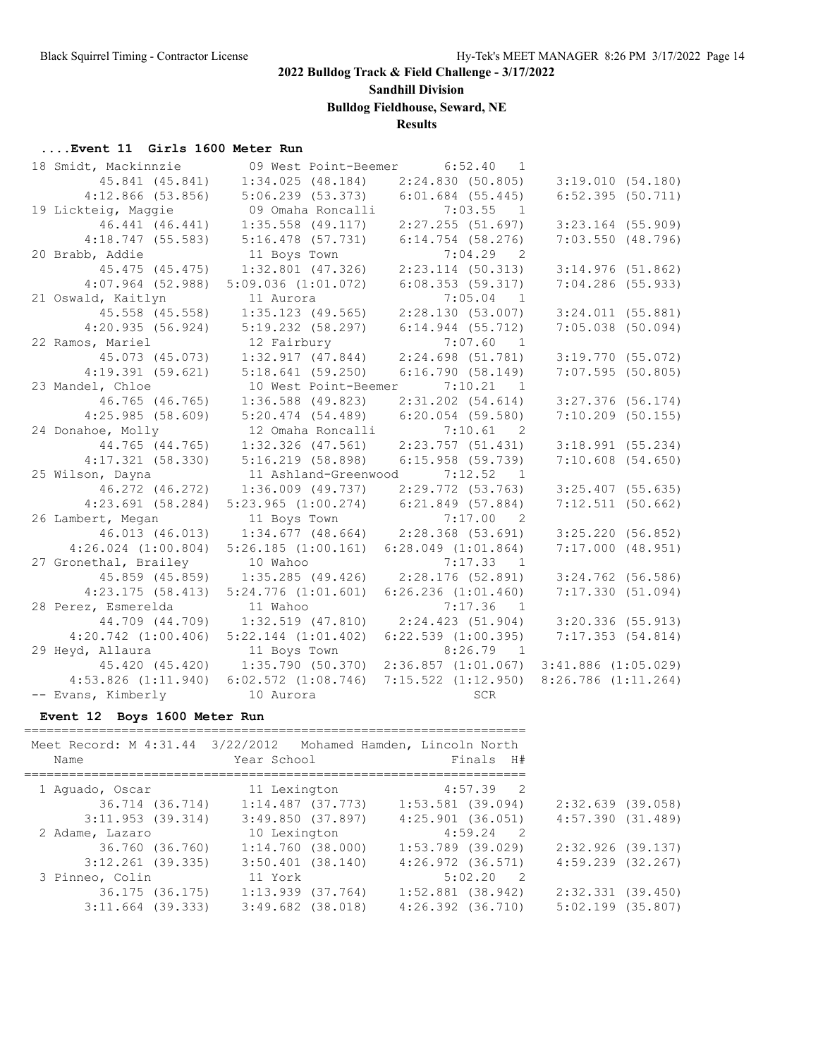**Sandhill Division**

**Bulldog Fieldhouse, Seward, NE**

## **Results**

# **....Event 11 Girls 1600 Meter Run**<br>18 Smidt Mackinnzie 109 Mest

| 18 Smidt, Mackinnzie    |                              | 09 West Point-Beemer 6:52.40 1          |                                         |
|-------------------------|------------------------------|-----------------------------------------|-----------------------------------------|
| 45.841 (45.841)         | 1:34.025(48.184)             | 2:24.830(50.805)                        | 3:19.010(54.180)                        |
| $4:12.866$ (53.856)     | 5:06.239(53.373)             | $6:01.684$ (55.445)                     | 6:52.395(50.711)                        |
| 19 Lickteig, Maggie     | 09 Omaha Roncalli            | 7:03.55<br>$\overline{1}$               |                                         |
| 46.441 (46.441)         | $1:35.558$ (49.117)          | 2:27.255(51.697)                        | $3:23.164$ (55.909)                     |
| $4:18.747$ (55.583)     | $5:16.478$ (57.731)          | $6:14.754$ (58.276)                     | $7:03.550$ (48.796)                     |
| 20 Brabb, Addie         | 11 Boys Town                 | $7:04.29$ 2                             |                                         |
| 45.475 (45.475)         | $1:32.801$ (47.326)          | $2:23.114$ (50.313)                     | 3:14.976(51.862)                        |
| $4:07.964$ (52.988)     | $5:09.036$ $(1:01.072)$      | 6:08.353(59.317)                        | $7:04.286$ (55.933)                     |
| 21 Oswald, Kaitlyn      | 11 Aurora                    | $7:05.04$ 1                             |                                         |
| 45.558 (45.558)         | $1:35.123$ (49.565)          | 2:28.130(53.007)                        | $3:24.011$ $(55.881)$                   |
| 4:20.935(56.924)        | $5:19.232$ (58.297)          | $6:14.944$ $(55.712)$                   | $7:05.038$ (50.094)                     |
| 22 Ramos, Mariel        | 12 Fairbury                  | 7:07.60 1                               |                                         |
| 45.073 (45.073)         | 1:32.917(47.844)             | 2:24.698(51.781)                        | 3:19.770(55.072)                        |
| 4:19.391(59.621)        | $5:18.641$ (59.250)          | 6:16.790(58.149)                        | $7:07.595$ (50.805)                     |
| 23 Mandel, Chloe        | 10 West Point-Beemer 7:10.21 | $\overline{1}$                          |                                         |
| 46.765 (46.765)         | $1:36.588$ (49.823)          | $2:31.202$ (54.614)                     | $3:27.376$ (56.174)                     |
| 4:25.985(58.609)        | $5:20.474$ $(54.489)$        | $6:20.054$ (59.580)                     | $7:10.209$ (50.155)                     |
| 24 Donahoe, Molly       | 12 Omaha Roncalli            | 7:10.61<br>$\overline{2}$               |                                         |
| 44.765 (44.765)         | $1:32.326$ (47.561)          | 2:23.757(51.431)                        | $3:18.991$ (55.234)                     |
| 4:17.321(58.330)        | $5:16.219$ (58.898)          | $6:15.958$ (59.739)                     | $7:10.608$ (54.650)                     |
| 25 Wilson, Dayna        | 11 Ashland-Greenwood 7:12.52 | $\overline{1}$                          |                                         |
| 46.272 (46.272)         | $1:36.009$ (49.737)          | 2:29.772(53.763)                        | $3:25.407$ (55.635)                     |
| $4:23.691$ (58.284)     | $5:23.965$ $(1:00.274)$      | $6:21.849$ (57.884)                     | $7:12.511$ (50.662)                     |
| 26 Lambert, Megan       | 11 Boys Town                 | $7:17.00$ 2                             |                                         |
| 46.013 (46.013)         | $1:34.677$ (48.664)          | $2:28.368$ $(53.691)$                   | 3:25.220(56.852)                        |
| $4:26.024$ $(1:00.804)$ | $5:26.185$ $(1:00.161)$      | $6:28.049$ $(1:01.864)$                 | $7:17.000$ $(48.951)$                   |
| 27 Gronethal, Brailey   | 10 Wahoo                     | 7:17.33 1                               |                                         |
| 45.859 (45.859)         | 1:35.285(49.426)             | $2:28.176$ (52.891)                     | $3:24.762$ (56.586)                     |
| 4:23.175(58.413)        | $5:24.776$ $(1:01.601)$      | $6:26.236$ $(1:01.460)$                 | 7:17.330(51.094)                        |
| 28 Perez, Esmerelda     | 11 Wahoo                     | $7:17.36$ 1                             |                                         |
| 44.709 (44.709)         | $1:32.519$ $(47.810)$        | 2:24.423(51.904)                        | 3:20.336(55.913)                        |
| $4:20.742$ $(1:00.406)$ | $5:22.144$ $(1:01.402)$      | $6:22.539$ $(1:00.395)$                 | 7:17.353(54.814)                        |
| 29 Heyd, Allaura        | 11 Boys Town                 | $8:26.79$ 1                             |                                         |
| 45.420 (45.420)         | 1:35.790(50.370)             | 2:36.857 (1:01.067) 3:41.886 (1:05.029) |                                         |
| $4:53.826$ $(1:11.940)$ | $6:02.572$ $(1:08.746)$      |                                         | 7:15.522 (1:12.950) 8:26.786 (1:11.264) |
| -- Evans, Kimberly      | 10 Aurora                    | SCR                                     |                                         |

## **Event 12 Boys 1600 Meter Run**

| $4:57.39$ 2<br>11 Lexington<br>1 Aquado, Oscar<br>$1:14.487$ (37.773)<br>36.714 (36.714)<br>$1:53.581$ (39.094)<br>$3:11.953$ (39.314)<br>3:49.850(37.897)<br>$4:25.901$ $(36.051)$<br>$4:59.24$ 2<br>10 Lexington<br>2 Adame, Lazaro<br>$1:53.789$ (39.029)<br>36.760 (36.760)<br>$1:14.760$ $(38.000)$<br>$3:12.261$ (39.335)<br>$3:50.401$ $(38.140)$<br>$4:26.972$ $(36.571)$<br>$5:02.20$ 2<br>3 Pinneo, Colin<br>11 York<br>$1:52.881$ (38.942)<br>$1:13.939$ $(37.764)$<br>36.175 (36.175)<br>$4:26.392$ $(36.710)$<br>$3:11.664$ (39.333)<br>$3:49.682$ $(38.018)$ | Meet Record: M 4:31.44 3/22/2012 Mohamed Hamden, Lincoln North<br>Name | Year School | Finals H# |                       |
|----------------------------------------------------------------------------------------------------------------------------------------------------------------------------------------------------------------------------------------------------------------------------------------------------------------------------------------------------------------------------------------------------------------------------------------------------------------------------------------------------------------------------------------------------------------------------|------------------------------------------------------------------------|-------------|-----------|-----------------------|
|                                                                                                                                                                                                                                                                                                                                                                                                                                                                                                                                                                            |                                                                        |             |           |                       |
|                                                                                                                                                                                                                                                                                                                                                                                                                                                                                                                                                                            |                                                                        |             |           | 2:32.639 (39.058)     |
|                                                                                                                                                                                                                                                                                                                                                                                                                                                                                                                                                                            |                                                                        |             |           | 4:57.390(31.489)      |
|                                                                                                                                                                                                                                                                                                                                                                                                                                                                                                                                                                            |                                                                        |             |           |                       |
|                                                                                                                                                                                                                                                                                                                                                                                                                                                                                                                                                                            |                                                                        |             |           | 2:32.926 (39.137)     |
|                                                                                                                                                                                                                                                                                                                                                                                                                                                                                                                                                                            |                                                                        |             |           | $4:59.239$ $(32.267)$ |
|                                                                                                                                                                                                                                                                                                                                                                                                                                                                                                                                                                            |                                                                        |             |           |                       |
|                                                                                                                                                                                                                                                                                                                                                                                                                                                                                                                                                                            |                                                                        |             |           | $2:32.331$ $(39.450)$ |
|                                                                                                                                                                                                                                                                                                                                                                                                                                                                                                                                                                            |                                                                        |             |           | $5:02.199$ (35.807)   |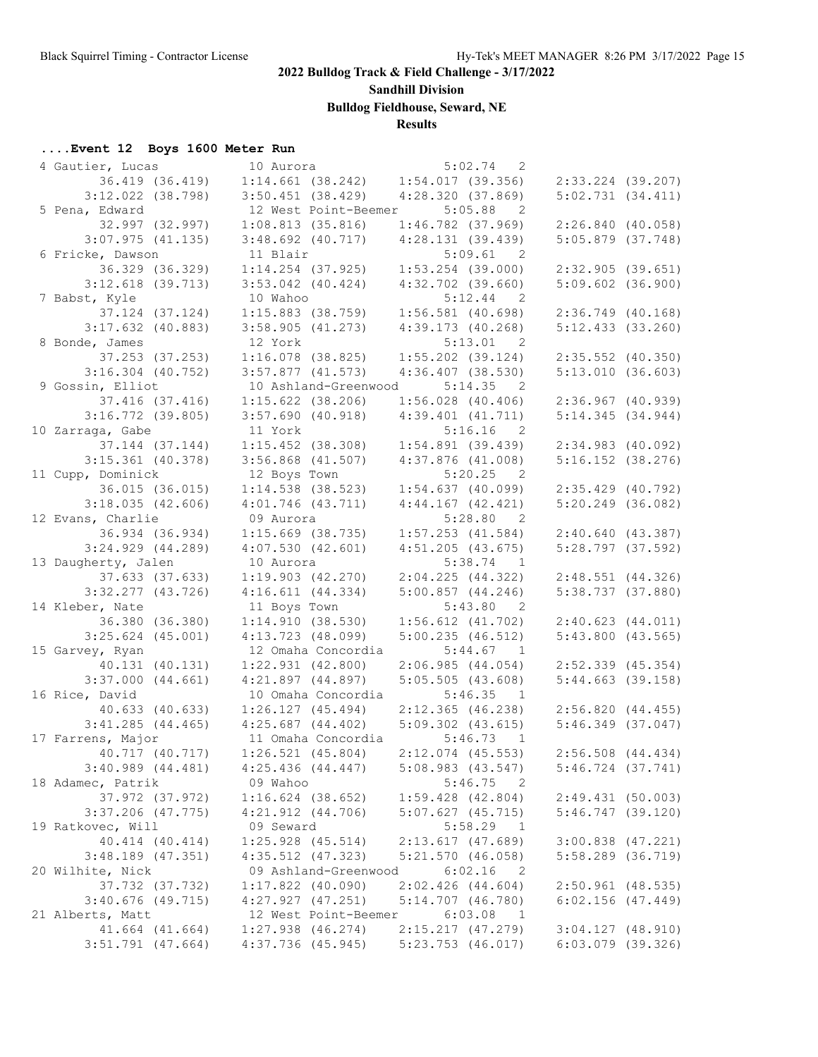**Sandhill Division**

**Bulldog Fieldhouse, Seward, NE**

## **Results**

## **....Event 12 Boys 1600 Meter Run**

| 4 Gautier, Lucas      | 10 Aurora                               | 5:02.74                                 | $\overline{\phantom{0}}^2$ |                       |  |
|-----------------------|-----------------------------------------|-----------------------------------------|----------------------------|-----------------------|--|
| 36.419 (36.419)       |                                         | $1:14.661$ (38.242) $1:54.017$ (39.356) |                            | 2:33.224 (39.207)     |  |
| $3:12.022$ (38.798)   | $3:50.451$ (38.429)                     | 4:28.320(37.869)                        |                            | 5:02.731(34.411)      |  |
| 5 Pena, Edward        | 12 West Point-Beemer                    | 5:05.88                                 | $\overline{\phantom{0}}^2$ |                       |  |
| 32.997 (32.997)       | 1:08.813(35.816)                        | $1:46.782$ (37.969)                     |                            | 2:26.840(40.058)      |  |
| $3:07.975$ (41.135)   | $3:48.692$ (40.717)                     | 4:28.131(39.439)                        |                            | $5:05.879$ (37.748)   |  |
| 6 Fricke, Dawson      | 11 Blair                                | 5:09.61                                 | $\overline{2}$             |                       |  |
| 36.329 (36.329)       | $1:14.254$ (37.925)                     | $1:53.254$ (39.000)                     |                            | 2:32.905(39.651)      |  |
| $3:12.618$ (39.713)   | $3:53.042$ (40.424)                     | $4:32.702$ (39.660)                     |                            | $5:09.602$ (36.900)   |  |
| 7 Babst, Kyle         | 10 Wahoo                                |                                         | $5:12.44$ 2                |                       |  |
| 37.124 (37.124)       | $1:15.883$ (38.759)                     | $1:56.581$ (40.698)                     |                            | $2:36.749$ (40.168)   |  |
| $3:17.632$ (40.883)   | 3:58.905(41.273)                        | $4:39.173$ (40.268)                     |                            | $5:12.433$ $(33.260)$ |  |
| 8 Bonde, James        | 12 York                                 | 5:13.01                                 | $\overline{2}$             |                       |  |
| 37.253 (37.253)       | $1:16.078$ (38.825)                     | $1:55.202$ (39.124)                     |                            | $2:35.552$ (40.350)   |  |
| $3:16.304$ (40.752)   | $3:57.877$ (41.573)                     | $4:36.407$ (38.530)                     |                            | 5:13.010(36.603)      |  |
| 9 Gossin, Elliot      | 10 Ashland-Greenwood                    |                                         | $5:14.35$ 2                |                       |  |
| 37.416 (37.416)       | $1:15.622$ (38.206)                     | $1:56.028$ (40.406)                     |                            | $2:36.967$ (40.939)   |  |
| $3:16.772$ (39.805)   | $3:57.690$ (40.918)                     | 4:39.401(41.711)                        |                            | 5:14.345(34.944)      |  |
| 10 Zarraga, Gabe      | 11 York                                 |                                         | $5:16.16$ 2                |                       |  |
| 37.144 (37.144)       | $1:15.452$ (38.308)                     | 1:54.891(39.439)                        |                            | $2:34.983$ (40.092)   |  |
| $3:15.361$ (40.378)   | $3:56.868$ $(41.507)$                   | $4:37.876$ $(41.008)$                   |                            | $5:16.152$ (38.276)   |  |
| 11 Cupp, Dominick     | 12 Boys Town                            |                                         | $5:20.25$ 2                |                       |  |
| 36.015 (36.015)       | $1:14.538$ (38.523)                     | $1:54.637$ (40.099)                     |                            | $2:35.429$ (40.792)   |  |
|                       |                                         |                                         |                            | $5:20.249$ (36.082)   |  |
| 3:18.035(42.606)      | $4:01.746$ $(43.711)$                   | $4:44.167$ $(42.421)$                   |                            |                       |  |
| 12 Evans, Charlie     | 09 Aurora                               | 5:28.80                                 | $\overline{2}$             |                       |  |
| 36.934 (36.934)       | $1:15.669$ (38.735)                     | $1:57.253$ $(41.584)$                   |                            | 2:40.640(43.387)      |  |
| $3:24.929$ $(44.289)$ | 4:07.530(42.601)                        | $4:51.205$ (43.675)                     |                            | $5:28.797$ (37.592)   |  |
| 13 Daugherty, Jalen   | 10 Aurora                               |                                         | $5:38.74$ 1                |                       |  |
| 37.633 (37.633)       | $1:19.903$ $(42.270)$                   | 2:04.225(44.322)                        |                            | $2:48.551$ (44.326)   |  |
| $3:32.277$ (43.726)   | 4:16.611(44.334)                        | $5:00.857$ $(44.246)$                   |                            | $5:38.737$ (37.880)   |  |
| 14 Kleber, Nate       | 11 Boys Town                            |                                         | 5:43.80 2                  |                       |  |
| 36.380 (36.380)       | 1:14.910(38.530)                        | $1:56.612$ $(41.702)$                   |                            | 2:40.623(44.011)      |  |
| $3:25.624$ (45.001)   | $4:13.723$ $(48.099)$                   | $5:00.235$ (46.512)                     |                            | $5:43.800$ (43.565)   |  |
| 15 Garvey, Ryan       | 12 Omaha Concordia                      |                                         | $5:44.67$ 1                |                       |  |
| 40.131 (40.131)       | $1:22.931$ $(42.800)$                   | 2:06.985(44.054)                        |                            | $2:52.339$ (45.354)   |  |
| $3:37.000$ $(44.661)$ | $4:21.897$ $(44.897)$                   | 5:05.505(43.608)                        |                            | $5:44.663$ (39.158)   |  |
| 16 Rice, David        | 10 Omaha Concordia                      | 5:46.35                                 | $\overline{1}$             |                       |  |
| 40.633 (40.633)       | 1:26.127(45.494)                        | $2:12.365$ (46.238)                     |                            | 2:56.820(44.455)      |  |
| $3:41.285$ (44.465)   | $4:25.687$ (44.402) $5:09.302$ (43.615) |                                         |                            | $5:46.349$ (37.047)   |  |
| 17 Farrens, Major     | 11 Omaha Concordia                      |                                         | $5:46.73$ 1                |                       |  |
| 40.717 (40.717)       | $1:26.521$ (45.804)                     | $2:12.074$ (45.553)                     |                            | $2:56.508$ $(44.434)$ |  |
| $3:40.989$ $(44.481)$ | $4:25.436$ $(44.447)$                   | 5:08.983(43.547)                        |                            | $5:46.724$ $(37.741)$ |  |
| 18 Adamec, Patrik     | 09 Wahoo                                | 5:46.75                                 | $\overline{\phantom{0}}^2$ |                       |  |
| 37.972 (37.972)       | $1:16.624$ (38.652)                     | $1:59.428$ $(42.804)$                   |                            | 2:49.431(50.003)      |  |
| $3:37.206$ (47.775)   | $4:21.912$ $(44.706)$                   | $5:07.627$ $(45.715)$                   |                            | $5:46.747$ (39.120)   |  |
| 19 Ratkovec, Will     | 09 Seward                               | 5:58.29                                 | $\mathbf{1}$               |                       |  |
| 40.414 (40.414)       | $1:25.928$ (45.514)                     | 2:13.617(47.689)                        |                            | $3:00.838$ $(47.221)$ |  |
| $3:48.189$ $(47.351)$ | $4:35.512$ $(47.323)$                   | 5:21.570(46.058)                        |                            | $5:58.289$ $(36.719)$ |  |
| 20 Wilhite, Nick      | 09 Ashland-Greenwood                    | 6:02.16                                 | $\overline{\phantom{0}}^2$ |                       |  |
| 37.732 (37.732)       | $1:17.822$ (40.090)                     | 2:02.426(44.604)                        |                            | $2:50.961$ (48.535)   |  |
| $3:40.676$ (49.715)   | 4:27.927(47.251)                        | $5:14.707$ $(46.780)$                   |                            | $6:02.156$ $(47.449)$ |  |
| 21 Alberts, Matt      | 12 West Point-Beemer                    | 6:03.08                                 | $\overline{\phantom{1}}$   |                       |  |
| 41.664 (41.664)       | $1:27.938$ $(46.274)$                   | 2:15.217 (47.279)                       |                            | $3:04.127$ (48.910)   |  |
| $3:51.791$ (47.664)   | $4:37.736$ (45.945)                     | $5:23.753$ (46.017)                     |                            | $6:03.079$ (39.326)   |  |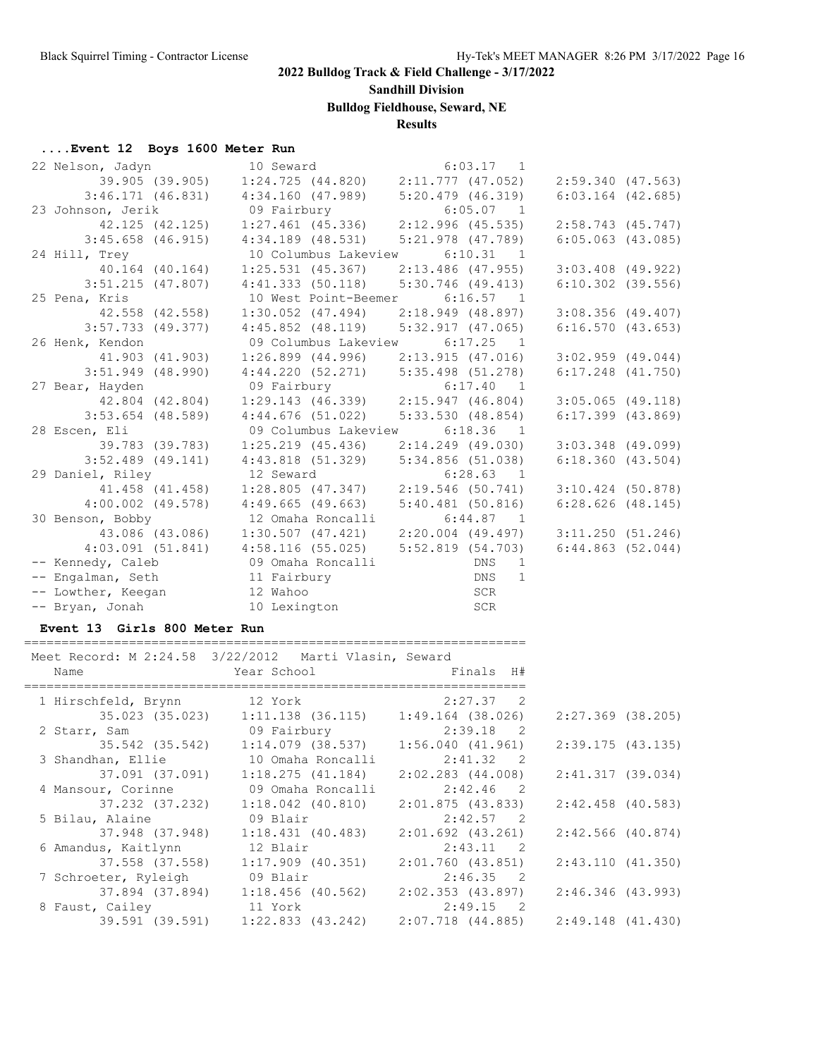**Sandhill Division**

**Bulldog Fieldhouse, Seward, NE**

## **Results**

### **....Event 12 Boys 1600 Meter Run**

| 22 Nelson, Jadyn                                                                                                    | 10 Seward and the search of the search of the search of the search of the search of the search of the search o | $6:03.17$ 1                                                 |                       |
|---------------------------------------------------------------------------------------------------------------------|----------------------------------------------------------------------------------------------------------------|-------------------------------------------------------------|-----------------------|
|                                                                                                                     |                                                                                                                | 39.905 (39.905) 1:24.725 (44.820) 2:11.777 (47.052)         | 2:59.340(47.563)      |
|                                                                                                                     |                                                                                                                | $3:46.171$ (46.831) $4:34.160$ (47.989) $5:20.479$ (46.319) | $6:03.164$ $(42.685)$ |
| 23 Johnson, Jerik 6:05.07 1                                                                                         |                                                                                                                |                                                             |                       |
|                                                                                                                     |                                                                                                                | 42.125 (42.125) 1:27.461 (45.336) 2:12.996 (45.535)         | 2:58.743 (45.747)     |
|                                                                                                                     | $3:45.658$ (46.915) $4:34.189$ (48.531) $5:21.978$ (47.789)                                                    |                                                             | $6:05.063$ $(43.085)$ |
| 24 Hill, Trey                                                                                                       | 10 Columbus Lakeview                                                                                           | $6:10.31$ 1                                                 |                       |
|                                                                                                                     |                                                                                                                |                                                             | $3:03.408$ (49.922)   |
| $3:51.215$ (47.807)                                                                                                 | $4:41.333$ (50.118) $5:30.746$ (49.413)                                                                        |                                                             | $6:10.302$ (39.556)   |
| 25 Pena, Kris                                                                                                       | 10 West Point-Beemer 6:16.57 1                                                                                 |                                                             |                       |
| 42.558 (42.558)                                                                                                     |                                                                                                                | $1:30.052$ (47.494) $2:18.949$ (48.897)                     | $3:08.356$ (49.407)   |
|                                                                                                                     |                                                                                                                | 3:57.733 (49.377) 4:45.852 (48.119) 5:32.917 (47.065)       | 6:16.570(43.653)      |
| 26 Henk, Kendon                                                                                                     | 09 Columbus Lakeview 6:17.25 1                                                                                 |                                                             |                       |
| 41.903 (41.903)                                                                                                     |                                                                                                                | $1:26.899$ (44.996) $2:13.915$ (47.016)                     | $3:02.959$ (49.044)   |
| 3:51.949 (48.990)                                                                                                   |                                                                                                                | 4:44.220 (52.271) 5:35.498 (51.278)                         | $6:17.248$ $(41.750)$ |
| 27 Bear, Hayden                                                                                                     | 09 Fairbury 6:17.40 1                                                                                          |                                                             |                       |
|                                                                                                                     |                                                                                                                | 42.804 (42.804) 1:29.143 (46.339) 2:15.947 (46.804)         | $3:05.065$ (49.118)   |
| 3:53.654 (48.589)                                                                                                   | $4:44.676$ (51.022) 5:33.530 (48.854)                                                                          |                                                             | $6:17.399$ $(43.869)$ |
| 28 Escen, Eli                                                                                                       | 09 Columbus Lakeview                                                                                           | $6:18.36$ 1                                                 |                       |
| 39.783 (39.783)                                                                                                     |                                                                                                                | $1:25.219$ (45.436) $2:14.249$ (49.030)                     | $3:03.348$ (49.099)   |
|                                                                                                                     | 3:52.489 (49.141) 4:43.818 (51.329) 5:34.856 (51.038)                                                          |                                                             | $6:18.360$ $(43.504)$ |
| 29 Daniel, Riley                                                                                                    | 12 Seward                                                                                                      | $6:28.63$ 1                                                 |                       |
| 41.458 (41.458)                                                                                                     |                                                                                                                | $1:28.805$ (47.347) $2:19.546$ (50.741)                     | $3:10.424$ (50.878)   |
| $4:00.002$ $(49.578)$                                                                                               | $4:49.665$ (49.663)                                                                                            | 5:40.481(50.816)                                            | $6:28.626$ $(48.145)$ |
| 30 Benson, Bobby                                                                                                    | 12 Omaha Roncalli                                                                                              | $6:44.87$ 1                                                 |                       |
|                                                                                                                     |                                                                                                                | 43.086 (43.086) 1:30.507 (47.421) 2:20.004 (49.497)         | 3:11.250(51.246)      |
|                                                                                                                     | $4:03.091$ (51.841) $4:58.116$ (55.025)                                                                        | 5:52.819 (54.703)                                           | 6:44.863(52.044)      |
| -- Kennedy, Caleb 69 Omaha Roncalli                                                                                 |                                                                                                                | DNS 1                                                       |                       |
|                                                                                                                     |                                                                                                                |                                                             |                       |
|                                                                                                                     |                                                                                                                |                                                             |                       |
| -- Engalman, Seth 11 Fairbury 11 DNS 1<br>-- Lowther, Keegan 12 Wahoo 12 SCR<br>-- Bryan, Jonah 10 Lexington 10 SCR |                                                                                                                |                                                             |                       |

### **Event 13 Girls 800 Meter Run**

=================================================================== Meet Record: M 2:24.58 3/22/2012 Marti Vlasin, Seward

| MEEL RECOLU: M Z:Z4.J0 3/ZZ/ZUIZ MAILI VIASIN, SEWAIU<br>Name | Year School Dear School                               | Finals H#             |                     |
|---------------------------------------------------------------|-------------------------------------------------------|-----------------------|---------------------|
|                                                               |                                                       |                       |                     |
| 1 Hirschfeld, Brynn 12 York                                   |                                                       | $2:27.37$ 2           |                     |
| 35.023 (35.023)                                               | $1:11.138$ (36.115)                                   | 1:49.164 (38.026)     | $2:27.369$ (38.205) |
| 2 Starr, Sam                                                  | 09 Fairbury                                           | $2:39.18$ 2           |                     |
| 35.542 (35.542)                                               | 1:14.079 (38.537)                                     | 1:56.040(41.961)      | 2:39.175(43.135)    |
| 3 Shandhan, Ellie                                             | 10 Omaha Roncalli                                     | $2:41.32$ 2           |                     |
| 37.091 (37.091)                                               | 1:18.275(41.184)                                      | $2:02.283$ $(44.008)$ | 2:41.317(39.034)    |
| 4 Mansour, Corinne                                            | 09 Omaha Roncalli                                     | $2:42.46$ 2           |                     |
|                                                               | $37.232$ $(37.232)$ $1:18.042$ $(40.810)$             | 2:01.875(43.833)      | $2:42.458$ (40.583) |
| 5 Bilau, Alaine                                               | 09 Blair                                              | 2:42.57 2             |                     |
| 37.948 (37.948)                                               | 1:18.431 (40.483)                                     | $2:01.692$ (43.261)   | $2:42.566$ (40.874) |
| 6 Amandus, Kaitlynn                                           | 12 Blair                                              | $2:43.11$ 2           |                     |
| 37.558 (37.558)                                               | 1:17.909 (40.351)                                     | 2:01.760 (43.851)     | 2:43.110(41.350)    |
| 7 Schroeter, Ryleigh 09 Blair                                 |                                                       | 2:46.35 2             |                     |
|                                                               | $37.894$ (37.894) 1:18.456 (40.562) 2:02.353 (43.897) |                       | 2:46.346 (43.993)   |
| 8 Faust, Cailey 11 York                                       |                                                       | 2:49.15 2             |                     |
|                                                               | 39.591 (39.591) 1:22.833 (43.242) 2:07.718 (44.885)   |                       | 2:49.148 (41.430)   |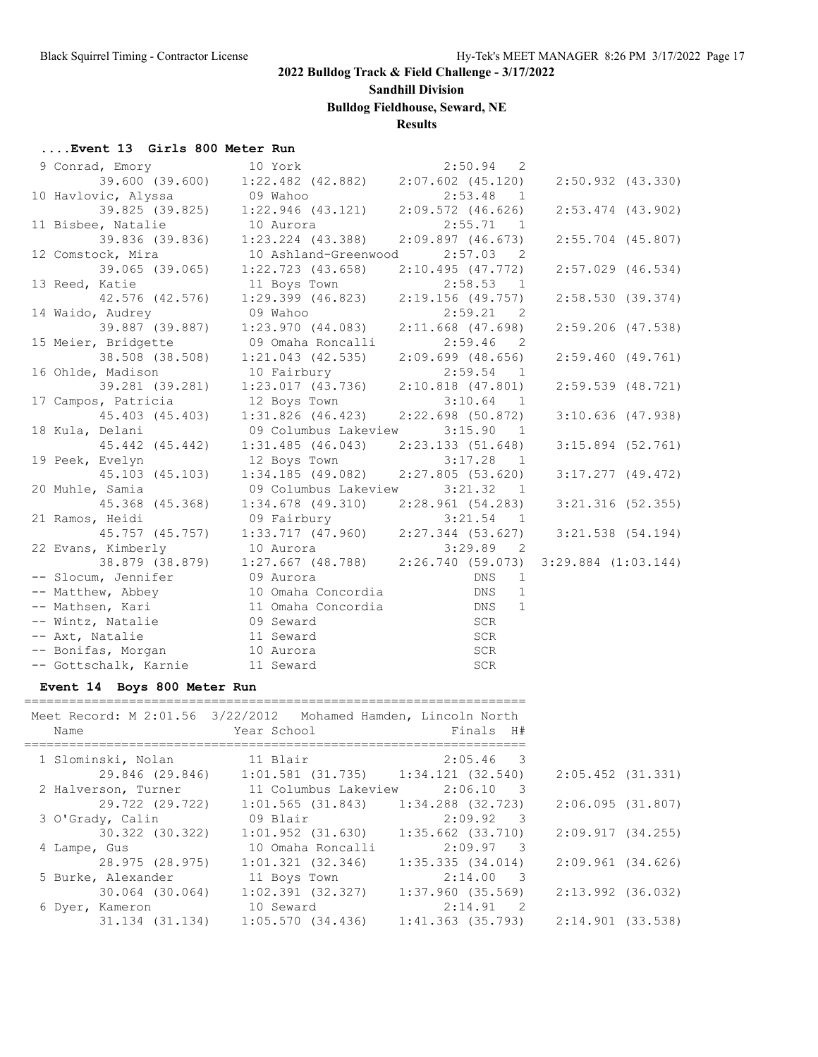**Sandhill Division**

# **Bulldog Fieldhouse, Seward, NE**

## **Results**

### **....Event 13 Girls 800 Meter Run**

| 9 Conrad, Emory 10 York                                                                                                                                                                                                                              |                                                                                     | $2:50.94$ 2               |                         |
|------------------------------------------------------------------------------------------------------------------------------------------------------------------------------------------------------------------------------------------------------|-------------------------------------------------------------------------------------|---------------------------|-------------------------|
|                                                                                                                                                                                                                                                      | $39.600(39.600)$ $1:22.482(42.882)$ $2:07.602(45.120)$                              |                           | $2:50.932$ $(43.330)$   |
| 10 Havlovic, Alyssa                                                                                                                                                                                                                                  | 09 Wahoo                                                                            | $2:53.48$ 1               |                         |
|                                                                                                                                                                                                                                                      | 39.825 (39.825) 1:22.946 (43.121) 2:09.572 (46.626)                                 |                           | $2:53.474$ $(43.902)$   |
| 11 Bisbee, Natalie                                                                                                                                                                                                                                   | 10 Aurora                                                                           | 2:55.71<br>$\overline{1}$ |                         |
|                                                                                                                                                                                                                                                      | 39.836 (39.836) 1:23.224 (43.388)                                                   | $2:09.897$ (46.673)       | $2:55.704$ (45.807)     |
| 12 Comstock, Mira                                                                                                                                                                                                                                    | 10 Ashland-Greenwood                                                                | $2:57.03$ 2               |                         |
|                                                                                                                                                                                                                                                      | 39.065 (39.065) 1:22.723 (43.658) 2:10.495 (47.772)                                 |                           | $2:57.029$ $(46.534)$   |
| 13 Reed, Katie                                                                                                                                                                                                                                       |                                                                                     |                           |                         |
|                                                                                                                                                                                                                                                      | Katie 11 Boys Town 2:58.53 1<br>42.576 (42.576) 1:29.399 (46.823) 2:19.156 (49.757) |                           | 2:58.530(39.374)        |
| 14 Waido, Audrey                                                                                                                                                                                                                                     | 09 Wahoo                                                                            | 2:59.21 2                 |                         |
| 39.887 (39.887)                                                                                                                                                                                                                                      | $1:23.970$ (44.083) $2:11.668$ (47.698)                                             |                           | $2:59.206$ (47.538)     |
| 15 Meier, Bridgette                                                                                                                                                                                                                                  | 09 Omaha Roncalli                                                                   | $2:59.46$ 2               |                         |
| 38.508 (38.508)                                                                                                                                                                                                                                      | $1:21.043$ $(42.535)$                                                               | 2:09.699(48.656)          | 2:59.460(49.761)        |
| 16 Ohlde, Madison                                                                                                                                                                                                                                    | 10 Fairbury                                                                         | $2:59.54$ 1               |                         |
| 39.281 (39.281)                                                                                                                                                                                                                                      | $1:23.017$ (43.736) $2:10.818$ (47.801)                                             |                           | $2:59.539$ $(48.721)$   |
| 17 Campos, Patricia 12 Boys Town                                                                                                                                                                                                                     |                                                                                     | $3:10.64$ 1               |                         |
|                                                                                                                                                                                                                                                      | 45.403 (45.403) 1:31.826 (46.423) 2:22.698 (50.872)                                 |                           | $3:10.636$ (47.938)     |
| 18 Kula, Delani                                                                                                                                                                                                                                      | 09 Columbus Lakeview                                                                | 3:15.90<br>$\overline{1}$ |                         |
| 45.442 (45.442)                                                                                                                                                                                                                                      | $1:31.485$ (46.043) $2:23.133$ (51.648)                                             |                           | $3:15.894$ (52.761)     |
| 19 Peek, Evelyn                                                                                                                                                                                                                                      | 12 Boys Town                                                                        | $3:17.28$ 1               |                         |
| 45.103 (45.103)                                                                                                                                                                                                                                      | $1:34.185$ (49.082) $2:27.805$ (53.620)                                             |                           | $3:17.277$ (49.472)     |
| 20 Muhle, Samia                                                                                                                                                                                                                                      | 09 Columbus Lakeview                                                                | 3:21.32 1                 |                         |
| 45.368 (45.368)                                                                                                                                                                                                                                      | $1:34.678$ (49.310) $2:28.961$ (54.283)                                             |                           | $3:21.316$ (52.355)     |
| 21 Ramos, Heidi                                                                                                                                                                                                                                      | 09 Fairbury                                                                         | 3:21.54 1                 |                         |
| 45.757 (45.757)                                                                                                                                                                                                                                      | $1:33.717$ (47.960) $2:27.344$ (53.627)                                             |                           | $3:21.538$ (54.194)     |
| 22 Evans, Kimberly                                                                                                                                                                                                                                   | 10 Aurora                                                                           | 3:29.89 2                 |                         |
|                                                                                                                                                                                                                                                      | 38.879 (38.879) 1:27.667 (48.788) 2:26.740 (59.073)                                 |                           | $3:29.884$ $(1:03.144)$ |
| -- Slocum, Jennifer<br>-- Matthew, Abbey<br>-- Matthew, Abbey<br>-- Mathsen, Kari<br>-- Mintz, Natalie<br>-- Wintz, Natalie<br>-- Wintz, Natalie<br>-- Wintz, Natalie<br>-- Wintz, Natalie<br>-- Mathsen, Kari<br>-- Mintz, Natalie<br>-- Mathsen, K |                                                                                     | 1                         |                         |
|                                                                                                                                                                                                                                                      |                                                                                     | 1                         |                         |
|                                                                                                                                                                                                                                                      |                                                                                     | 1                         |                         |
|                                                                                                                                                                                                                                                      |                                                                                     |                           |                         |
| -- Axt, Natalie                                                                                                                                                                                                                                      | 11 Seward                                                                           | SCR<br>SCR<br>SCR<br>SCR  |                         |
| -- Bonifas, Morgan 10 Aurora                                                                                                                                                                                                                         |                                                                                     |                           |                         |
| -- Gottschalk, Karnie 11 Seward                                                                                                                                                                                                                      |                                                                                     |                           |                         |

### **Event 14 Boys 800 Meter Run**

| Meet Record: M 2:01.56 3/22/2012 Mohamed Hamden, Lincoln North<br>Name | Year School                                         | Finals H#                               |
|------------------------------------------------------------------------|-----------------------------------------------------|-----------------------------------------|
| 1 Slominski, Nolan 11 Blair                                            |                                                     | 2:05.46 3                               |
|                                                                        | 29.846 (29.846) 1:01.581 (31.735) 1:34.121 (32.540) |                                         |
| 2 Halverson, Turner                                                    |                                                     | 11 Columbus Lakeview 2:06.10 3          |
|                                                                        | 29.722 (29.722) 1:01.565 (31.843)                   | 1:34.288 (32.723)                       |
| 3 O'Grady, Calin                                                       | 09 Blair                                            | $2:09.92$ 3                             |
| 30.322 (30.322)                                                        | $1:01.952$ (31.630)                                 | 1:35.662 (33.710)                       |
| 4 Lampe, Gus                                                           | 10 Omaha Roncalli                                   | $2:09.97$ 3                             |
| 28.975 (28.975)                                                        | $1:01.321$ (32.346)                                 | 1:35.335(34.014)                        |
| 5 Burke, Alexander                                                     | 11 Boys Town                                        | 2:14.00 3                               |
| 30.064 (30.064)                                                        | 1:02.391 (32.327)                                   | 1:37.960 (35.569)                       |
| 6 Dyer, Kameron                                                        | 10 Seward                                           | $2:14.91$ 2                             |
|                                                                        | 31.134 (31.134) 1:05.570 (34.436)                   | $1:41.363$ (35.793) $2:14.901$ (33.538) |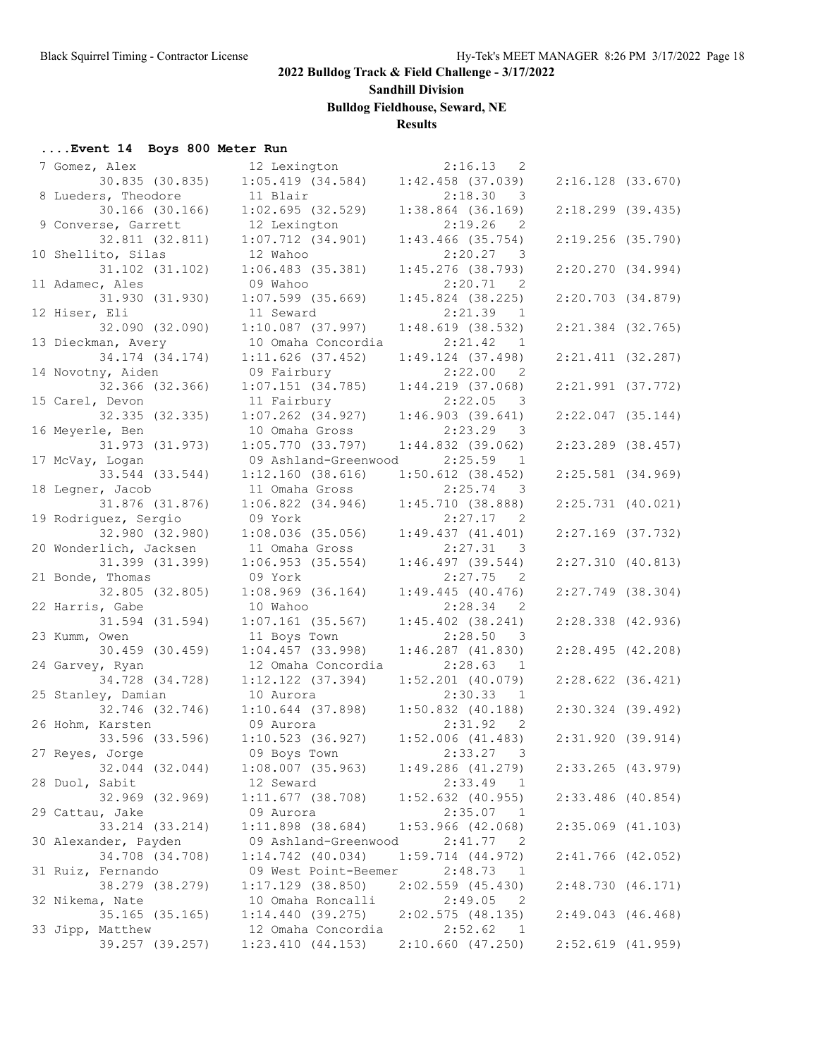# **Sandhill Division**

**Bulldog Fieldhouse, Seward, NE**

## **Results**

#### **....Event 14 Boys 800 Meter Run**

| 7 Gomez, Alex          | 12 Lexington          | 2:16.13<br>- 2                        |                       |  |
|------------------------|-----------------------|---------------------------------------|-----------------------|--|
| 30.835 (30.835)        | $1:05.419$ (34.584)   | $1:42.458$ (37.039)                   | $2:16.128$ $(33.670)$ |  |
| 8 Lueders, Theodore    | 11 Blair              | 2:18.30<br>- 3                        |                       |  |
| 30.166 (30.166)        | 1:02.695(32.529)      | $1:38.864$ (36.169)                   | $2:18.299$ (39.435)   |  |
| 9 Converse, Garrett    | 12 Lexington          | 2:19.26<br>2                          |                       |  |
| 32.811 (32.811)        | $1:07.712$ $(34.901)$ | $1:43.466$ (35.754)                   | $2:19.256$ (35.790)   |  |
|                        |                       | 2:20.27                               |                       |  |
| 10 Shellito, Silas     | 12 Wahoo              | $\overline{\phantom{a}}$              |                       |  |
| 31.102 (31.102)        | $1:06.483$ (35.381)   | $1:45.276$ (38.793)                   | 2:20.270(34.994)      |  |
| 11 Adamec, Ales        | 09 Wahoo              | 2:20.71<br>$\overline{\phantom{0}}^2$ |                       |  |
| 31.930 (31.930)        | $1:07.599$ (35.669)   | $1:45.824$ (38.225)                   | $2:20.703$ $(34.879)$ |  |
| 12 Hiser, Eli          | 11 Seward             | 2:21.39 1                             |                       |  |
| 32.090 (32.090)        | $1:10.087$ (37.997)   | $1:48.619$ (38.532)                   | $2:21.384$ (32.765)   |  |
| 13 Dieckman, Avery     | 10 Omaha Concordia    | 2:21.42<br>$\mathbf{1}$               |                       |  |
| 34.174 (34.174)        | $1:11.626$ (37.452)   | 1:49.124(37.498)                      | $2:21.411$ (32.287)   |  |
| 14 Novotny, Aiden      | 09 Fairbury           | 2:22.00<br>- 2                        |                       |  |
| 32.366 (32.366)        | 1:07.151(34.785)      | 1:44.219(37.068)                      | $2:21.991$ (37.772)   |  |
| 15 Carel, Devon        | 11 Fairbury           | 2:22.05 3                             |                       |  |
| 32.335 (32.335)        | $1:07.262$ $(34.927)$ | 1:46.903(39.641)                      | $2:22.047$ (35.144)   |  |
| 16 Meyerle, Ben        | 10 Omaha Gross        | 2:23.29<br>$\overline{\phantom{a}}$   |                       |  |
| 31.973 (31.973)        | 1:05.770(33.797)      | $1:44.832$ (39.062)                   | $2:23.289$ (38.457)   |  |
| 17 McVay, Logan        | 09 Ashland-Greenwood  | 2:25.59<br>$\mathbf{1}$               |                       |  |
| 33.544 (33.544)        | 1:12.160(38.616)      | $1:50.612$ (38.452)                   | $2:25.581$ (34.969)   |  |
| 18 Legner, Jacob       | 11 Omaha Gross        | $2:25.74$ 3                           |                       |  |
| 31.876 (31.876)        | $1:06.822$ $(34.946)$ | 1:45.710(38.888)                      | $2:25.731$ (40.021)   |  |
| 19 Rodriguez, Sergio   | 09 York               | 2:27.17                               |                       |  |
|                        |                       | $\overline{2}$<br>1:49.437(41.401)    |                       |  |
| 32.980 (32.980)        | $1:08.036$ (35.056)   |                                       | $2:27.169$ (37.732)   |  |
| 20 Wonderlich, Jacksen | 11 Omaha Gross        | 2:27.31<br>$\overline{\phantom{a}}$ 3 |                       |  |
| 31.399 (31.399)        | 1:06.953(35.554)      | 1:46.497(39.544)                      | 2:27.310(40.813)      |  |
| 21 Bonde, Thomas       | 09 York               | 2:27.75<br>2                          |                       |  |
| 32.805 (32.805)        | $1:08.969$ (36.164)   | 1:49.445(40.476)                      | $2:27.749$ (38.304)   |  |
| 22 Harris, Gabe        | 10 Wahoo              | 2:28.34<br>$\overline{2}$             |                       |  |
| 31.594 (31.594)        | $1:07.161$ (35.567)   | $1:45.402$ $(38.241)$                 | $2:28.338$ $(42.936)$ |  |
| 23 Kumm, Owen          | 11 Boys Town          | 2:28.50<br>- 3                        |                       |  |
| 30.459 (30.459)        | $1:04.457$ (33.998)   | $1:46.287$ $(41.830)$                 | 2:28.495(42.208)      |  |
| 24 Garvey, Ryan        | 12 Omaha Concordia    | 2:28.63<br>$\overline{1}$             |                       |  |
| 34.728 (34.728)        | $1:12.122$ $(37.394)$ | $1:52.201$ (40.079)                   | $2:28.622$ (36.421)   |  |
| 25 Stanley, Damian     | 10 Aurora             | 2:30.33<br>1                          |                       |  |
| 32.746 (32.746)        | $1:10.644$ (37.898)   | $1:50.832$ (40.188)                   | $2:30.324$ (39.492)   |  |
| 26 Hohm, Karsten       | 09 Aurora             | 2:31.92<br>-2                         |                       |  |
| 33.596 (33.596)        | 1:10.523(36.927)      | $1:52.006$ $(41.483)$                 | 2:31.920(39.914)      |  |
| 27 Reyes, Jorge        | 09 Boys Town          | 2:33.27<br>3                          |                       |  |
| 32.044 (32.044)        | $1:08.007$ (35.963)   | $1:49.286$ $(41.279)$                 | 2:33.265 (43.979)     |  |
| 28 Duol, Sabit         | 12 Seward             | 2:33.49<br><sup>1</sup>               |                       |  |
| 32.969 (32.969)        | 1:11.677(38.708)      | $1:52.632$ (40.955)                   | $2:33.486$ (40.854)   |  |
| 29 Cattau, Jake        | 09 Aurora             | 2:35.07<br>$\mathbf{1}$               |                       |  |
| 33.214 (33.214)        | $1:11.898$ (38.684)   | $1:53.966$ $(42.068)$                 | $2:35.069$ $(41.103)$ |  |
| 30 Alexander, Payden   | 09 Ashland-Greenwood  | 2:41.77<br>2                          |                       |  |
| 34.708 (34.708)        | $1:14.742$ $(40.034)$ | $1:59.714$ $(44.972)$                 | $2:41.766$ (42.052)   |  |
| 31 Ruiz, Fernando      | 09 West Point-Beemer  | 2:48.73<br>-1                         |                       |  |
| 38.279 (38.279)        | $1:17.129$ (38.850)   | 2:02.559 (45.430)                     | 2:48.730(46.171)      |  |
| 32 Nikema, Nate        | 10 Omaha Roncalli     | 2:49.05<br>$\overline{\phantom{0}}^2$ |                       |  |
| 35.165 (35.165)        | 1:14.440(39.275)      | 2:02.575(48.135)                      | 2:49.043(46.468)      |  |
| 33 Jipp, Matthew       | 12 Omaha Concordia    | 2:52.62<br>$\overline{1}$             |                       |  |
| 39.257 (39.257)        | 1:23.410(44.153)      | $2:10.660$ (47.250)                   | $2:52.619$ (41.959)   |  |
|                        |                       |                                       |                       |  |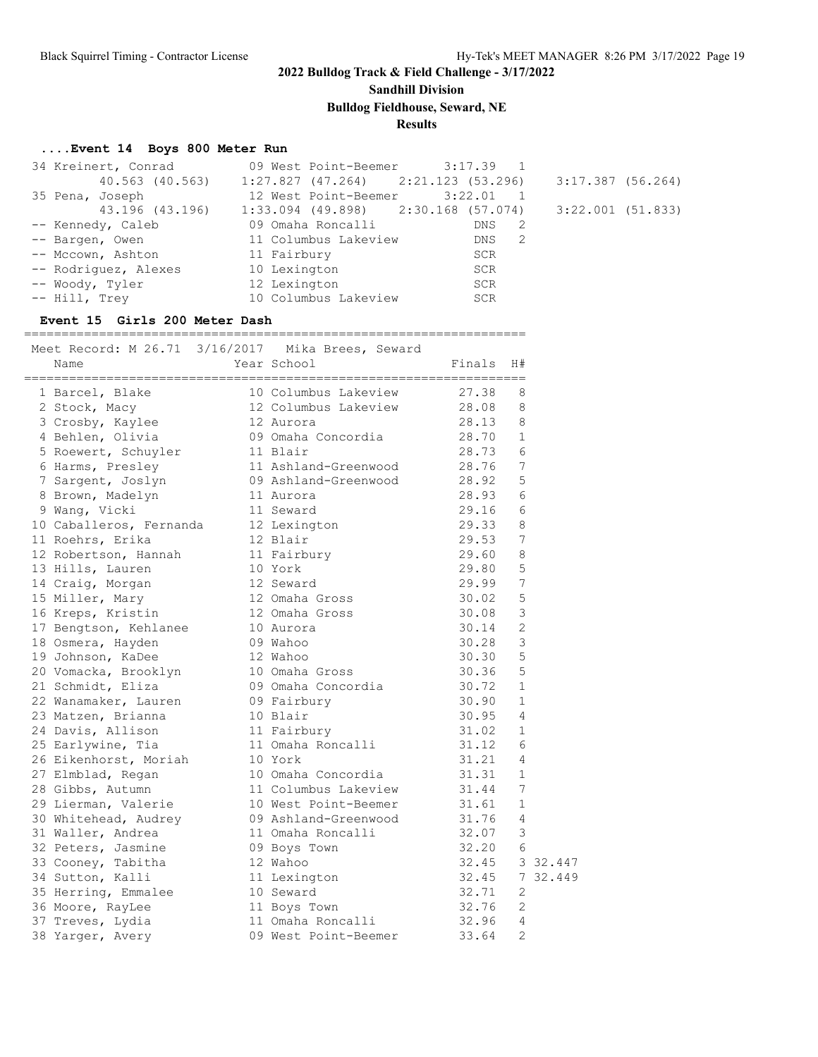**Sandhill Division**

**Bulldog Fieldhouse, Seward, NE**

**Results**

### **....Event 14 Boys 800 Meter Run**

|                      | 34 Kreinert, Conrad 69 West Point-Beemer 3:17.39 1    |       |                     |
|----------------------|-------------------------------------------------------|-------|---------------------|
|                      | $40.563$ (40.563) 1:27.827 (47.264) 2:21.123 (53.296) |       | $3:17.387$ (56.264) |
| 35 Pena, Joseph      | 12 West Point-Beemer 3:22.01 1                        |       |                     |
| 43.196 (43.196)      | $1:33.094$ (49.898) $2:30.168$ (57.074)               |       | $3:22.001$ (51.833) |
| -- Kennedy, Caleb    | 09 Omaha Roncalli                                     | DNS 2 |                     |
| -- Bargen, Owen      | 11 Columbus Lakeview                                  | DNS 2 |                     |
| -- Mccown, Ashton    | 11 Fairbury                                           | SCR   |                     |
| -- Rodriquez, Alexes | 10 Lexington                                          | SCR   |                     |
| -- Woody, Tyler      | 12 Lexington                                          | SCR   |                     |
| -- Hill, Trev        | 10 Columbus Lakeview                                  | SCR   |                     |

### **Event 15 Girls 200 Meter Dash**

===================================================================

| Meet Record: M 26.71 3/16/2017 Mika Brees, Seward<br>Name | Year School                | Finals             | H#             |
|-----------------------------------------------------------|----------------------------|--------------------|----------------|
| 1 Barcel, Blake                                           | 10 Columbus Lakeview       | 27.38              | 8              |
| 2 Stock, Macy                                             | 12 Columbus Lakeview 28.08 |                    | 8              |
| 3 Crosby, Kaylee                                          | 12 Aurora                  | 28.13              | 8              |
| 4 Behlen, Olivia                                          | 09 Omaha Concordia 28.70   |                    | $\mathbf{1}$   |
| 5 Roewert, Schuyler                                       | 11 Blair                   | 28.73 6<br>28.76 7 |                |
| 6 Harms, Presley                                          | 11 Ashland-Greenwood       |                    |                |
| 7 Sargent, Joslyn                                         | 09 Ashland-Greenwood       | 28.92 5            |                |
| 8 Brown, Madelyn                                          | 11 Aurora                  | 28.93              | 6              |
| 9 Wang, Vicki                                             | 11 Seward                  | 29.16              | 6              |
| 10 Caballeros, Fernanda 12 Lexington                      |                            | 29.33              | 8              |
| 11 Roehrs, Erika                                          | 12 Blair                   | 29.53              | 7              |
| 12 Robertson, Hannah                                      | 11 Fairbury                | 29.60              | 8              |
| 13 Hills, Lauren                                          | 10 York                    | 29.80              | 5              |
| 14 Craig, Morgan                                          | 12 Seward                  | 29.99              | 7              |
| 15 Miller, Mary                                           | 12 Omaha Gross             | 30.02              | 5              |
| 16 Kreps, Kristin                                         | 12 Omaha Gross             | 30.08              | 3              |
| 17 Bengtson, Kehlanee                                     | 10 Aurora                  | 30.14              | $\overline{2}$ |
| 18 Osmera, Hayden                                         | 09 Wahoo                   | 30.28              | 3              |
| 19 Johnson, KaDee                                         | 12 Wahoo                   | 30.30              | 5              |
| 20 Vomacka, Brooklyn                                      | 10 Omaha Gross             | 30.36              | -5             |
| 21 Schmidt, Eliza                                         | 09 Omaha Concordia         | 30.72              | $\mathbf{1}$   |
| 22 Wanamaker, Lauren                                      | 09 Fairbury                | 30.90              | $\mathbf{1}$   |
| 23 Matzen, Brianna                                        | 10 Blair                   | 30.95              | $\overline{4}$ |
| 24 Davis, Allison                                         | 11 Fairbury                | 31.02              | $\mathbf{1}$   |
| 25 Earlywine, Tia                                         | 11 Omaha Roncalli          | 31.12              | 6              |
| 26 Eikenhorst, Moriah                                     | 10 York                    | 31.21              | $\overline{4}$ |
| 27 Elmblad, Regan                                         | 10 Omaha Concordia         | 31.31              | $\mathbf{1}$   |
| 28 Gibbs, Autumn                                          | 11 Columbus Lakeview       | 31.44              | 7              |
| 29 Lierman, Valerie                                       | 10 West Point-Beemer 31.61 |                    | $\mathbf{1}$   |
| 30 Whitehead, Audrey                                      | 09 Ashland-Greenwood 31.76 |                    | 4              |
| 31 Waller, Andrea                                         | 11 Omaha Roncalli          | 32.07              | $\mathbf{3}$   |
| 32 Peters, Jasmine                                        | 09 Boys Town               | 32.20              | - 6            |
| 33 Cooney, Tabitha                                        | 12 Wahoo                   |                    | 32.45 3 32.447 |
| 34 Sutton, Kalli                                          | 11 Lexington               |                    | 32.45 7 32.449 |
| 35 Herring, Emmalee                                       | 10 Seward                  | 32.71              | 2              |
| 36 Moore, RayLee                                          | 11 Boys Town               | $32.76$ 2          |                |
| 37 Treves, Lydia                                          | 11 Omaha Roncalli          | $32.96$ 4          |                |
| 38 Yarger, Avery                                          | 09 West Point-Beemer       | 33.64              |                |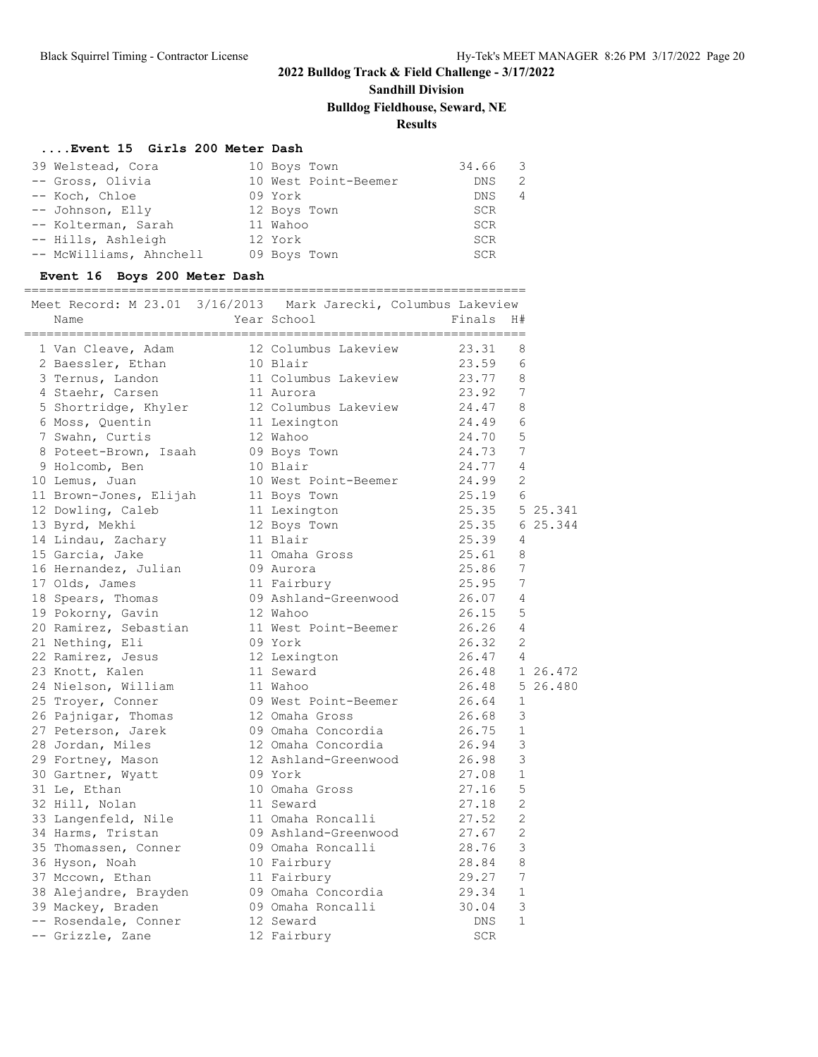# **Sandhill Division**

## **Bulldog Fieldhouse, Seward, NE**

## **Results**

### **....Event 15 Girls 200 Meter Dash**

| 39 Welstead, Cora       | 10 Boys Town         | 34.66      | $\overline{\phantom{a}}$ |
|-------------------------|----------------------|------------|--------------------------|
| -- Gross, Olivia        | 10 West Point-Beemer | DNS.       | 2                        |
| -- Koch, Chloe          | 09 York              | DNS        | 4                        |
| -- Johnson, Elly        | 12 Boys Town         | <b>SCR</b> |                          |
| -- Kolterman, Sarah     | 11 Wahoo             | <b>SCR</b> |                          |
| -- Hills, Ashleigh      | 12 York              | SCR        |                          |
| -- McWilliams, Ahnchell | 09 Boys Town         | <b>SCR</b> |                          |

### **Event 16 Boys 200 Meter Dash**

#### ===================================================================

|  | Meet Record: M 23.01 3/16/2013 Mark Jarecki, Columbus Lakeview |                                                                                                              |                |                |                |
|--|----------------------------------------------------------------|--------------------------------------------------------------------------------------------------------------|----------------|----------------|----------------|
|  | Name                                                           | Year School                                                                                                  | Finals         | H#             |                |
|  | 1 Van Cleave, Adam                                             | 12 Columbus Lakeview                                                                                         | 23.31          | 8              |                |
|  | 2 Baessler, Ethan                                              | 10 Blair                                                                                                     | 23.59          | 6              |                |
|  | 3 Ternus, Landon                                               | 11 Columbus Lakeview                                                                                         | 23.77          | 8              |                |
|  | 4 Staehr, Carsen                                               | 11 Aurora                                                                                                    | 23.92          | 7              |                |
|  | 5 Shortridge, Khyler                                           | 12 Columbus Lakeview                                                                                         | 24.47          | 8              |                |
|  | 6 Moss, Quentin                                                | 11 Lexington                                                                                                 | 24.49          | 6              |                |
|  | 7 Swahn, Curtis                                                | 12 Wahoo                                                                                                     | 24.70          | 5              |                |
|  | 8 Poteet-Brown, Isaah                                          | 09 Boys Town                                                                                                 | 24.73          | 7              |                |
|  | 9 Holcomb, Ben                                                 | 10 Blair                                                                                                     | 24.77          | 4              |                |
|  | 10 Lemus, Juan                                                 | 10 West Point-Beemer                                                                                         | 24.99          | $\overline{2}$ |                |
|  | 11 Brown-Jones, Elijah                                         | 11 Boys Town                                                                                                 | $25.19$ 6      |                |                |
|  | 12 Dowling, Caleb                                              | 11 Lexington                                                                                                 | 25.35 5 25.341 |                |                |
|  | 13 Byrd, Mekhi                                                 | 12 Boys Town                                                                                                 | 25.35 6 25.344 |                |                |
|  | 14 Lindau, Zachary                                             | 11 Blair                                                                                                     | 25.39          | 4              |                |
|  | 15 Garcia, Jake                                                | 11 Omaha Gross                                                                                               | 25.61          | 8              |                |
|  | 16 Hernandez, Julian                                           | 09 Aurora                                                                                                    | 25.86          | 7              |                |
|  | 17 Olds, James                                                 | 11 Fairbury                                                                                                  | 25.95          | 7              |                |
|  | 18 Spears, Thomas                                              | 09 Ashland-Greenwood 26.07                                                                                   |                | 4              |                |
|  | 19 Pokorny, Gavin                                              | 12 Wahoo                                                                                                     | 26.15          | 5              |                |
|  | 20 Ramirez, Sebastian                                          | 11 West Point-Beemer                                                                                         | 26.26          | $\overline{4}$ |                |
|  | 21 Nething, Eli                                                | 09 York                                                                                                      | 26.32          | 2              |                |
|  | 22 Ramirez, Jesus                                              | 12 Lexington                                                                                                 | $26.47$ 4      |                |                |
|  | 23 Knott, Kalen                                                | 11 Seward                                                                                                    |                |                | 26.48 1 26.472 |
|  | 24 Nielson, William                                            | 11 Wahoo                                                                                                     |                |                | 26.48 5 26.480 |
|  | 25 Troyer, Conner                                              | 09 West Point-Beemer                                                                                         | 26.64          | 1              |                |
|  | 26 Pajnigar, Thomas                                            | 12 Omaha Gross                                                                                               | 26.68          | 3              |                |
|  | 27 Peterson, Jarek                                             | 09 Omaha Concordia                                                                                           | 26.75          | $\mathbf{1}$   |                |
|  | 28 Jordan, Miles                                               | 12 Omaha Concordia                                                                                           | 26.94          | 3              |                |
|  | 29 Fortney, Mason                                              | 12 Ashland-Greenwood                                                                                         | 26.98          | 3              |                |
|  | 30 Gartner, Wyatt                                              | 09 York                                                                                                      | 27.08          | $\mathbf 1$    |                |
|  | 31 Le, Ethan                                                   | 10 Omaha Gross                                                                                               | 27.16          | 5              |                |
|  | 32 Hill, Nolan                                                 | 11 Seward                                                                                                    | 27.18          | $\overline{2}$ |                |
|  | 33 Langenfeld, Nile                                            | 11 Omaha Roncalli                                                                                            | 27.52          | $\overline{2}$ |                |
|  | 34 Harms, Tristan                                              | 09 Ashland-Greenwood                                                                                         | 27.67          | 2              |                |
|  | 35 Thomassen, Conner                                           | 09 Omaha Roncalli                                                                                            | 28.76          | 3              |                |
|  | 36 Hyson, Noah                                                 |                                                                                                              | 28.84          | 8              |                |
|  | 37 Mccown, Ethan                                               | $\begin{array}{c}\n 11 \text{ Fairbury} \\  \text{10} \text{Family} \\  \text{09} \text{Om} \\  \end{array}$ | 29.27          | 7              |                |
|  | 38 Alejandre, Brayden                                          | 09 Omaha Concordia 29.34                                                                                     |                | $\mathbf{1}$   |                |
|  | 39 Mackey, Braden                                              | 09 Omaha Roncalli                                                                                            | 30.04          | 3              |                |
|  | -- Rosendale, Conner                                           | 12 Seward                                                                                                    | DNS            | $\mathbf{1}$   |                |
|  | -- Grizzle, Zane                                               | 12 Fairbury                                                                                                  | <b>SCR</b>     |                |                |
|  |                                                                |                                                                                                              |                |                |                |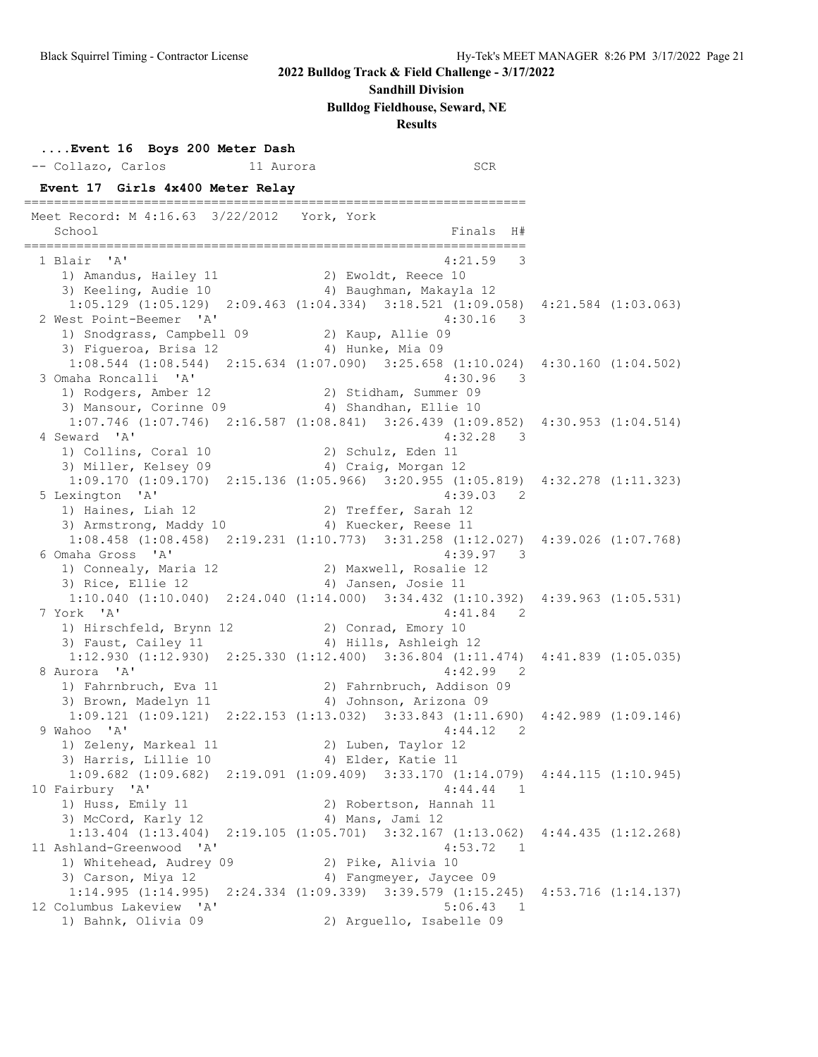**....Event 16 Boys 200 Meter Dash**

### **2022 Bulldog Track & Field Challenge - 3/17/2022**

#### **Sandhill Division**

**Bulldog Fieldhouse, Seward, NE**

**Results**

 -- Collazo, Carlos 11 Aurora SCR **Event 17 Girls 4x400 Meter Relay** =================================================================== Meet Record: M 4:16.63 3/22/2012 York, York School **Finals** H# =================================================================== 1 Blair 'A' 4:21.59 3 1) Amandus, Hailey 11 2) Ewoldt, Reece 10 3) Keeling, Audie 10 4) Baughman, Makayla 12 1:05.129 (1:05.129) 2:09.463 (1:04.334) 3:18.521 (1:09.058) 4:21.584 (1:03.063) 2 West Point-Beemer 'A' 4:30.16 3 1) Snodgrass, Campbell 09 2) Kaup, Allie 09 3) Figueroa, Brisa 12 (4) Hunke, Mia 09 1:08.544 (1:08.544) 2:15.634 (1:07.090) 3:25.658 (1:10.024) 4:30.160 (1:04.502) 3 Omaha Roncalli 'A' 4:30.96 3 1) Rodgers, Amber 12 2) Stidham, Summer 09 3) Mansour, Corinne 09 4) Shandhan, Ellie 10 1:07.746 (1:07.746) 2:16.587 (1:08.841) 3:26.439 (1:09.852) 4:30.953 (1:04.514) 4 Seward 'A' 4:32.28 3 1) Collins, Coral 10 2) Schulz, Eden 11 3) Miller, Kelsey 09 (4) Craig, Morgan 12 1:09.170 (1:09.170) 2:15.136 (1:05.966) 3:20.955 (1:05.819) 4:32.278 (1:11.323) 5 Lexington 'A' 4:39.03 2 1) Haines, Liah 12 2) Treffer, Sarah 12 3) Armstrong, Maddy 10 (4) Kuecker, Reese 11 1:08.458 (1:08.458) 2:19.231 (1:10.773) 3:31.258 (1:12.027) 4:39.026 (1:07.768) 6 Omaha Gross 'A' 4:39.97 3 1) Connealy, Maria 12 2) Maxwell, Rosalie 12 3) Rice, Ellie 12 (4) Jansen, Josie 11 1:10.040 (1:10.040) 2:24.040 (1:14.000) 3:34.432 (1:10.392) 4:39.963 (1:05.531) 7 York 'A' 4:41.84 2 1) Hirschfeld, Brynn 12 and 2) Conrad, Emory 10 3) Faust, Cailey 11 4) Hills, Ashleigh 12 1:12.930 (1:12.930) 2:25.330 (1:12.400) 3:36.804 (1:11.474) 4:41.839 (1:05.035) 8 Aurora 'A' 4:42.99 2 1) Fahrnbruch, Eva 11 2) Fahrnbruch, Addison 09 3) Brown, Madelyn 11 4) Johnson, Arizona 09 1:09.121 (1:09.121) 2:22.153 (1:13.032) 3:33.843 (1:11.690) 4:42.989 (1:09.146) 9 Wahoo 'A' 4:44.12 2 1) Zeleny, Markeal 11 2) Luben, Taylor 12 3) Harris, Lillie 10 (4) Elder, Katie 11 1:09.682 (1:09.682) 2:19.091 (1:09.409) 3:33.170 (1:14.079) 4:44.115 (1:10.945) 10 Fairbury 'A' 4:44.44 1<br>
1) Huss, Emily 11 2) Robertson, Hannah 11 1) Huss, Emily 11 2) Robertson, Hannah 11 3) McCord, Karly 12 (4) Mans, Jami 12 1:13.404 (1:13.404) 2:19.105 (1:05.701) 3:32.167 (1:13.062) 4:44.435 (1:12.268) 11 Ashland-Greenwood 'A' 4:53.72 1 1) Whitehead, Audrey 09 2) Pike, Alivia 10 3) Carson, Miya 12 4) Fangmeyer, Jaycee 09 1:14.995 (1:14.995) 2:24.334 (1:09.339) 3:39.579 (1:15.245) 4:53.716 (1:14.137) 12 Columbus Lakeview 'A' 5:06.43 1 1) Bahnk, Olivia 09 2) Arguello, Isabelle 09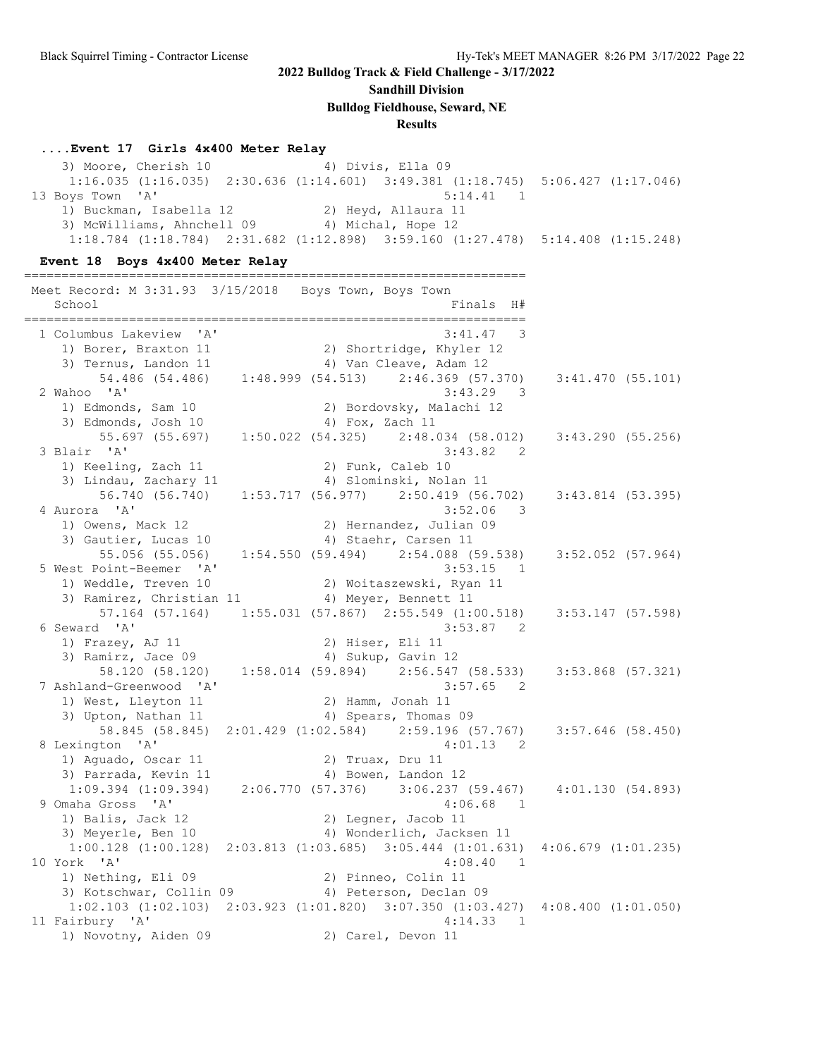**Sandhill Division**

**Bulldog Fieldhouse, Seward, NE**

#### **Results**

#### **....Event 17 Girls 4x400 Meter Relay**

3) Moore, Cherish 10 4) Divis, Ella 09 1:16.035 (1:16.035) 2:30.636 (1:14.601) 3:49.381 (1:18.745) 5:06.427 (1:17.046) 13 Boys Town 'A' 5:14.41 1 1) Buckman, Isabella 12 2) Heyd, Allaura 11 3) McWilliams, Ahnchell 09 (4) Michal, Hope 12 1:18.784 (1:18.784) 2:31.682 (1:12.898) 3:59.160 (1:27.478) 5:14.408 (1:15.248)

#### **Event 18 Boys 4x400 Meter Relay**

=================================================================== Meet Record: M 3:31.93 3/15/2018 Boys Town, Boys Town School Finals H# =================================================================== 1 Columbus Lakeview 'A' 3:41.47 3 1) Borer, Braxton 11 2) Shortridge, Khyler 12 3) Ternus, Landon 11 4) Van Cleave, Adam 12 54.486 (54.486) 1:48.999 (54.513) 2:46.369 (57.370) 3:41.470 (55.101) 2 Wahoo 'A' 3:43.29 3 1) Edmonds, Sam 10 2) Bordovsky, Malachi 12 3) Edmonds, Josh 10 4) Fox, Zach 11 55.697 (55.697) 1:50.022 (54.325) 2:48.034 (58.012) 3:43.290 (55.256) 3 Blair 'A' 3:43.82 2 1) Keeling, Zach 11 2) Funk, Caleb 10 3) Lindau, Zachary 11 4) Slominski, Nolan 11 56.740 (56.740) 1:53.717 (56.977) 2:50.419 (56.702) 3:43.814 (53.395) 4 Aurora 'A' 3:52.06 3 1) Owens, Mack 12 2) Hernandez, Julian 09 3) Gautier, Lucas 10 (4) Staehr, Carsen 11 55.056 (55.056) 1:54.550 (59.494) 2:54.088 (59.538) 3:52.052 (57.964) 5 West Point-Beemer 'A' 3:53.15 1 1) Weddle, Treven 10 2) Woitaszewski, Ryan 11 3) Ramirez, Christian 11 (4) Meyer, Bennett 11 57.164 (57.164) 1:55.031 (57.867) 2:55.549 (1:00.518) 3:53.147 (57.598) 6 Seward 'A' 3:53.87 2 1) Frazey, AJ 11 2) Hiser, Eli 11 3) Ramirz, Jace 09 4) Sukup, Gavin 12 58.120 (58.120) 1:58.014 (59.894) 2:56.547 (58.533) 3:53.868 (57.321) 7 Ashland-Greenwood 'A' 3:57.65 2 1) West, Lleyton 11 2) Hamm, Jonah 11 3) Upton, Nathan 11 4) Spears, Thomas 09 58.845 (58.845) 2:01.429 (1:02.584) 2:59.196 (57.767) 3:57.646 (58.450) 8 Lexington 'A' 4:01.13 2 1) Aguado, Oscar 11 2) Truax, Dru 11 3) Parrada, Kevin 11 (4) Bowen, Landon 12 1:09.394 (1:09.394) 2:06.770 (57.376) 3:06.237 (59.467) 4:01.130 (54.893) 9 Omaha Gross 'A' 4:06.68 1 1) Balis, Jack 12 2) Legner, Jacob 11 3) Meyerle, Ben 10 4) Wonderlich, Jacksen 11 1:00.128 (1:00.128) 2:03.813 (1:03.685) 3:05.444 (1:01.631) 4:06.679 (1:01.235) 10 York 'A' 4:08.40 1<br>1 10 Nething, Eli 09 2) Pinneo, Colin 11 1) Nething, Eli 09 2) Pinneo, Colin 11 3) Kotschwar, Collin 09 4) Peterson, Declan 09 1:02.103 (1:02.103) 2:03.923 (1:01.820) 3:07.350 (1:03.427) 4:08.400 (1:01.050) 11 Fairbury 'A' 4:14.33 1 1) Novotny, Aiden 09 2) Carel, Devon 11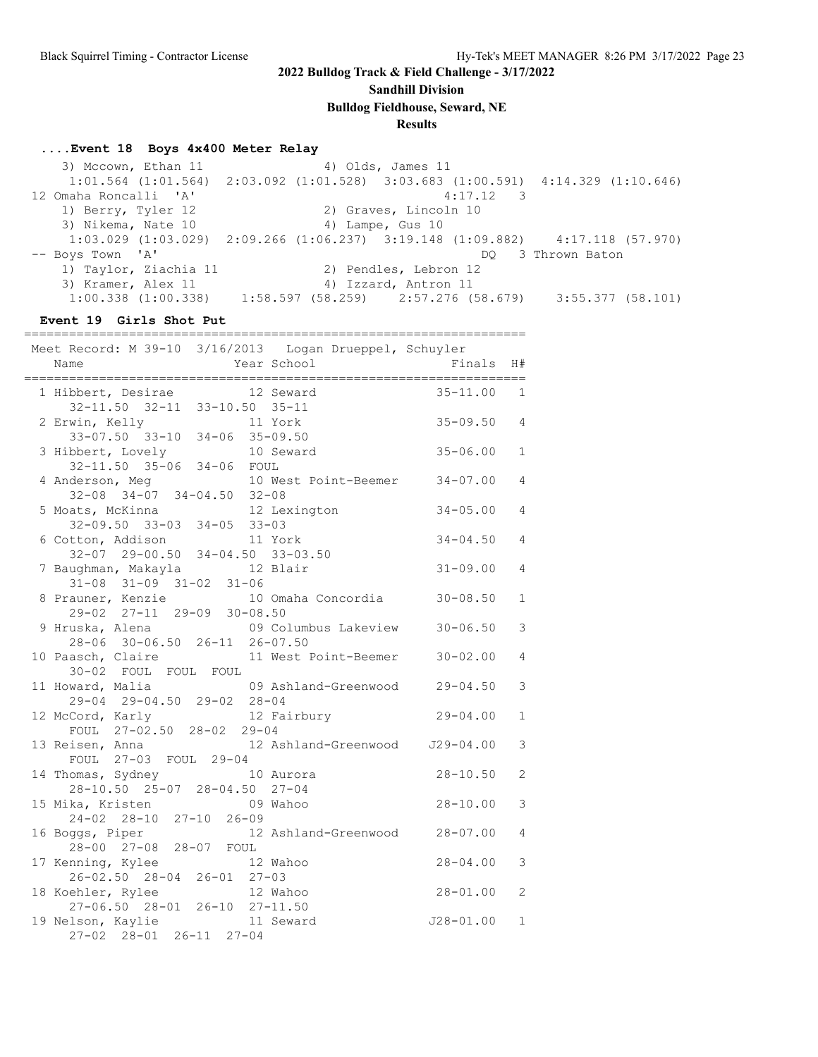**Sandhill Division**

**Bulldog Fieldhouse, Seward, NE**

### **Results**

#### **....Event 18 Boys 4x400 Meter Relay**

3) Mccown, Ethan 11 4) Olds, James 11 1:01.564 (1:01.564) 2:03.092 (1:01.528) 3:03.683 (1:00.591) 4:14.329 (1:10.646) 12 Omaha Roncalli 'A' 4:17.12 3 1) Berry, Tyler 12 2) Graves, Lincoln 10<br>3) Nikema, Nate 10 4) Lampe, Gus 10  $\frac{1}{2}$ ,  $\frac{1}{2}$ ,  $\frac{1}{2}$ ,  $\frac{1}{2}$ ,  $\frac{1}{2}$ ,  $\frac{1}{2}$ ,  $\frac{1}{2}$ ,  $\frac{1}{2}$  1:03.029 (1:03.029) 2:09.266 (1:06.237) 3:19.148 (1:09.882) 4:17.118 (57.970) -- Boys Town 'A' DQ 3 Thrown Baton 1) Taylor, Ziachia 11 2) Pendles, Lebron 12 3) Kramer, Alex 11 4) Izzard, Antron 11 1:00.338 (1:00.338) 1:58.597 (58.259) 2:57.276 (58.679) 3:55.377 (58.101)

#### **Event 19 Girls Shot Put**

===================================================================

| Meet Record: M 39-10 3/16/2013 Logan Drueppel, Schuyler<br>Name                 | Year School |                               | Finals          | H#             |
|---------------------------------------------------------------------------------|-------------|-------------------------------|-----------------|----------------|
| 1 Hibbert, Desirae 12 Seward<br>32-11.50 32-11 33-10.50 35-11                   |             |                               | $35 - 11.00$ 1  |                |
| 2 Erwin, Kelly 11 York<br>33-07.50 33-10 34-06 35-09.50                         |             |                               | $35 - 09.50$ 4  |                |
| 3 Hibbert, Lovely 10 Seward<br>32-11.50 35-06 34-06 FOUL                        |             |                               | $35 - 06.00$    | $\mathbf{1}$   |
| 4 Anderson, Meg<br>$32-08$ $34-07$ $34-04.50$ $32-08$                           |             | 10 West Point-Beemer 34-07.00 |                 | $\overline{4}$ |
| 5 Moats, McKinna<br>$32-09.50$ $33-03$ $34-05$ $33-03$                          |             | 12 Lexington                  | $34 - 05.00$    | $\overline{4}$ |
| 6 Cotton, Addison<br>$32-07$ 29-00.50 34-04.50 33-03.50                         | 11 York     |                               | $34 - 04.50$    | $\overline{4}$ |
| 7 Baughman, Makayla 12 Blair<br>$31-08$ $31-09$ $31-02$ $31-06$                 |             |                               | $31 - 09.00$    | $\overline{4}$ |
| 8 Prauner, Kenzie $10$ Omaha Concordia $30-08.50$<br>29-02 27-11 29-09 30-08.50 |             |                               |                 | $\mathbf{1}$   |
|                                                                                 |             |                               |                 | 3              |
| 10 Paasch, Claire<br>30-02 FOUL FOUL FOUL                                       |             | 11 West Point-Beemer 30-02.00 |                 | $\overline{4}$ |
| 11 Howard, Malia<br>$29-04$ $29-04.50$ $29-02$ $28-04$                          |             | 09 Ashland-Greenwood 29-04.50 |                 | 3              |
| 12 McCord, Karly<br>FOUL 27-02.50 28-02 29-04                                   |             | $12$ Fairbury $29-04.00$      |                 | $\mathbf{1}$   |
| 13 Reisen, Anna 12 Ashland-Greenwood J29-04.00<br>FOUL 27-03 FOUL 29-04         |             |                               |                 | 3              |
| 14 Thomas, Sydney 10 Aurora<br>28-10.50 25-07 28-04.50 27-04                    |             |                               | $28 - 10.50$    | 2              |
| 15 Mika, Kristen 69 Wahoo<br>24-02 28-10 27-10 26-09                            |             |                               | $28 - 10.00$    | $\mathcal{S}$  |
| 16 Boggs, Piper 12 Ashland-Greenwood 28-07.00<br>28-00 27-08 28-07 FOUL         |             |                               |                 | $\overline{4}$ |
| 17 Kenning, Kylee<br>$26-02.50$ $28-04$ $26-01$ $27-03$                         | 12 Wahoo    |                               | $28 - 04.00$    | 3              |
| 18 Koehler, Rylee<br>27-06.50 28-01 26-10 27-11.50                              |             | 12 Wahoo                      | $28 - 01.00$    | 2              |
| 19 Nelson, Kaylie<br>27-02 28-01 26-11 27-04                                    | 11 Seward   |                               | $J28 - 01.00 1$ |                |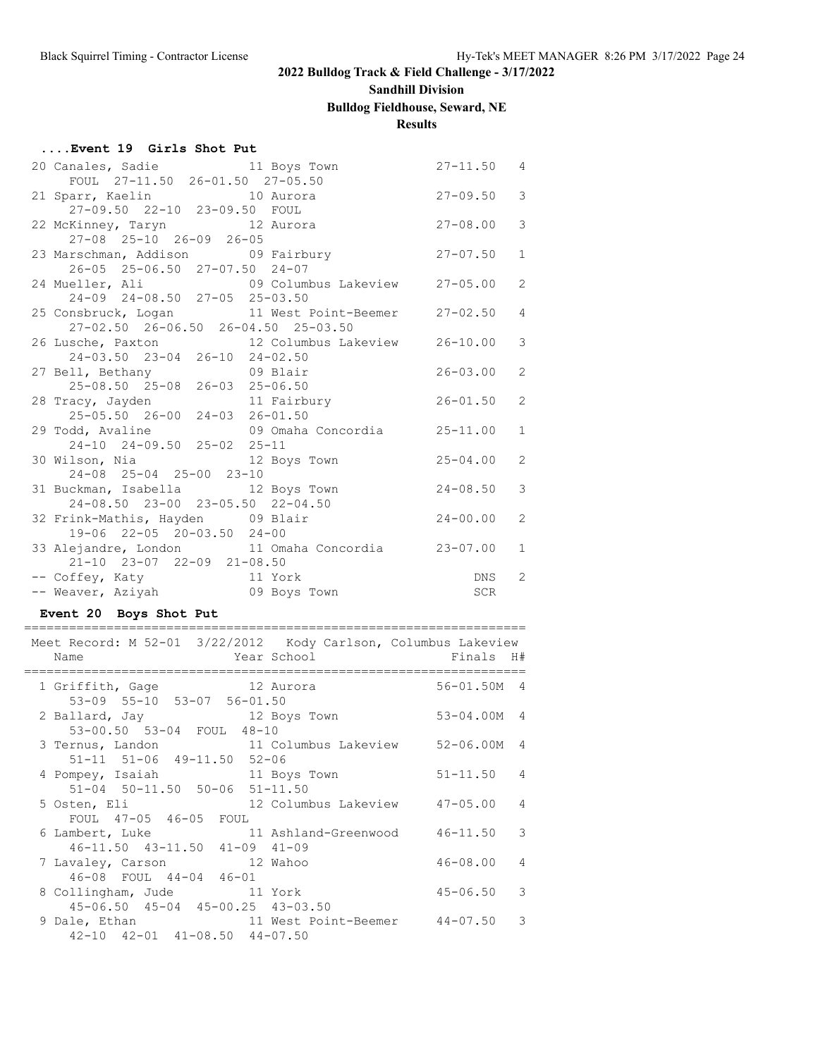# **Sandhill Division**

## **Bulldog Fieldhouse, Seward, NE**

## **Results**

| Event 19 Girls Shot Put |  |  |
|-------------------------|--|--|
|-------------------------|--|--|

| 20 Canales, Sadie and 11 Boys Town                         |                                                                      | $27 - 11.50$ 4   |                |
|------------------------------------------------------------|----------------------------------------------------------------------|------------------|----------------|
| FOUL 27-11.50 26-01.50 27-05.50                            |                                                                      |                  |                |
| 21 Sparr, Kaelin 10 Aurora<br>27-09.50 22-10 23-09.50 FOUL |                                                                      | $27 - 09.50$     | $\mathcal{S}$  |
|                                                            |                                                                      |                  |                |
|                                                            | 22 McKinney, Taryn 12 Aurora 12 27-08.00                             |                  | $\mathcal{S}$  |
| 27-08 25-10 26-09 26-05                                    |                                                                      |                  |                |
| 23 Marschman, Addison 09 Fairbury                          |                                                                      | $27 - 07.50$     | $\mathbf{1}$   |
| 26-05 25-06.50 27-07.50 24-07                              |                                                                      |                  |                |
|                                                            | 24 Mueller, Ali (09 Columbus Lakeview 27-05.00                       |                  | 2              |
| 24-09 24-08.50 27-05 25-03.50                              |                                                                      |                  |                |
|                                                            | 25 Consbruck, Logan 11 West Point-Beemer 27-02.50                    |                  | $\overline{4}$ |
| 27-02.50 26-06.50 26-04.50 25-03.50                        |                                                                      |                  |                |
|                                                            | 26 Lusche, Paxton 12 Columbus Lakeview 26-10.00                      |                  | $\mathcal{S}$  |
| 24-03.50 23-04 26-10 24-02.50                              |                                                                      |                  |                |
|                                                            | 27 Bell, Bethany 09 Blair                                            | $26 - 03.00$     | 2              |
| 25-08.50 25-08 26-03 25-06.50                              |                                                                      |                  |                |
| 28 Tracy, Jayden                                           | 11 Fairbury 26-01.50                                                 |                  | 2              |
| 25-05.50 26-00 24-03 26-01.50                              |                                                                      |                  |                |
|                                                            | 29 Todd, Avaline 19 09 Omaha Concordia 25-11.00                      |                  | $\mathbf{1}$   |
| 24-10 24-09.50 25-02 25-11                                 |                                                                      |                  |                |
|                                                            | 30 Wilson, Nia and 12 Boys Town 25-04.00                             |                  | 2              |
| 24-08 25-04 25-00 23-10                                    |                                                                      |                  |                |
| 31 Buckman, Isabella 12 Boys Town                          |                                                                      | $24 - 08.50$     | 3              |
| 24-08.50 23-00 23-05.50 22-04.50                           |                                                                      |                  |                |
| 32 Frink-Mathis, Hayden 09 Blair                           |                                                                      | $24 - 00.00$     | 2              |
| 19-06 22-05 20-03.50 24-00                                 |                                                                      |                  |                |
|                                                            | 33 Alejandre, London 11 Omaha Concordia 23-07.00                     |                  | $\mathbf{1}$   |
| 21-10 23-07 22-09 21-08.50                                 |                                                                      |                  |                |
|                                                            | -- Coffey, Katy<br>-- Coffey, Katy<br>-- Weaver, Aziyah 09 Boys Town | DNS <sub>2</sub> |                |
|                                                            |                                                                      | SCR              |                |

### **Event 20 Boys Shot Put**

| Meet Record: M 52-01 3/22/2012 Kody Carlson, Columbus Lakeview<br>Name                          |                 |                |
|-------------------------------------------------------------------------------------------------|-----------------|----------------|
|                                                                                                 |                 |                |
| 1 Griffith, Gage 12 Aurora<br>53-09 55-10 53-07 56-01.50                                        | $56 - 01.50M$ 4 |                |
| 2 Ballard, Jay 12 Boys Town                                                                     | 53-04.00M 4     |                |
| 53-00.50 53-04 FOUL 48-10                                                                       |                 |                |
| 3 Ternus, Landon 11 Columbus Lakeview 52-06.00M 4                                               |                 |                |
| 51-11 51-06 49-11.50 52-06                                                                      |                 |                |
| 4 Pompey, Isaiah 11 Boys Town                                                                   | $51-11.50$ 4    |                |
| $51-04$ $50-11.50$ $50-06$ $51-11.50$                                                           |                 |                |
| 5 Osten, Eli                 12 Columbus Lakeview       47-05.00     4<br>FOUL 47-05 46-05 FOUL |                 |                |
| 6 Lambert, Luke 11 Ashland-Greenwood 46-11.50 3                                                 |                 |                |
| 46-11.50 43-11.50 41-09 41-09                                                                   |                 |                |
| 7 Lavaley, Carson 12 Wahoo                                                                      | 46-08.00        | $\overline{4}$ |
| 46-08 FOUL 44-04 46-01                                                                          |                 |                |
| 8 Collingham, Jude 11 York                                                                      | $45 - 06.50$ 3  |                |
| 45-06.50 45-04 45-00.25 43-03.50                                                                |                 |                |
| 9 Dale, Ethan 11 West Point-Beemer 44-07.50 3                                                   |                 |                |
| 42-10 42-01 41-08.50 44-07.50                                                                   |                 |                |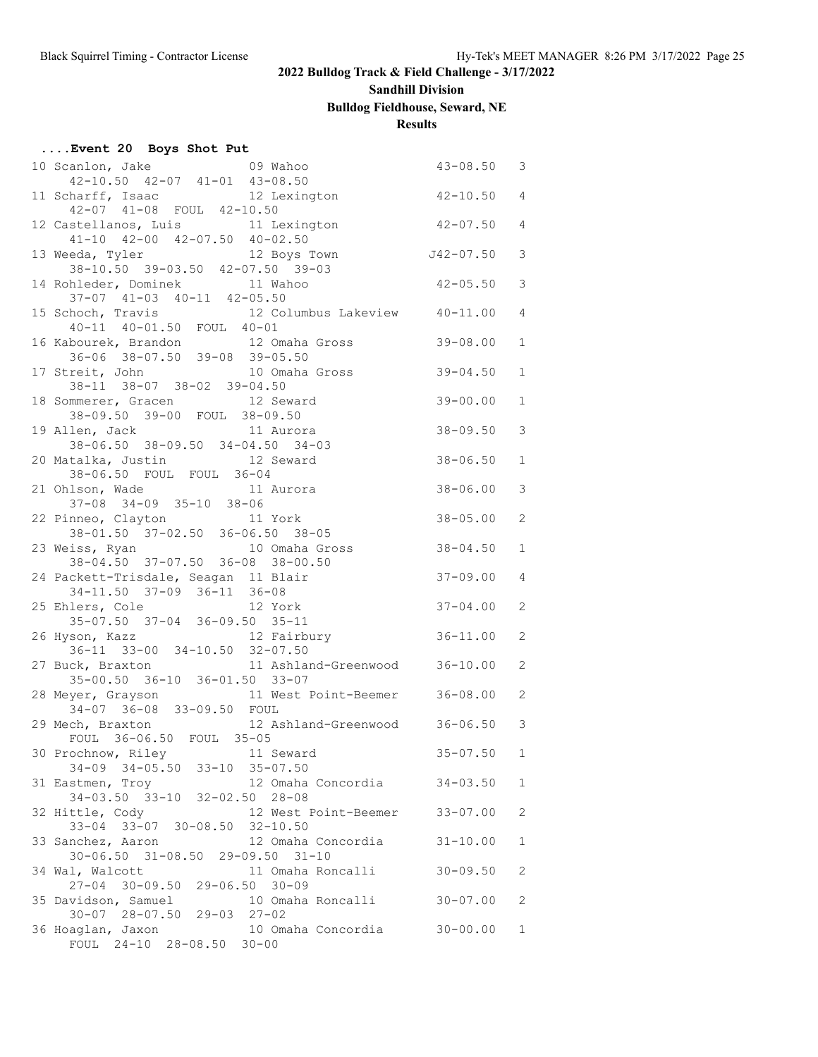## **Sandhill Division**

## **Bulldog Fieldhouse, Seward, NE**

## **Results**

| Event 20 Boys Shot Put |  |  |  |  |
|------------------------|--|--|--|--|
|------------------------|--|--|--|--|

| 10 Scanlon, Jake 69 Wahoo                                                           | $43 - 08.50$   | $\mathcal{S}$  |
|-------------------------------------------------------------------------------------|----------------|----------------|
| 42-10.50 42-07 41-01 43-08.50                                                       |                |                |
| 11 Scharff, Isaac 12 Lexington 42-10.50 4<br>42-07 41-08 FOUL 42-10.50              |                |                |
| 12 Castellanos, Luis 11 Lexington 12 -07.50 4                                       |                |                |
| $41-10$ $42-00$ $42-07.50$ $40-02.50$                                               |                |                |
| 13 Weeda, Tyler 12 Boys Town                                                        | $J42-07.50$    | 3              |
| 38-10.50 39-03.50 42-07.50 39-03                                                    |                |                |
| 14 Rohleder, Dominek 11 Wahoo                                                       | $42 - 05.50$   | 3              |
| $37-07$ $41-03$ $40-11$ $42-05.50$                                                  |                |                |
| 15 Schoch, Travis 12 Columbus Lakeview $40-11$ , $40-01$ , $50$ FOUL $40-01$        |                | $\overline{4}$ |
|                                                                                     |                |                |
| 16 Kabourek, Brandon 12 Omaha Gross                                                 | $39 - 08.00$   | $\mathbf{1}$   |
| 36-06 38-07.50 39-08 39-05.50                                                       |                |                |
| 17 Streit, John 10 Omaha Gross                                                      | $39 - 04.50$   | $\mathbf 1$    |
| 38-11 38-07 38-02 39-04.50                                                          |                |                |
| 18 Sommerer, Gracen 12 Seward<br>38-09.50 39-00 FOUL 38-09.50                       | $39 - 00.00$   | $\mathbf 1$    |
|                                                                                     |                |                |
| 11 Aurora<br>19 Allen, Jack                                                         | $38 - 09.50$   | 3              |
| 38-06.50 38-09.50 34-04.50 34-03<br>20 Matalka, Justin 12 Seward                    | $38 - 06.50$   | $\mathbf{1}$   |
| 38-06.50 FOUL FOUL 36-04                                                            |                |                |
| 21 Ohlson, Wade<br>11 Aurora                                                        | $38 - 06.00$   | 3              |
| 37-08 34-09 35-10 38-06                                                             |                |                |
| 22 Pinneo, Clayton 11 York                                                          | $38 - 05.00$   | 2              |
| $38 - 01.50$ $37 - 02.50$ $36 - 06.50$ $38 - 05$                                    |                |                |
| 23 Weiss, Ryan 10 Omaha Gross 38-04.50                                              |                | $\mathbf{1}$   |
| 38-04.50 37-07.50 36-08 38-00.50                                                    |                |                |
| 24 Packett-Trisdale, Seagan 11 Blair                                                | $37 - 09.00$   | $\overline{4}$ |
| 34-11.50 37-09 36-11 36-08                                                          |                |                |
| 12 York<br>25 Ehlers, Cole 12 York<br>35-07.50 37-04 36-09.50 35-11                 | $37 - 04.00$   | 2              |
|                                                                                     |                |                |
| 12 Fairbury 36-11.00<br>26 Hyson, Kazz                                              |                | 2              |
| $36-11$ $33-00$ $34-10.50$ $32-07.50$                                               |                |                |
| 11 Ashland-Greenwood 36-10.00<br>27 Buck, Braxton                                   |                | 2              |
| 35-00.50 36-10 36-01.50 33-07<br>11 West Point-Beemer 36-08.00<br>28 Meyer, Grayson |                | 2              |
| 34-07 36-08 33-09.50 FOUL                                                           |                |                |
| 29 Mech, Braxton 12 Ashland-Greenwood 36-06.50 3                                    |                |                |
| FOUL 36-06.50 FOUL 35-05                                                            |                |                |
|                                                                                     | $35 - 07.50$ 1 |                |
| 30 Prochnow, Riley 11 Seward<br>34-09 34-05.50 33-10 35-07.50                       |                |                |
| 31 Eastmen, Troy<br>12 Omaha Concordia                                              | 34-03.50       | $\mathbf{1}$   |
| 34-03.50 33-10 32-02.50 28-08                                                       |                |                |
| 32 Hittle, Cody<br>12 West Point-Beemer 33-07.00                                    |                | 2              |
| 33-04 33-07 30-08.50 32-10.50                                                       |                |                |
| 33 Sanchez, Aaron<br>12 Omaha Concordia                                             | $31 - 10.00$   | 1              |
| 30-06.50 31-08.50 29-09.50 31-10                                                    |                |                |
| 34 Wal, Walcott<br>11 Omaha Roncalli                                                | $30 - 09.50$   | 2              |
| 27-04 30-09.50 29-06.50<br>$30 - 09$                                                |                |                |
| 10 Omaha Roncalli<br>35 Davidson, Samuel<br>30-07 28-07.50 29-03 27-02              | $30 - 07.00$   | 2              |
| 36 Hoaglan, Jaxon<br>10 Omaha Concordia                                             | $30 - 00.00$   | 1              |
| FOUL 24-10 28-08.50 30-00                                                           |                |                |
|                                                                                     |                |                |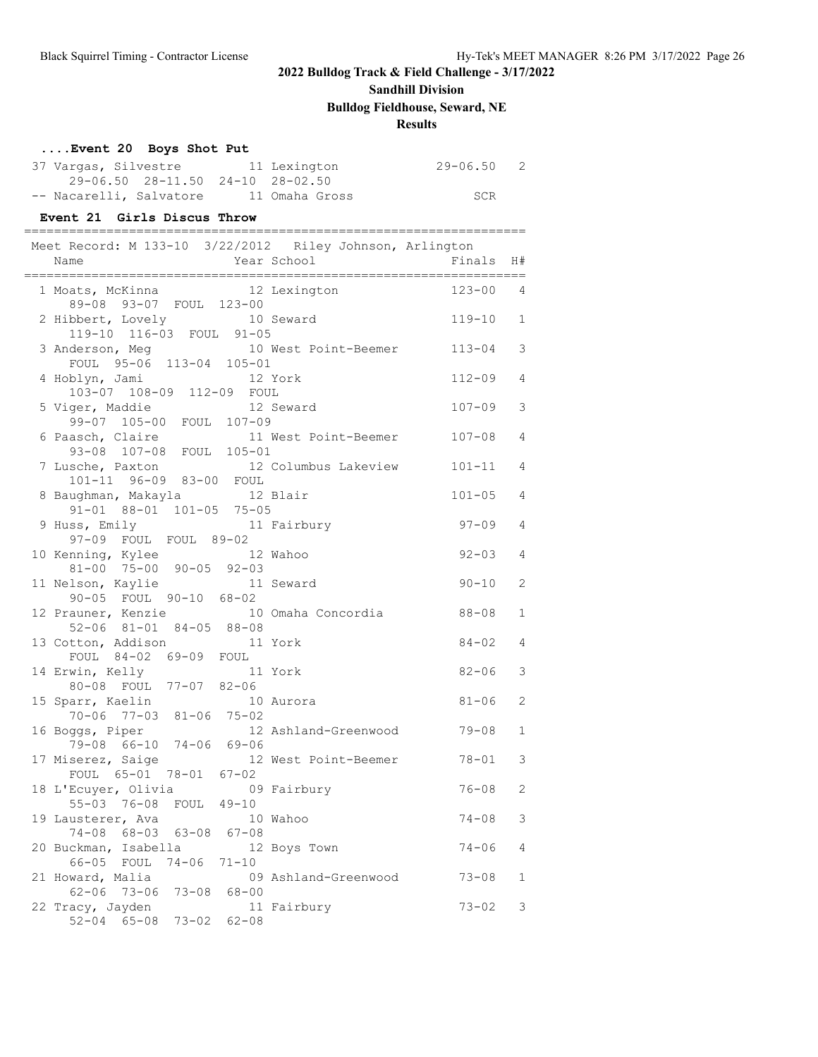## **Sandhill Division**

**Bulldog Fieldhouse, Seward, NE**

### **Results**

| Event 20 Boys Shot Put                                                             |             |                      |                |                |
|------------------------------------------------------------------------------------|-------------|----------------------|----------------|----------------|
| 37 Vargas, Silvestre 11 Lexington                                                  |             |                      | $29 - 06.50$ 2 |                |
| 29-06.50 28-11.50 24-10 28-02.50<br>-- Nacarelli, Salvatore 11 Omaha Gross         |             |                      | SCR            |                |
| Event 21 Girls Discus Throw                                                        |             |                      |                |                |
|                                                                                    |             |                      |                |                |
| Meet Record: M 133-10 3/22/2012 Riley Johnson, Arlington<br>Name                   | Year School |                      | Finals         | H#             |
| 1 Moats, McKinna 12 Lexington                                                      |             |                      | $123 - 00$ 4   |                |
| 89-08 93-07 FOUL 123-00<br>2 Hibbert, Lovely 10 Seward<br>119-10 116-03 FOUL 91-05 |             |                      | $119 - 10$ 1   |                |
| 3 Anderson, Meg 10 West Point-Beemer 113-04<br>FOUL 95-06 113-04 105-01            |             |                      |                | 3              |
| 4 Hoblyn, Jami<br>103-07 108-09 112-09 FOUL                                        | 12 York     |                      | $112 - 09$     | $\overline{4}$ |
| 5 Viger, Maddie<br>99-07 105-00 FOUL 107-09                                        |             | 12 Seward            | 107-09         | 3              |
| 6 Paasch, Claire<br>93-08 107-08 FOUL 105-01                                       |             | 11 West Point-Beemer | 107-08         | 4              |
| 7 Lusche, Paxton<br>101-11 96-09 83-00 FOUL                                        |             | 12 Columbus Lakeview | $101 - 11$     | $\overline{4}$ |
| 8 Baughman, Makayla 12 Blair<br>91-01 88-01 101-05 75-05                           |             |                      | $101 - 05$     | 4              |
| 9 Huss, Emily<br>11 Fairbury<br>97-09 FOUL FOUL 89-02                              |             |                      | 97-09          | $\overline{4}$ |
| 10 Kenning, Kylee 12 Wahoo<br>81-00 75-00 90-05 92-03                              |             |                      | $92 - 03$      | $\overline{4}$ |
| 11 Nelson, Kaylie<br>90-05 FOUL 90-10 68-02                                        |             | 11 Seward            | $90 - 10$      | 2              |
| 12 Prauner, Kenzie                                                                 |             | 10 Omaha Concordia   | 88-08          | $\mathbf{1}$   |
| 52-06 81-01 84-05 88-08<br>13 Cotton, Addison                                      | 11 York     |                      | 84-02          | $\overline{4}$ |
| FOUL 84-02 69-09 FOUL<br>14 Erwin, Kelly                                           |             | 11 York              | $82 - 06$      | 3              |
| 80-08 FOUL 77-07 82-06<br>15 Sparr, Kaelin 10 Aurora<br>70-06 77-03 81-06 75-02    |             |                      | $81 - 06$      | 2              |
| 16 Boggs, Piper<br>79-08 66-10 74-06 69-06                                         |             | 12 Ashland-Greenwood | $79 - 08$      | $\mathbf{1}$   |
| 17 Miserez, Saige<br>FOUL 65-01 78-01 67-02                                        |             | 12 West Point-Beemer | $78 - 01$      | 3              |
| 18 L'Ecuyer, Olivia<br>55-03 76-08 FOUL 49-10                                      |             | 09 Fairbury          | $76 - 08$      | 2              |
| 19 Lausterer, Ava                                                                  |             | 10 Wahoo             | $74 - 08$      | 3              |
| 74-08 68-03 63-08 67-08<br>20 Buckman, Isabella                                    |             | 12 Boys Town         | $74 - 06$      | 4              |
| 66-05 FOUL<br>$74 - 06$ $71 - 10$<br>21 Howard, Malia                              |             | 09 Ashland-Greenwood | 73-08          | 1              |
| 62-06 73-06 73-08<br>22 Tracy, Jayden<br>52-04 65-08 73-02 62-08                   | $68 - 00$   | 11 Fairbury          | 73-02          | 3              |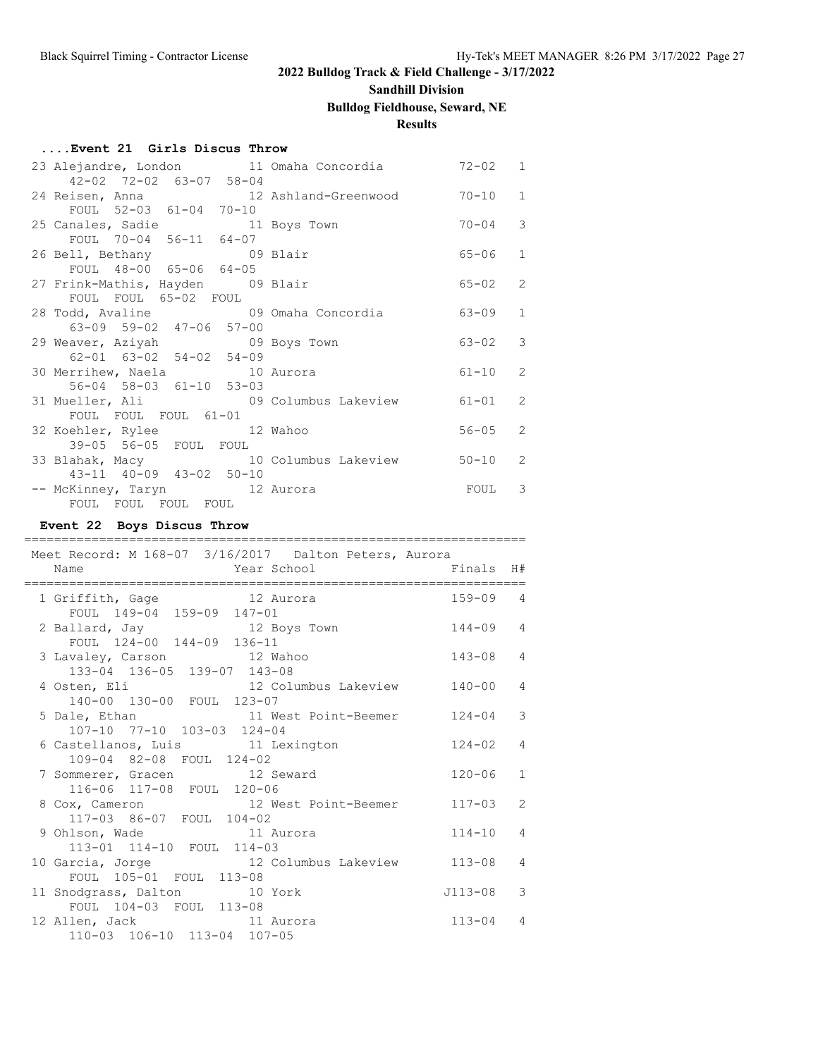# **Sandhill Division**

# **Bulldog Fieldhouse, Seward, NE**

## **Results**

### **....Event 21 Girls Discus Throw**

| 23 Alejandre, London 11 Omaha Concordia 572-02 1 |  |             |              |
|--------------------------------------------------|--|-------------|--------------|
| 42-02 72-02 63-07 58-04                          |  |             |              |
| 24 Reisen, Anna 12 Ashland-Greenwood             |  | $70 - 10$ 1 |              |
| FOUL 52-03 61-04 70-10                           |  |             |              |
| 25 Canales, Sadie 11 Boys Town                   |  | $70 - 04$ 3 |              |
| FOUL 70-04 56-11 64-07                           |  |             |              |
| 26 Bell, Bethany 69 Blair                        |  | 65-06       | $\mathbf{1}$ |
| FOUL 48-00 65-06 64-05                           |  |             |              |
| 27 Frink-Mathis, Hayden 09 Blair                 |  | $65 - 02$   | 2            |
| FOUL FOUL 65-02 FOUL                             |  |             |              |
| 28 Todd, Avaline 1990 Omaha Concordia            |  | $63 - 09$ 1 |              |
| 63-09 59-02 47-06 57-00                          |  |             |              |
| 29 Weaver, Aziyah 69 Boys Town                   |  | $63 - 02$ 3 |              |
| 62-01 63-02 54-02 54-09                          |  |             |              |
| 30 Merrihew, Naela 10 Aurora                     |  | $61 - 10$ 2 |              |
| 56-04 58-03 61-10 53-03                          |  |             |              |
| 31 Mueller, Ali 69 Columbus Lakeview             |  | $61 - 01$ 2 |              |
| FOUL FOUL FOUL 61-01                             |  |             |              |
| 32 Koehler, Rylee 12 Wahoo                       |  | $56 - 05$   | 2            |
| 39-05 56-05 FOUL FOUL                            |  |             |              |
| 33 Blahak, Macy 10 Columbus Lakeview             |  | $50 - 10$ 2 |              |
| 43-11 40-09 43-02 50-10                          |  |             |              |
| -- McKinney, Taryn 12 Aurora                     |  | FOUL 3      |              |
| FOUL FOUL FOUL FOUL                              |  |             |              |

### **Event 22 Boys Discus Throw**

| =========<br>Meet Record: M 168-07 3/16/2017 Dalton Peters, Aurora                                   |              |               |
|------------------------------------------------------------------------------------------------------|--------------|---------------|
| Year School Finals<br>Name                                                                           |              | H#            |
| 1 Griffith, Gage 12 Aurora                                                                           | $159 - 09$ 4 |               |
| FOUL 149-04 159-09 147-01<br>2 Ballard, Jay 12 Boys Town<br>FOUL 124-00 144-09 136-11                | $144 - 09$ 4 |               |
| 3 Lavaley, Carson 12 Wahoo<br>133-04 136-05 139-07 143-08                                            | $143 - 08$   | 4             |
| 4 Osten, Eli (12 Columbus Lakeview 140-00                                                            |              | 4             |
| 140-00 130-00 FOUL 123-07<br>5 Dale, Ethan 11 West Point-Beemer 124-04<br>107-10 77-10 103-03 124-04 |              | 3             |
| 6 Castellanos, Luis 11 Lexington<br>109-04 82-08 FOUL 124-02                                         | $124 - 02$   | 4             |
| 7 Sommerer, Gracen 12 Seward<br>116-06 117-08 FOUL 120-06                                            | $120 - 06$   | $\mathbf{1}$  |
| 8 Cox, Cameron 12 West Point-Beemer 117-03                                                           |              | $\mathcal{L}$ |
| 117-03 86-07 FOUL 104-02<br>9 Ohlson, Wade 11 Aurora<br>113-01 114-10 FOUL 114-03                    | $114 - 10$   | 4             |
| 10 Garcia, Jorge 12 Columbus Lakeview 113-08                                                         |              | 4             |
| FOUL 105-01 FOUL 113-08<br>11 Snodgrass, Dalton 10 York                                              | J113-08      | 3             |
| FOUL 104-03 FOUL 113-08<br>12 Allen, Jack 11 Aurora<br>110-03 106-10 113-04 107-05                   | $113 - 04$   | 4             |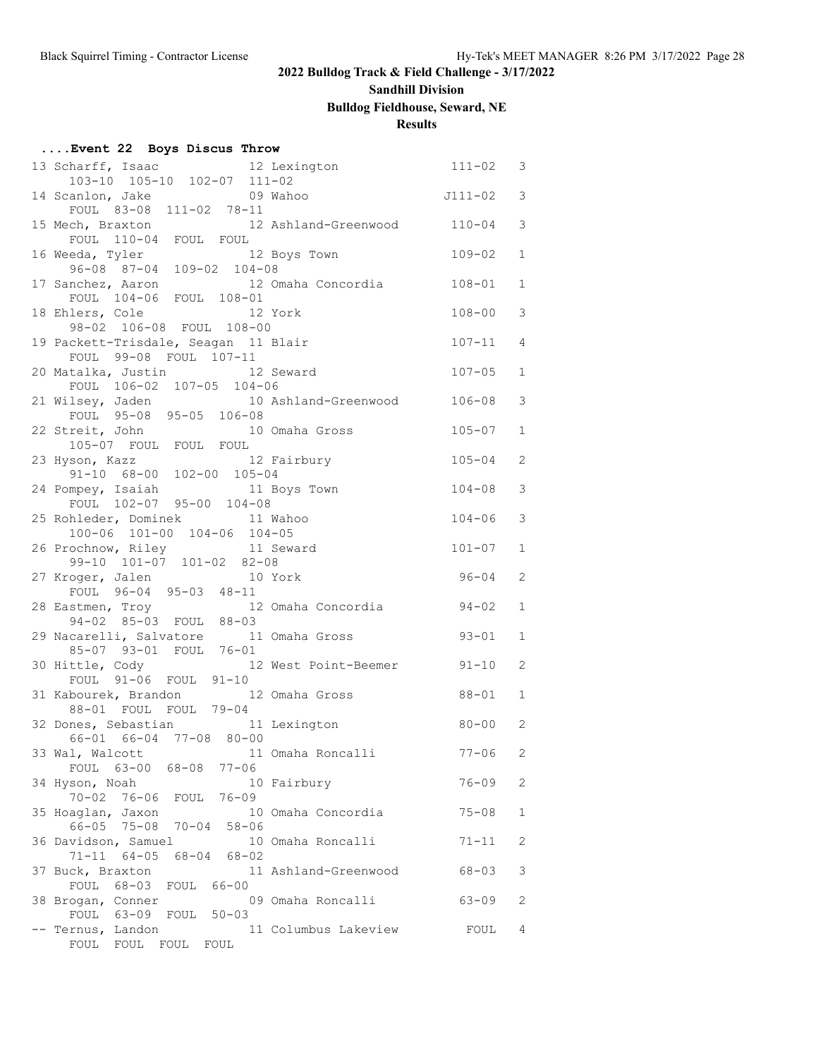### **Sandhill Division**

## **Bulldog Fieldhouse, Seward, NE**

## **Results**

| Event 22 Boys Discus Throw |  |  |  |  |
|----------------------------|--|--|--|--|
|----------------------------|--|--|--|--|

| 13 Scharff, Isaac 12 Lexington                                               | $111 - 02$ | 3            |
|------------------------------------------------------------------------------|------------|--------------|
| 103-10 105-10 102-07 111-02                                                  |            |              |
| $J111-02$ 3<br>14 Scanlon, Jake 09 Wahoo                                     |            |              |
| FOUL 83-08 111-02 78-11                                                      |            | 3            |
| 15 Mech, Braxton 12 Ashland-Greenwood 110-04<br>FOUL 110-04 FOUL FOUL        |            |              |
| 12 Boys Town                                                                 | 109-02     | $\mathbf{1}$ |
| 16 Weeda, Tyler 12 Both 12 Both 12 Both 109-02 104-08                        |            |              |
| 12 Omaha Concordia 108-01<br>17 Sanchez, Aaron                               |            | $\mathbf{1}$ |
| FOUL 104-06 FOUL 108-01                                                      |            |              |
| 18 Ehlers, Cole<br>12 York                                                   | $108 - 00$ | 3            |
| 98-02 106-08 FOUL 108-00                                                     |            |              |
| 19 Packett-Trisdale, Seagan 11 Blair                                         | $107 - 11$ | 4            |
| FOUL 99-08 FOUL 107-11                                                       |            |              |
| 20 Matalka, Justin 12 Seward                                                 | $107 - 05$ | $\mathbf{1}$ |
| FOUL 106-02 107-05 104-06                                                    |            |              |
| 21 Wilsey, Jaden 10 Ashland-Greenwood 106-08<br>FOUL 95-08 95-05 106-08      |            | 3            |
| 10 Omaha Gross<br>22 Streit, John                                            | $105 - 07$ | $\mathbf{1}$ |
| reit, John 10:<br>105-07 FOUL FOUL FOUL                                      |            |              |
| 12 Fairbury<br>23 Hyson, Kazz                                                | $105 - 04$ | 2            |
| 91-10 68-00 102-00 105-04                                                    |            |              |
| 24 Pompey, Isaiah<br>11 Boys Town                                            | $104 - 08$ | 3            |
| FOUL 102-07 95-00 104-08                                                     |            |              |
| 25 Rohleder, Dominek 11 Wahoo                                                | $104 - 06$ | 3            |
| 100-06 101-00 104-06 104-05                                                  |            |              |
| 26 Prochnow, Riley 11 Seward                                                 | $101 - 07$ | $\mathbf{1}$ |
| 99-10 101-07 101-02 82-08                                                    |            |              |
| 27 Kroger, Jalen 10 York<br>FOUL 96-04 95-03 48-11                           | 96-04      | 2            |
|                                                                              | $94 - 02$  | $\mathbf{1}$ |
| 28 Eastmen, Troy 12 Omaha Concordia<br>94-02 85-03 FOUL 88-03                |            |              |
| 29 Nacarelli, Salvatore 11 Omaha Gross                                       | $93 - 01$  | $\mathbf 1$  |
| 85-07 93-01 FOUL 76-01                                                       |            |              |
| 30 Hittle, Cody<br>12 West Point-Beemer 91-10                                |            | 2            |
| FOUL 91-06 FOUL 91-10                                                        |            |              |
| 31 Kabourek, Brandon 12 Omaha Gross                                          | 88-01      | 1            |
| 88-01 FOUL FOUL 79-04                                                        |            |              |
| 32 Dones, Sebastian 11 Lexington                                             | $80 - 00$  | 2            |
| 66-01 66-04 77-08 80-00                                                      |            |              |
| 33 Wal, Walcott 11 Omaha Roncalli<br>$77 - 06$                               | $77 - 06$  | 2            |
| FOUL 63-00 68-08<br>34 Hyson, Noah<br>10 Fairbury                            | $76 - 09$  | 2            |
| $70 - 02$<br>76-06 FOUL 76-09                                                |            |              |
| 10 Omaha Concordia<br>35 Hoaglan, Jaxon                                      | $75 - 08$  | 1            |
| 66-05 75-08 70-04 58-06                                                      |            |              |
| 36 Davidson, Samuel<br>10 Omaha Roncalli                                     | 71-11      | 2            |
| $71 - 11$ $64 - 05$<br>$68 - 04$<br>$68 - 02$                                |            |              |
| 37 Buck, Braxton<br>11 Ashland-Greenwood                                     | $68 - 03$  | 3            |
| FOUL 68-03<br>FOUL<br>$66 - 00$                                              |            |              |
| 38 Brogan, Conner<br>09 Omaha Roncalli                                       | $63 - 09$  | 2            |
| FOUL 63-09<br>FOUL<br>$50 - 03$<br>-- Ternus, Landon<br>11 Columbus Lakeview | FOUL       | 4            |
| FOUL FOUL FOUL<br>FOUL                                                       |            |              |
|                                                                              |            |              |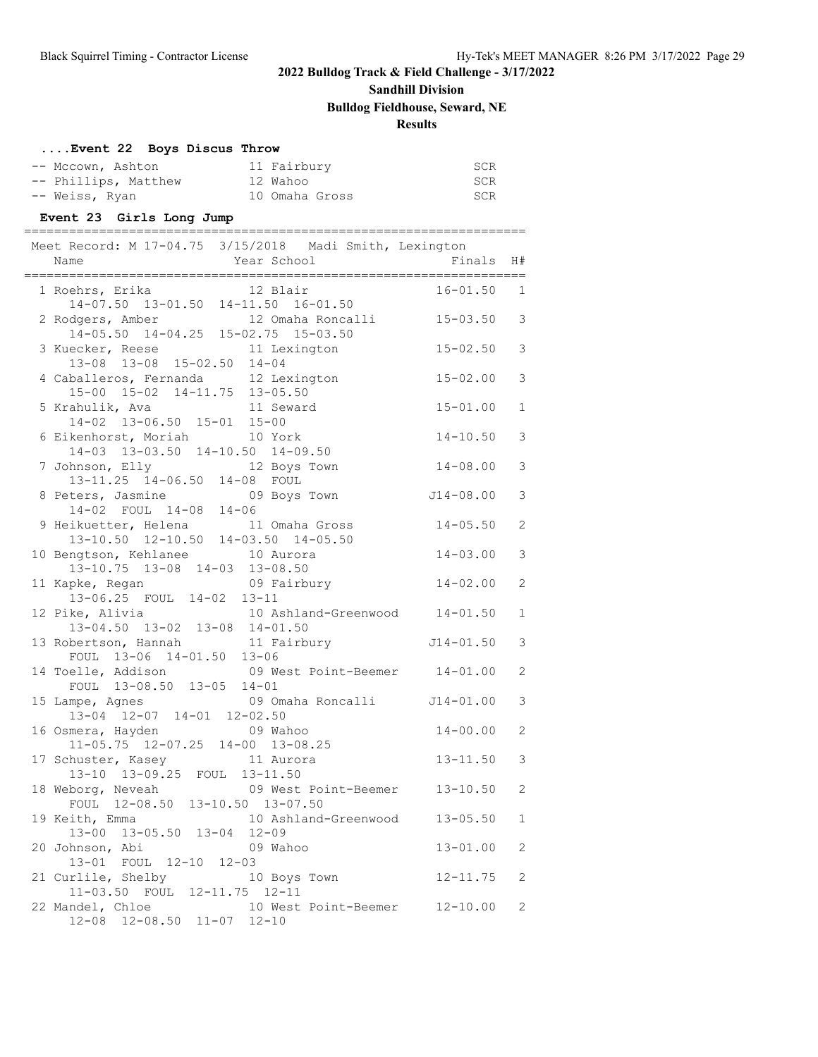# **Sandhill Division**

## **Bulldog Fieldhouse, Seward, NE**

### **Results**

## **....Event 22 Boys Discus Throw**

| -- Mccown, Ashton    | 11 Fairbury    | SCR |
|----------------------|----------------|-----|
| -- Phillips, Matthew | 12 Wahoo       | SCR |
| -- Weiss, Ryan       | 10 Omaha Gross | SCR |

### **Event 23 Girls Long Jump**

| Meet Record: M 17-04.75 3/15/2018 Madi Smith, Lexington<br>Name<br>====================================  | Year School                     | Finals H#                   |                                  |
|----------------------------------------------------------------------------------------------------------|---------------------------------|-----------------------------|----------------------------------|
| 1 Roehrs, Erika 12 Blair<br>14-07.50 13-01.50 14-11.50 16-01.50                                          |                                 | $16 - 01.50$ 1              |                                  |
| 2 Rodgers, Amber<br>$14-05.50$ $14-04.25$ $15-02.75$ $15-03.50$                                          | 12 Omaha Roncalli 15-03.50 3    |                             |                                  |
| 3 Kuecker, Reese 11 Lexington<br>13-08 13-08 15-02.50 14-04                                              |                                 | $15 - 02.50$                | $\mathfrak{Z}$                   |
| 4 Caballeros, Fernanda 12 Lexington<br>15-00 15-02 14-11.75 13-05.50<br>5 Krahulik, Ava 11 Seward        |                                 | $15 - 02.00$                | 3                                |
| $14-02$ $13-06.50$ $15-01$ $15-00$                                                                       |                                 | $15 - 01.00$                | $\mathbf{1}$                     |
| 6 Eikenhorst, Moriah 10 York<br>14-03 13-03.50 14-10.50 14-09.50                                         |                                 | $14 - 10.50$                | $\mathfrak{Z}$                   |
| 7 Johnson, Elly 12 Boys Town<br>13-11.25 14-06.50 14-08 FOUL                                             |                                 | $14 - 08.00$                | 3                                |
| 8 Peters, Jasmine 09 Boys Town<br>14-02 FOUL 14-08 14-06<br>9 Heikuetter, Helena 11 Omaha Gross          |                                 | $J14-08.00$<br>$14 - 05.50$ | $\mathfrak{Z}$<br>$\overline{c}$ |
| 13-10.50 12-10.50 14-03.50 14-05.50<br>10 Bengtson, Kehlanee 10 Aurora                                   |                                 | $14 - 03.00$                | 3                                |
| 13-10.75 13-08 14-03 13-08.50<br>11 Kapke, Regan                                                         | 09 Fairbury                     | $14 - 02.00$                | 2                                |
| 13-06.25 FOUL 14-02 13-11<br>12 Pike, Alivia 10 Ashland-Greenwood 14-01.50                               |                                 |                             | $\mathbf{1}$                     |
| 13-04.50 13-02 13-08 14-01.50<br>13 Robertson, Hannah 11 Fairbury 514-01.50<br>FOUL 13-06 14-01.50 13-06 |                                 |                             | 3                                |
| 14 Toelle, Addison 69 West Point-Beemer 14-01.00                                                         |                                 |                             | $\overline{c}$                   |
| FOUL 13-08.50 13-05 14-01<br>15 Lampe, Agnes 69 Omaha Roncalli 114-01.00                                 |                                 |                             | $\mathfrak{Z}$                   |
| $13-04$ $12-07$ $14-01$ $12-02.50$<br>16 Osmera, Hayden<br>11-05.75 12-07.25 14-00 13-08.25              | 09 Wahoo                        | $14 - 00.00$                | 2                                |
| 17 Schuster, Kasey<br>13-10 13-09.25 FOUL 13-11.50                                                       | 11 Aurora                       | 13-11.50                    | 3                                |
| 18 Weborg, Neveah<br>FOUL 12-08.50 13-10.50 13-07.50                                                     | 09 West Point-Beemer 13-10.50 2 |                             |                                  |
| 19 Keith, Emma 10 Ashland-Greenwood 13-05.50<br>13-00 13-05.50 13-04 12-09                               |                                 |                             | $\mathbf{1}$                     |
| 20 Johnson, Abi<br>13-01 FOUL 12-10 12-03                                                                | 09 Wahoo                        | $13 - 01.00$                | 2                                |
| 21 Curlile, Shelby<br>11-03.50 FOUL 12-11.75 12-11                                                       | 10 Boys Town                    | $12 - 11.75$                | $\mathbf{2}$                     |
| 22 Mandel, Chloe<br>12-08 12-08.50 11-07 12-10                                                           | 10 West Point-Beemer 12-10.00   |                             | 2                                |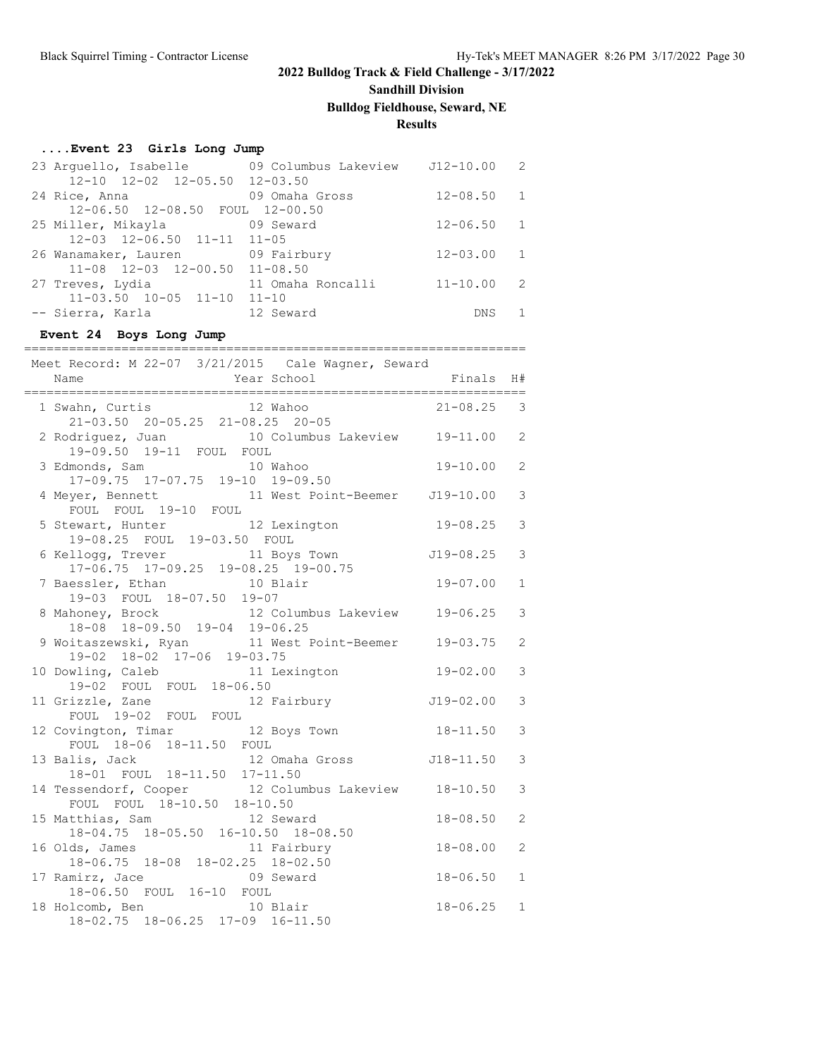# **Sandhill Division**

## **Bulldog Fieldhouse, Seward, NE**

**Results**

=========================

### **....Event 23 Girls Long Jump**

| 23 Arguello, Isabelle 69 Columbus Lakeview 512-10.00 2 |                   |                |                |
|--------------------------------------------------------|-------------------|----------------|----------------|
| $12-10$ $12-02$ $12-05.50$ $12-03.50$                  |                   |                |                |
| 24 Rice, Anna                                          | 09 Omaha Gross    | $12 - 08.50$ 1 |                |
| 12-06.50 12-08.50 FOUL 12-00.50                        |                   |                |                |
| 25 Miller, Mikayla 69 Seward                           |                   | $12 - 06.50$ 1 |                |
| $12-03$ $12-06.50$ $11-11$ $11-05$                     |                   |                |                |
| 26 Wanamaker, Lauren 69 Fairbury                       |                   | $12 - 03.00$   | $\sqrt{1}$     |
| $11-08$ $12-03$ $12-00.50$ $11-08.50$                  |                   |                |                |
| 27 Treves, Lydia                                       | 11 Omaha Roncalli | $11 - 10.00$   | $\overline{2}$ |
| $11-03.50$ $10-05$ $11-10$ $11-10$                     |                   |                |                |
| -- Sierra, Karla                                       | 12 Seward         | <b>DNS</b>     |                |

### **Event 24 Boys Long Jump**

| Meet Record: M 22-07 3/21/2015 Cale Wagner, Seward<br>Year School<br>Name                  | Finals         | H#             |
|--------------------------------------------------------------------------------------------|----------------|----------------|
| 1 Swahn, Curtis 12 Wahoo<br>$21-03.50$ $20-05.25$ $21-08.25$ $20-05.25$ $21-08.25$ $20-05$ |                |                |
| 2 Rodriguez, Juan 10 Columbus Lakeview 19-11.00 2<br>19-09.50 19-11 FOUL FOUL              |                |                |
| 3 Edmonds, Sam 10 Wahoo<br>$17-09.75$ $17-07.75$ $19-10$ $19-09.50$                        | 19-10.00       | $\overline{2}$ |
| 4 Meyer, Bennett 11 West Point-Beemer J19-10.00<br>FOUL FOUL 19-10 FOUL                    |                | 3              |
| 5 Stewart, Hunter 12 Lexington 19-08.25<br>19-08.25 FOUL 19-03.50 FOUL                     |                | 3              |
| 6 Kellogg, Trever 11 Boys Town 519-08.25<br>17-06.75 17-09.25 19-08.25 19-00.75            |                | 3              |
| 7 Baessler, Ethan 10 Blair<br>19-03 FOUL 18-07.50 19-07                                    | $19 - 07.00$   | $\mathbf{1}$   |
| 8 Mahoney, Brock 12 Columbus Lakeview 19-06.25<br>18-08 18-09.50 19-04 19-06.25            |                | 3              |
| 9 Woitaszewski, Ryan 11 West Point-Beemer 19-03.75<br>19-02 18-02 17-06 19-03.75           |                | $\overline{2}$ |
| 10 Dowling, Caleb 11 Lexington<br>19-02 FOUL FOUL 18-06.50                                 | $19 - 02.00$   | 3              |
| 11 Grizzle, Zane 12 Fairbury 19-02.00<br>FOUL 19-02 FOUL FOUL                              |                | 3              |
| 12 Covington, Timar 12 Boys Town 18-11.50<br>FOUL 18-06 18-11.50 FOUL                      |                | 3              |
| 12 Omaha Gross 518-11.50<br>13 Balis, Jack<br>18-01 FOUL 18-11.50 17-11.50                 |                | 3              |
| 14 Tessendorf, Cooper 12 Columbus Lakeview 18-10.50<br>FOUL FOUL 18-10.50 18-10.50         |                | 3              |
| 15 Matthias, Sam and 12 Seward<br>18-04.75 18-05.50 16-10.50 18-08.50                      | $18 - 08.50$   | $\overline{2}$ |
| 16 Olds, James 11 Fairbury<br>18-06.75 18-08 18-02.25 18-02.50                             | $18 - 08.00$   | $\mathfrak{D}$ |
| 17 Ramirz, Jace<br>09 Seward<br>18-06.50 FOUL 16-10 FOUL                                   | $18 - 06.50$   | $\mathbf{1}$   |
| 18 Holcomb, Ben 10 Blair<br>18-02.75 18-06.25 17-09 16-11.50                               | $18 - 06.25$ 1 |                |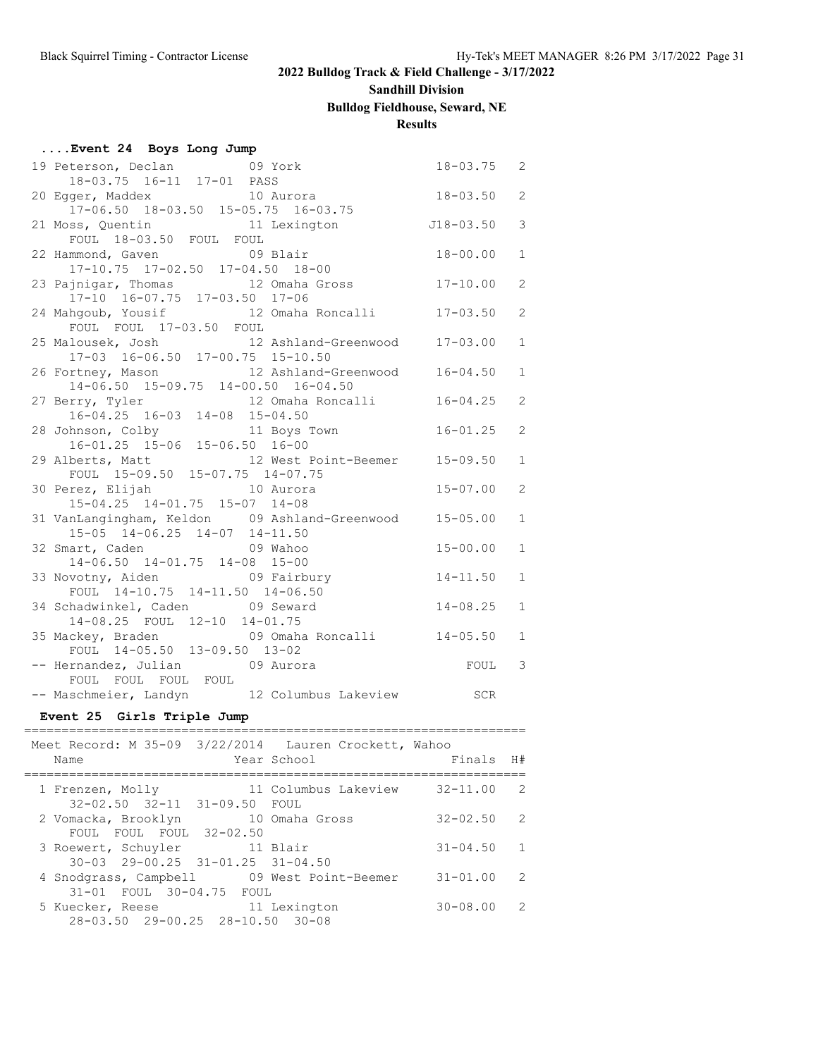## **Sandhill Division**

### **Bulldog Fieldhouse, Seward, NE**

### **Results**

| Event 24 Boys Long Jump                                                                        |                |                |
|------------------------------------------------------------------------------------------------|----------------|----------------|
| 19 Peterson, Declan 69 York<br>18-03.75  16-11  17-01  PASS                                    | $18 - 03.75$ 2 |                |
| 20 Egger, Maddex 10 Aurora                                                                     | $18 - 03.50$   | $\overline{c}$ |
| $17-06.50$ $18-03.50$ $15-05.75$ $16-03.75$<br>11 Lexington<br>21 Moss, Quentin                | $J18 - 03.50$  | 3              |
| FOUL 18-03.50 FOUL FOUL<br>22 Hammond, Gaven<br>09 Blair                                       | $18 - 00.00$   | $\mathbf{1}$   |
| 17-10.75 17-02.50 17-04.50 18-00                                                               |                |                |
| 23 Pajnigar, Thomas<br>12 Omaha Gross<br>17-10 16-07.75 17-03.50 17-06                         | $17 - 10.00$   | $\overline{c}$ |
| 12 Omaha Roncalli 17-03.50<br>24 Mahgoub, Yousif<br>FOUL FOUL 17-03.50 FOUL                    |                | $\overline{c}$ |
| 25 Malousek, Josh 12 Ashland-Greenwood<br>17-03 16-06.50 17-00.75 15-10.50                     | $17 - 03.00$   | $\mathbf{1}$   |
| 12 Ashland-Greenwood 16-04.50<br>26 Fortney, Mason                                             |                | $\mathbf{1}$   |
| 14-06.50 15-09.75 14-00.50 16-04.50<br>12 Omaha Roncalli<br>27 Berry, Tyler                    | $16 - 04.25$   | $\overline{c}$ |
| $16-04.25$ $16-03$ $14-08$ $15-04.50$<br>11 Boys Town<br>11 Boys 16-01.25 15-06 15-06.50 16-00 | $16 - 01.25$   | $\overline{c}$ |
| 12 West Point-Beemer 15-09.50<br>29 Alberts, Matt                                              |                | $\mathbf{1}$   |
| FOUL 15-09.50 15-07.75 14-07.75<br>10 Aurora<br>30 Perez, Elijah                               | $15 - 07.00$   | $\overline{c}$ |
| 15-04.25 14-01.75 15-07 14-08                                                                  |                |                |
| 31 VanLangingham, Keldon 09 Ashland-Greenwood 15-05.00<br>15-05 14-06.25 14-07 14-11.50        |                | $\mathbf{1}$   |
| 09 Wahoo<br>32 Smart, Caden<br>$14-06.50$ $14-01.75$ $14-08$ $15-00$                           | $15 - 00.00$   | $\mathbf{1}$   |
| 33 Novotny, Aiden 69 Fairbury                                                                  | $14 - 11.50$   | $\mathbf{1}$   |
| FOUL 14-10.75 14-11.50 14-06.50<br>34 Schadwinkel, Caden 09 Seward                             | $14 - 08.25$   | $\mathbf{1}$   |
| 14-08.25 FOUL 12-10 14-01.75<br>09 Omaha Roncalli 14-05.50<br>35 Mackey, Braden                |                | $\mathbf{1}$   |
| FOUL 14-05.50 13-09.50 13-02<br>-- Hernandez, Julian 69 Aurora                                 | FOUL           | 3              |
| FOUL FOUL FOUL FOUL<br>-- Maschmeier, Landyn 12 Columbus Lakeview                              | SCR            |                |
| Event 25 Girls Triple Jump                                                                     |                |                |
| Meet Record: M 35-09 3/22/2014 Lauren Crockett, Wahoo                                          | Finals H#      |                |
| 1 Frenzen, Molly 11 Columbus Lakeview 32-11.00 2<br>32-02.50 32-11 31-09.50 FOUL               |                |                |

2 Vomacka, Brooklyn 10 Omaha Gross 32-02.50 2

3 Roewert, Schuyler 11 Blair 31-04.50 1

4 Snodgrass, Campbell 09 West Point-Beemer 31-01.00 2

5 Kuecker, Reese 11 Lexington 30-08.00 2

FOUL FOUL FOUL 32-02.50

30-03 29-00.25 31-01.25 31-04.50

28-03.50 29-00.25 28-10.50 30-08

31-01 FOUL 30-04.75 FOUL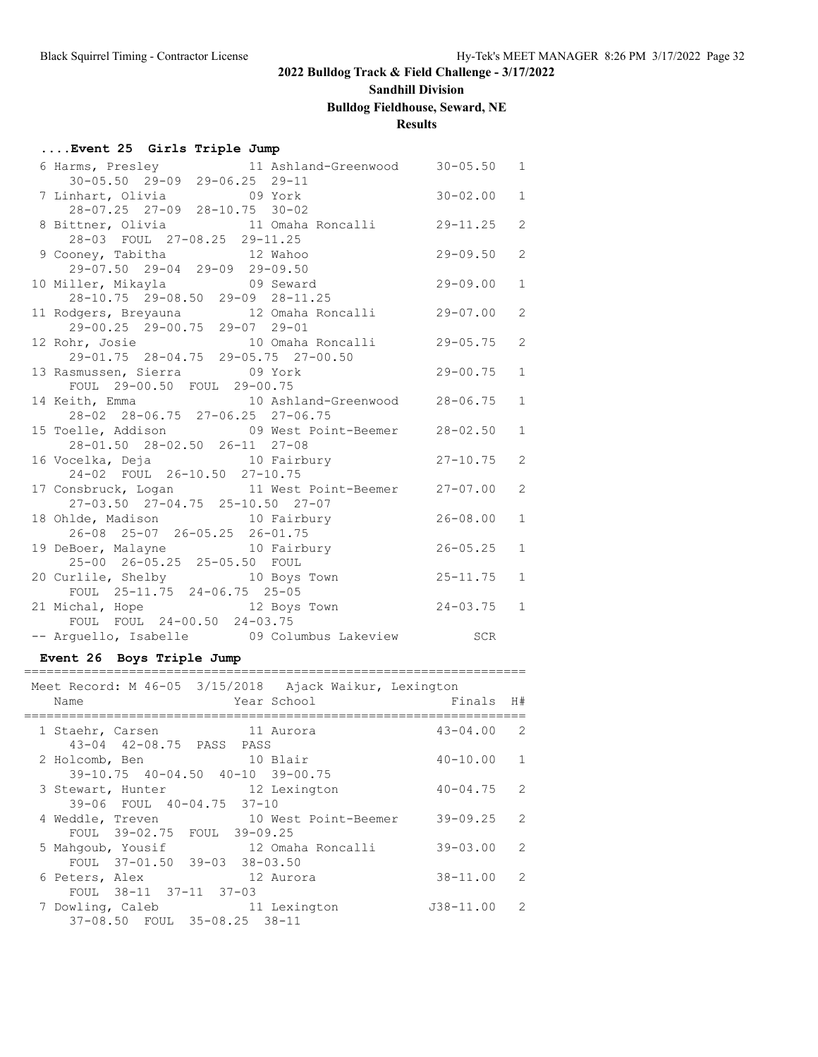# **Sandhill Division**

# **Bulldog Fieldhouse, Seward, NE**

**Results**

### **....Event 25 Girls Triple Jump**

|                                                                                                                |              | $\mathbf{1}$   |
|----------------------------------------------------------------------------------------------------------------|--------------|----------------|
| 6 Harms, Presley 11 Ashland-Greenwood 30-05.50<br>30-05.50 29-09 29-06.25 29-11                                |              |                |
|                                                                                                                |              | $\mathbf{1}$   |
| 28-07.25 27-09 28-10.75 30-02                                                                                  |              |                |
| 8 Bittner, Olivia 11 Omaha Roncalli 29-11.25                                                                   |              | $\overline{2}$ |
| 28-03 FOUL 27-08.25 29-11.25                                                                                   |              |                |
| 9 Cooney, Tabitha 12 Wahoo                                                                                     | $29 - 09.50$ | 2              |
| 29-07.50 29-04 29-09 29-09.50                                                                                  |              |                |
| 10 Miller, Mikayla (1998) 99-09 28-11.25<br>28-10.75 29-08.50 29-09 28-11.25                                   |              | $\mathbf{1}$   |
|                                                                                                                |              |                |
| 11 Rodgers, Breyauna 12 Omaha Roncalli 29-07.00                                                                |              | 2              |
| 29-00.25 29-00.75 29-07 29-01                                                                                  |              |                |
| 12 Rohr, Josie 10 Omaha Roncalli 29-05.75<br>29-01.75 28-04.75 29-05.75 27-00.50                               |              | $\overline{2}$ |
|                                                                                                                |              |                |
| 13 Rasmussen, Sierra de Contra de Contra de 29-00.75                                                           |              | $\mathbf{1}$   |
| FOUL 29-00.50 FOUL 29-00.75                                                                                    |              |                |
| 14 Keith, Emma 10 Ashland-Greenwood 28-06.75                                                                   |              | $\mathbf{1}$   |
| 28-02 28-06.75 27-06.25 27-06.75                                                                               |              |                |
| 15 Toelle, Addison 09 West Point-Beemer 28-02.50                                                               |              | $\mathbf{1}$   |
| 28-01.50 28-02.50 26-11 27-08                                                                                  |              |                |
| 16 Vocelka, Deja 10 Fairbury 10 Vocelka, 27-10.75                                                              |              | 2              |
| 24-02 FOUL 26-10.50 27-10.75                                                                                   |              |                |
| 17 Consbruck, Logan 11 West Point-Beemer 27-07.00                                                              |              | 2              |
| 27-03.50 27-04.75 25-10.50 27-07<br>27-03.50 27-04.75 25-10.50 27-07<br>18 Ohlde, Madison 10 Fairbury 26-08.00 |              |                |
|                                                                                                                |              | $\mathbf{1}$   |
| 19 DeBoer, Malayne 10 Fairbury 26-05.25<br>25-00 26-05.25 25-05.50 FOUL<br>20 Curlile Shelbury                 |              | $\mathbf{1}$   |
|                                                                                                                |              |                |
| 20 Curlile, Shelby 10 Boys Town                                                                                | $25 - 11.75$ | $\mathbf{1}$   |
| FOUL 25-11.75 24-06.75 25-05                                                                                   |              |                |
| 21 Michal, Hope 12 Boys Town 24-03.75 1                                                                        |              |                |
| FOUL FOUL 24-00.50 24-03.75                                                                                    |              |                |
| -- Arguello, Isabelle 69 Columbus Lakeview 5CR                                                                 |              |                |
|                                                                                                                |              |                |

### **Event 26 Boys Triple Jump**

| Name |                                                                                        |              | Meet Record: M 46-05 3/15/2018 Ajack Waikur, Lexington<br>Year School | Finals        | H#            |
|------|----------------------------------------------------------------------------------------|--------------|-----------------------------------------------------------------------|---------------|---------------|
|      | 1 Staehr, Carsen                                                                       |              | 11 Aurora                                                             | $43 - 04.00$  | 2             |
|      | 43-04 42-08.75 PASS PASS<br>2 Holcomb, Ben<br>$39-10.75$ $40-04.50$ $40-10$ $39-00.75$ | 10 Blair     |                                                                       | $40 - 10.00$  | $\mathbf{1}$  |
|      | 3 Stewart, Hunter<br>39-06 FOUL 40-04.75 37-10                                         | 12 Lexington |                                                                       | $40 - 04.75$  | $\mathcal{L}$ |
|      | 4 Weddle, Treven<br>FOUL 39-02.75 FOUL 39-09.25                                        |              | 10 West Point-Beemer                                                  | $39 - 09.25$  | 2             |
|      | 5 Mahqoub, Yousif<br>FOUL 37-01.50 39-03 38-03.50                                      |              | 12 Omaha Roncalli                                                     | $39 - 03.00$  | 2             |
|      | 6 Peters, Alex<br>FOUL 38-11 37-11 37-03                                               |              | 12 Aurora                                                             | $38 - 11.00$  | $\mathcal{L}$ |
|      | 7 Dowling, Caleb<br>37-08.50 FOUL 35-08.25 38-11                                       |              | 11 Lexington                                                          | $J38 - 11.00$ | $\mathcal{L}$ |
|      |                                                                                        |              |                                                                       |               |               |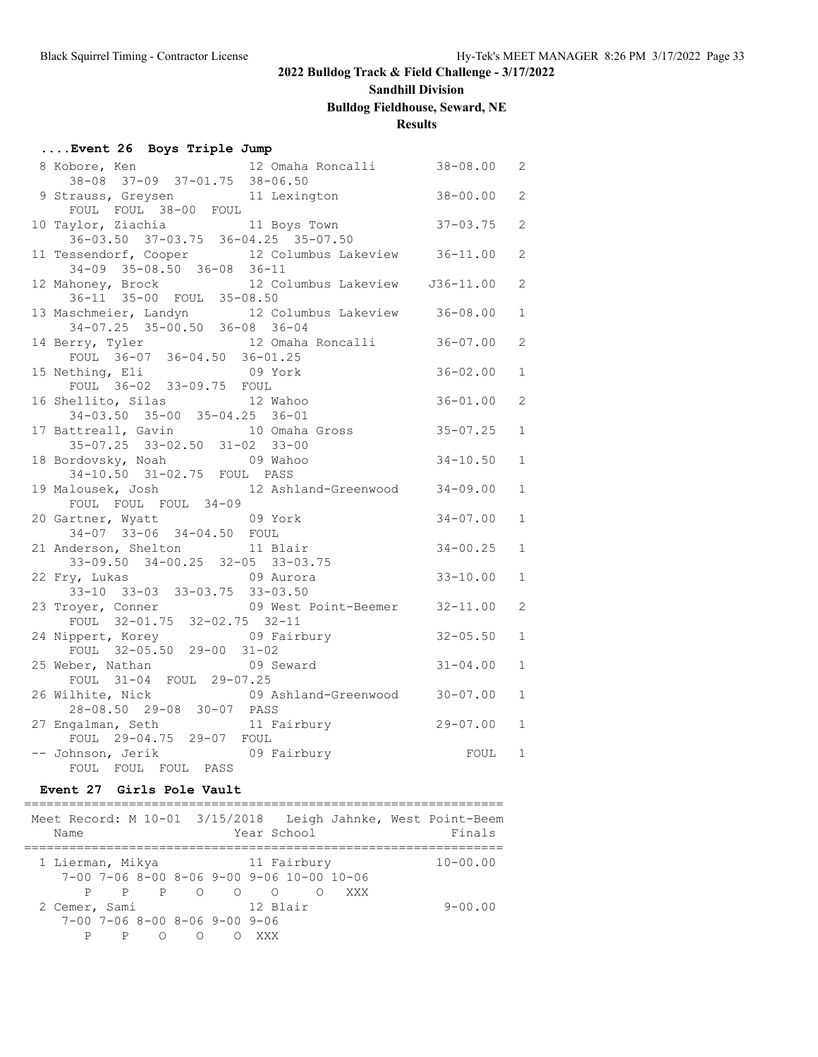# **Sandhill Division**

## **Bulldog Fieldhouse, Seward, NE**

## **Results**

| Event 26 Boys Triple Jump |  |  |  |
|---------------------------|--|--|--|
|---------------------------|--|--|--|

| 12 Omaha Roncalli 38-08.00<br>8 Kobore, Ken                                          |              | 2              |
|--------------------------------------------------------------------------------------|--------------|----------------|
| 38-08 37-09 37-01.75 38-06.50                                                        |              | 2              |
| 9 Strauss, Greysen 11 Lexington 38-00.00<br>FOUL FOUL 38-00 FOUL                     |              |                |
| 10 Taylor, Ziachia (11 Boys Town 37-03.75)                                           |              | $\overline{2}$ |
| 36-03.50 37-03.75 36-04.25 35-07.50                                                  |              |                |
| 11 Tessendorf, Cooper 12 Columbus Lakeview 36-11.00                                  |              | $\mathbf{2}$   |
| $34-09$ $35-08.50$ $36-08$ $36-11$                                                   |              |                |
| 12 Mahoney, Brock 12 Columbus Lakeview J36-11.00<br>36-11 35-00 FOUL 35-08.50        |              | 2              |
|                                                                                      |              |                |
| 13 Maschmeier, Landyn 12 Columbus Lakeview 36-08.00<br>34-07.25 35-00.50 36-08 36-04 |              | $\mathbf{1}$   |
|                                                                                      |              | $\overline{2}$ |
| 14 Berry, Tyler 12 Omaha Roncalli 36-07.00<br>FOUL 36-07 36-04.50 36-01.25           |              |                |
| 15 Nething, Eli<br>09 York                                                           | $36 - 02.00$ | $\mathbf{1}$   |
| FOUL 36-02 33-09.75 FOUL                                                             |              |                |
| 16 Shellito, Silas<br>12 Wahoo                                                       | $36 - 01.00$ | 2              |
| 34-03.50 35-00 35-04.25 36-01                                                        |              |                |
| 17 Battreall, Gavin 10 Omaha Gross 35-07.25                                          |              | $\mathbf{1}$   |
| 35-07.25 33-02.50 31-02 33-00                                                        |              |                |
| 18 Bordovsky, Noah 18 09 Wahoo                                                       | $34 - 10.50$ | $\mathbf{1}$   |
| 34-10.50 31-02.75 FOUL PASS<br>19 Malousek, Josh 12 Ashland-Greenwood 34-09.00       |              | $\mathbf{1}$   |
| FOUL FOUL FOUL 34-09                                                                 |              |                |
| 20 Gartner, Wyatt 69 York                                                            | $34 - 07.00$ | $\mathbf{1}$   |
| 34-07 33-06 34-04.50 FOUL                                                            |              |                |
| 21 Anderson, Shelton 11 Blair                                                        | $34 - 00.25$ | $\mathbf{1}$   |
| $33-09.50$ $34-00.25$ $32-05$ $33-03.75$                                             |              |                |
| 22 Fry, Lukas 69 Aurora                                                              | $33 - 10.00$ | $\mathbf{1}$   |
| 33-10 33-03 33-03.75 33-03.50                                                        |              |                |
| 23 Troyer, Conner 09 West Point-Beemer 32-11.00<br>FOUL 32-01.75 32-02.75 32-11      |              | $\overline{2}$ |
|                                                                                      |              | $\mathbf{1}$   |
| 24 Nippert, Korey 09 Fairbury 32-05.50<br>FOUL 32-05.50 29-00 31-02                  |              |                |
| 25 Weber, Nathan<br>09 Seward                                                        | $31 - 04.00$ | $\mathbf{1}$   |
| FOUL 31-04 FOUL 29-07.25                                                             |              |                |
| 09 Ashland-Greenwood 30-07.00<br>26 Wilhite, Nick                                    |              | $\mathbf{1}$   |
| 28-08.50 29-08 30-07 PASS                                                            |              |                |
| 27 Engalman, Seth 11 Fairbury 29-07.00                                               |              | $\mathbf{1}$   |
| FOUL 29-04.75 29-07 FOUL                                                             |              |                |
| -- Johnson, Jerik 09 Fairbury<br>FOUL FOUL FOUL PASS                                 | FOUL         | 1              |
|                                                                                      |              |                |

### **Event 27 Girls Pole Vault**

| Name             |   |   |                               |     | Year School |                                                           | Meet Record: M 10-01 3/15/2018 Leigh Jahnke, West Point-Beem<br>Finals |
|------------------|---|---|-------------------------------|-----|-------------|-----------------------------------------------------------|------------------------------------------------------------------------|
| 1 Lierman, Mikya |   |   | 11 Fairbury                   |     |             |                                                           | $10 - 00.00$                                                           |
|                  |   |   |                               |     |             | $7-00$ $7-06$ $8-00$ $8-06$ $9-00$ $9-06$ $10-00$ $10-06$ |                                                                        |
|                  |   |   | $P$ $P$ $P$ 0 0 0             |     |             | XXX                                                       |                                                                        |
| 2 Cemer, Sami    |   |   |                               |     | 12 Blair    |                                                           | $9 - 00.00$                                                            |
|                  |   |   | 7-00 7-06 8-00 8-06 9-00 9-06 |     |             |                                                           |                                                                        |
|                  | P | ∩ | $\circ$                       | XXX |             |                                                           |                                                                        |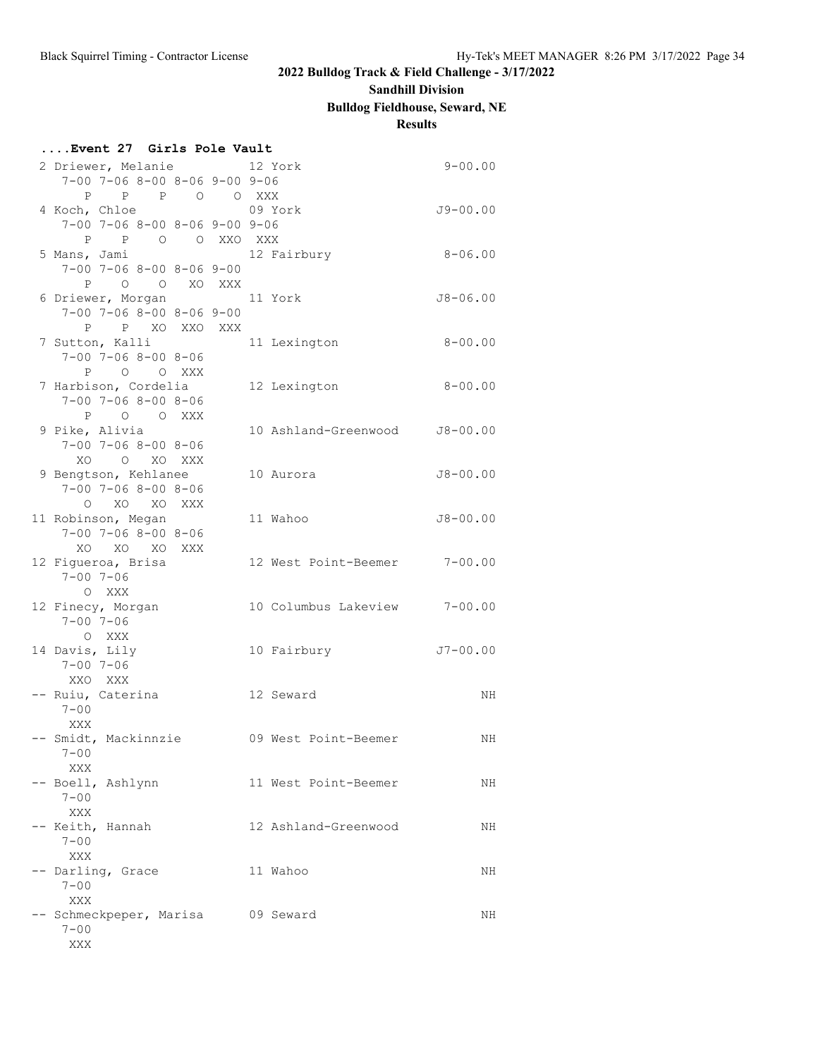### **Sandhill Division**

**Bulldog Fieldhouse, Seward, NE**

## **Results**

| 2 Driewer, Melanie 12 York<br>$9 - 00.00$<br>$7-00$ $7-06$ $8-00$ $8-06$ $9-00$ $9-06$<br>P P P O O XXX<br>4 Koch, Chloe<br>09 York<br>$J9 - 00.00$<br>$7-00$ $7-06$ $8-00$ $8-06$ $9-00$ $9-06$<br>P P O O XXO XXX<br>$8 - 06.00$<br>5 Mans, Jami<br>12 Fairbury<br>$7 - 00$ $7 - 06$ $8 - 00$ $8 - 06$ $9 - 00$<br>P O O XO XXX<br>6 Driewer, Morgan 11 York<br>$J8 - 06.00$<br>$7-00$ $7-06$ $8-00$ $8-06$ $9-00$<br>P P XO XXO XXX<br>7 Sutton, Kalli<br>11 Lexington<br>$8 - 00.00$<br>$7 - 00$ $7 - 06$ $8 - 00$ $8 - 06$<br>P O O XXX<br>7 Harbison, Cordelia<br>$8 - 00.00$<br>12 Lexington<br>$7 - 00$ $7 - 06$ $8 - 00$ $8 - 06$<br>P O O XXX<br>9 Pike, Alivia<br>10 Ashland-Greenwood J8-00.00<br>$7 - 00$ $7 - 06$ $8 - 00$ $8 - 06$<br>XO<br>O XO XXX<br>9 Bengtson, Kehlanee<br>$J8 - 00.00$<br>10 Aurora<br>$7 - 00$ $7 - 06$ $8 - 00$ $8 - 06$<br>O XO XO XXX<br>11 Robinson, Megan<br>11 Wahoo<br>$J8 - 00.00$<br>$7 - 00$ $7 - 06$ $8 - 00$ $8 - 06$<br>XO XO XO XXX<br>12 West Point-Beemer 7-00.00<br>12 Figueroa, Brisa<br>$7 - 00$ $7 - 06$<br>O XXX<br>10 Columbus Lakeview 7-00.00<br>12 Finecy, Morgan<br>$7 - 00$ $7 - 06$<br>O XXX<br>14 Davis, Lily<br>10 Fairbury<br>$J7 - 00.00$<br>$7 - 00$ $7 - 06$<br>XXO XXX<br>-- Ruiu, Caterina<br>12 Seward<br>NH<br>$7 - 00$<br>XXX<br>- Smidt, Mackinnzie<br>09 West Point-Beemer<br>ΝH<br>$7 - 00$<br>XXX<br>-- Boell, Ashlynn<br>11 West Point-Beemer<br>NH<br>$7 - 00$<br>XXX<br>-- Keith, Hannah<br>12 Ashland-Greenwood<br>NH<br>$7 - 00$<br>XXX<br>-- Darling, Grace<br>11 Wahoo<br>NH<br>$7 - 00$<br>XXX<br>-- Schmeckpeper, Marisa<br>09 Seward<br>NH<br>$7 - 00$ | Event 27 Girls Pole Vault |     |  |  |  |  |  |  |  |
|---------------------------------------------------------------------------------------------------------------------------------------------------------------------------------------------------------------------------------------------------------------------------------------------------------------------------------------------------------------------------------------------------------------------------------------------------------------------------------------------------------------------------------------------------------------------------------------------------------------------------------------------------------------------------------------------------------------------------------------------------------------------------------------------------------------------------------------------------------------------------------------------------------------------------------------------------------------------------------------------------------------------------------------------------------------------------------------------------------------------------------------------------------------------------------------------------------------------------------------------------------------------------------------------------------------------------------------------------------------------------------------------------------------------------------------------------------------------------------------------------------------------------------------------------------------------------------------------------------------------------------------------------|---------------------------|-----|--|--|--|--|--|--|--|
|                                                                                                                                                                                                                                                                                                                                                                                                                                                                                                                                                                                                                                                                                                                                                                                                                                                                                                                                                                                                                                                                                                                                                                                                                                                                                                                                                                                                                                                                                                                                                                                                                                                   |                           |     |  |  |  |  |  |  |  |
|                                                                                                                                                                                                                                                                                                                                                                                                                                                                                                                                                                                                                                                                                                                                                                                                                                                                                                                                                                                                                                                                                                                                                                                                                                                                                                                                                                                                                                                                                                                                                                                                                                                   |                           |     |  |  |  |  |  |  |  |
|                                                                                                                                                                                                                                                                                                                                                                                                                                                                                                                                                                                                                                                                                                                                                                                                                                                                                                                                                                                                                                                                                                                                                                                                                                                                                                                                                                                                                                                                                                                                                                                                                                                   |                           |     |  |  |  |  |  |  |  |
|                                                                                                                                                                                                                                                                                                                                                                                                                                                                                                                                                                                                                                                                                                                                                                                                                                                                                                                                                                                                                                                                                                                                                                                                                                                                                                                                                                                                                                                                                                                                                                                                                                                   |                           |     |  |  |  |  |  |  |  |
|                                                                                                                                                                                                                                                                                                                                                                                                                                                                                                                                                                                                                                                                                                                                                                                                                                                                                                                                                                                                                                                                                                                                                                                                                                                                                                                                                                                                                                                                                                                                                                                                                                                   |                           |     |  |  |  |  |  |  |  |
|                                                                                                                                                                                                                                                                                                                                                                                                                                                                                                                                                                                                                                                                                                                                                                                                                                                                                                                                                                                                                                                                                                                                                                                                                                                                                                                                                                                                                                                                                                                                                                                                                                                   |                           |     |  |  |  |  |  |  |  |
|                                                                                                                                                                                                                                                                                                                                                                                                                                                                                                                                                                                                                                                                                                                                                                                                                                                                                                                                                                                                                                                                                                                                                                                                                                                                                                                                                                                                                                                                                                                                                                                                                                                   |                           |     |  |  |  |  |  |  |  |
|                                                                                                                                                                                                                                                                                                                                                                                                                                                                                                                                                                                                                                                                                                                                                                                                                                                                                                                                                                                                                                                                                                                                                                                                                                                                                                                                                                                                                                                                                                                                                                                                                                                   |                           |     |  |  |  |  |  |  |  |
|                                                                                                                                                                                                                                                                                                                                                                                                                                                                                                                                                                                                                                                                                                                                                                                                                                                                                                                                                                                                                                                                                                                                                                                                                                                                                                                                                                                                                                                                                                                                                                                                                                                   |                           |     |  |  |  |  |  |  |  |
|                                                                                                                                                                                                                                                                                                                                                                                                                                                                                                                                                                                                                                                                                                                                                                                                                                                                                                                                                                                                                                                                                                                                                                                                                                                                                                                                                                                                                                                                                                                                                                                                                                                   |                           |     |  |  |  |  |  |  |  |
|                                                                                                                                                                                                                                                                                                                                                                                                                                                                                                                                                                                                                                                                                                                                                                                                                                                                                                                                                                                                                                                                                                                                                                                                                                                                                                                                                                                                                                                                                                                                                                                                                                                   |                           |     |  |  |  |  |  |  |  |
|                                                                                                                                                                                                                                                                                                                                                                                                                                                                                                                                                                                                                                                                                                                                                                                                                                                                                                                                                                                                                                                                                                                                                                                                                                                                                                                                                                                                                                                                                                                                                                                                                                                   |                           |     |  |  |  |  |  |  |  |
|                                                                                                                                                                                                                                                                                                                                                                                                                                                                                                                                                                                                                                                                                                                                                                                                                                                                                                                                                                                                                                                                                                                                                                                                                                                                                                                                                                                                                                                                                                                                                                                                                                                   |                           |     |  |  |  |  |  |  |  |
|                                                                                                                                                                                                                                                                                                                                                                                                                                                                                                                                                                                                                                                                                                                                                                                                                                                                                                                                                                                                                                                                                                                                                                                                                                                                                                                                                                                                                                                                                                                                                                                                                                                   |                           |     |  |  |  |  |  |  |  |
|                                                                                                                                                                                                                                                                                                                                                                                                                                                                                                                                                                                                                                                                                                                                                                                                                                                                                                                                                                                                                                                                                                                                                                                                                                                                                                                                                                                                                                                                                                                                                                                                                                                   |                           |     |  |  |  |  |  |  |  |
|                                                                                                                                                                                                                                                                                                                                                                                                                                                                                                                                                                                                                                                                                                                                                                                                                                                                                                                                                                                                                                                                                                                                                                                                                                                                                                                                                                                                                                                                                                                                                                                                                                                   |                           |     |  |  |  |  |  |  |  |
|                                                                                                                                                                                                                                                                                                                                                                                                                                                                                                                                                                                                                                                                                                                                                                                                                                                                                                                                                                                                                                                                                                                                                                                                                                                                                                                                                                                                                                                                                                                                                                                                                                                   |                           |     |  |  |  |  |  |  |  |
|                                                                                                                                                                                                                                                                                                                                                                                                                                                                                                                                                                                                                                                                                                                                                                                                                                                                                                                                                                                                                                                                                                                                                                                                                                                                                                                                                                                                                                                                                                                                                                                                                                                   |                           |     |  |  |  |  |  |  |  |
|                                                                                                                                                                                                                                                                                                                                                                                                                                                                                                                                                                                                                                                                                                                                                                                                                                                                                                                                                                                                                                                                                                                                                                                                                                                                                                                                                                                                                                                                                                                                                                                                                                                   |                           |     |  |  |  |  |  |  |  |
|                                                                                                                                                                                                                                                                                                                                                                                                                                                                                                                                                                                                                                                                                                                                                                                                                                                                                                                                                                                                                                                                                                                                                                                                                                                                                                                                                                                                                                                                                                                                                                                                                                                   |                           |     |  |  |  |  |  |  |  |
|                                                                                                                                                                                                                                                                                                                                                                                                                                                                                                                                                                                                                                                                                                                                                                                                                                                                                                                                                                                                                                                                                                                                                                                                                                                                                                                                                                                                                                                                                                                                                                                                                                                   |                           |     |  |  |  |  |  |  |  |
|                                                                                                                                                                                                                                                                                                                                                                                                                                                                                                                                                                                                                                                                                                                                                                                                                                                                                                                                                                                                                                                                                                                                                                                                                                                                                                                                                                                                                                                                                                                                                                                                                                                   |                           |     |  |  |  |  |  |  |  |
|                                                                                                                                                                                                                                                                                                                                                                                                                                                                                                                                                                                                                                                                                                                                                                                                                                                                                                                                                                                                                                                                                                                                                                                                                                                                                                                                                                                                                                                                                                                                                                                                                                                   |                           |     |  |  |  |  |  |  |  |
|                                                                                                                                                                                                                                                                                                                                                                                                                                                                                                                                                                                                                                                                                                                                                                                                                                                                                                                                                                                                                                                                                                                                                                                                                                                                                                                                                                                                                                                                                                                                                                                                                                                   |                           |     |  |  |  |  |  |  |  |
|                                                                                                                                                                                                                                                                                                                                                                                                                                                                                                                                                                                                                                                                                                                                                                                                                                                                                                                                                                                                                                                                                                                                                                                                                                                                                                                                                                                                                                                                                                                                                                                                                                                   |                           |     |  |  |  |  |  |  |  |
|                                                                                                                                                                                                                                                                                                                                                                                                                                                                                                                                                                                                                                                                                                                                                                                                                                                                                                                                                                                                                                                                                                                                                                                                                                                                                                                                                                                                                                                                                                                                                                                                                                                   |                           |     |  |  |  |  |  |  |  |
|                                                                                                                                                                                                                                                                                                                                                                                                                                                                                                                                                                                                                                                                                                                                                                                                                                                                                                                                                                                                                                                                                                                                                                                                                                                                                                                                                                                                                                                                                                                                                                                                                                                   |                           |     |  |  |  |  |  |  |  |
|                                                                                                                                                                                                                                                                                                                                                                                                                                                                                                                                                                                                                                                                                                                                                                                                                                                                                                                                                                                                                                                                                                                                                                                                                                                                                                                                                                                                                                                                                                                                                                                                                                                   |                           |     |  |  |  |  |  |  |  |
|                                                                                                                                                                                                                                                                                                                                                                                                                                                                                                                                                                                                                                                                                                                                                                                                                                                                                                                                                                                                                                                                                                                                                                                                                                                                                                                                                                                                                                                                                                                                                                                                                                                   |                           |     |  |  |  |  |  |  |  |
|                                                                                                                                                                                                                                                                                                                                                                                                                                                                                                                                                                                                                                                                                                                                                                                                                                                                                                                                                                                                                                                                                                                                                                                                                                                                                                                                                                                                                                                                                                                                                                                                                                                   |                           |     |  |  |  |  |  |  |  |
|                                                                                                                                                                                                                                                                                                                                                                                                                                                                                                                                                                                                                                                                                                                                                                                                                                                                                                                                                                                                                                                                                                                                                                                                                                                                                                                                                                                                                                                                                                                                                                                                                                                   |                           |     |  |  |  |  |  |  |  |
|                                                                                                                                                                                                                                                                                                                                                                                                                                                                                                                                                                                                                                                                                                                                                                                                                                                                                                                                                                                                                                                                                                                                                                                                                                                                                                                                                                                                                                                                                                                                                                                                                                                   |                           |     |  |  |  |  |  |  |  |
|                                                                                                                                                                                                                                                                                                                                                                                                                                                                                                                                                                                                                                                                                                                                                                                                                                                                                                                                                                                                                                                                                                                                                                                                                                                                                                                                                                                                                                                                                                                                                                                                                                                   |                           |     |  |  |  |  |  |  |  |
|                                                                                                                                                                                                                                                                                                                                                                                                                                                                                                                                                                                                                                                                                                                                                                                                                                                                                                                                                                                                                                                                                                                                                                                                                                                                                                                                                                                                                                                                                                                                                                                                                                                   |                           |     |  |  |  |  |  |  |  |
|                                                                                                                                                                                                                                                                                                                                                                                                                                                                                                                                                                                                                                                                                                                                                                                                                                                                                                                                                                                                                                                                                                                                                                                                                                                                                                                                                                                                                                                                                                                                                                                                                                                   |                           |     |  |  |  |  |  |  |  |
|                                                                                                                                                                                                                                                                                                                                                                                                                                                                                                                                                                                                                                                                                                                                                                                                                                                                                                                                                                                                                                                                                                                                                                                                                                                                                                                                                                                                                                                                                                                                                                                                                                                   |                           |     |  |  |  |  |  |  |  |
|                                                                                                                                                                                                                                                                                                                                                                                                                                                                                                                                                                                                                                                                                                                                                                                                                                                                                                                                                                                                                                                                                                                                                                                                                                                                                                                                                                                                                                                                                                                                                                                                                                                   |                           |     |  |  |  |  |  |  |  |
|                                                                                                                                                                                                                                                                                                                                                                                                                                                                                                                                                                                                                                                                                                                                                                                                                                                                                                                                                                                                                                                                                                                                                                                                                                                                                                                                                                                                                                                                                                                                                                                                                                                   |                           |     |  |  |  |  |  |  |  |
|                                                                                                                                                                                                                                                                                                                                                                                                                                                                                                                                                                                                                                                                                                                                                                                                                                                                                                                                                                                                                                                                                                                                                                                                                                                                                                                                                                                                                                                                                                                                                                                                                                                   |                           |     |  |  |  |  |  |  |  |
|                                                                                                                                                                                                                                                                                                                                                                                                                                                                                                                                                                                                                                                                                                                                                                                                                                                                                                                                                                                                                                                                                                                                                                                                                                                                                                                                                                                                                                                                                                                                                                                                                                                   |                           |     |  |  |  |  |  |  |  |
|                                                                                                                                                                                                                                                                                                                                                                                                                                                                                                                                                                                                                                                                                                                                                                                                                                                                                                                                                                                                                                                                                                                                                                                                                                                                                                                                                                                                                                                                                                                                                                                                                                                   |                           |     |  |  |  |  |  |  |  |
|                                                                                                                                                                                                                                                                                                                                                                                                                                                                                                                                                                                                                                                                                                                                                                                                                                                                                                                                                                                                                                                                                                                                                                                                                                                                                                                                                                                                                                                                                                                                                                                                                                                   |                           |     |  |  |  |  |  |  |  |
|                                                                                                                                                                                                                                                                                                                                                                                                                                                                                                                                                                                                                                                                                                                                                                                                                                                                                                                                                                                                                                                                                                                                                                                                                                                                                                                                                                                                                                                                                                                                                                                                                                                   |                           |     |  |  |  |  |  |  |  |
|                                                                                                                                                                                                                                                                                                                                                                                                                                                                                                                                                                                                                                                                                                                                                                                                                                                                                                                                                                                                                                                                                                                                                                                                                                                                                                                                                                                                                                                                                                                                                                                                                                                   |                           |     |  |  |  |  |  |  |  |
|                                                                                                                                                                                                                                                                                                                                                                                                                                                                                                                                                                                                                                                                                                                                                                                                                                                                                                                                                                                                                                                                                                                                                                                                                                                                                                                                                                                                                                                                                                                                                                                                                                                   |                           |     |  |  |  |  |  |  |  |
|                                                                                                                                                                                                                                                                                                                                                                                                                                                                                                                                                                                                                                                                                                                                                                                                                                                                                                                                                                                                                                                                                                                                                                                                                                                                                                                                                                                                                                                                                                                                                                                                                                                   |                           |     |  |  |  |  |  |  |  |
|                                                                                                                                                                                                                                                                                                                                                                                                                                                                                                                                                                                                                                                                                                                                                                                                                                                                                                                                                                                                                                                                                                                                                                                                                                                                                                                                                                                                                                                                                                                                                                                                                                                   |                           |     |  |  |  |  |  |  |  |
|                                                                                                                                                                                                                                                                                                                                                                                                                                                                                                                                                                                                                                                                                                                                                                                                                                                                                                                                                                                                                                                                                                                                                                                                                                                                                                                                                                                                                                                                                                                                                                                                                                                   |                           |     |  |  |  |  |  |  |  |
|                                                                                                                                                                                                                                                                                                                                                                                                                                                                                                                                                                                                                                                                                                                                                                                                                                                                                                                                                                                                                                                                                                                                                                                                                                                                                                                                                                                                                                                                                                                                                                                                                                                   |                           |     |  |  |  |  |  |  |  |
|                                                                                                                                                                                                                                                                                                                                                                                                                                                                                                                                                                                                                                                                                                                                                                                                                                                                                                                                                                                                                                                                                                                                                                                                                                                                                                                                                                                                                                                                                                                                                                                                                                                   |                           |     |  |  |  |  |  |  |  |
|                                                                                                                                                                                                                                                                                                                                                                                                                                                                                                                                                                                                                                                                                                                                                                                                                                                                                                                                                                                                                                                                                                                                                                                                                                                                                                                                                                                                                                                                                                                                                                                                                                                   |                           | XXX |  |  |  |  |  |  |  |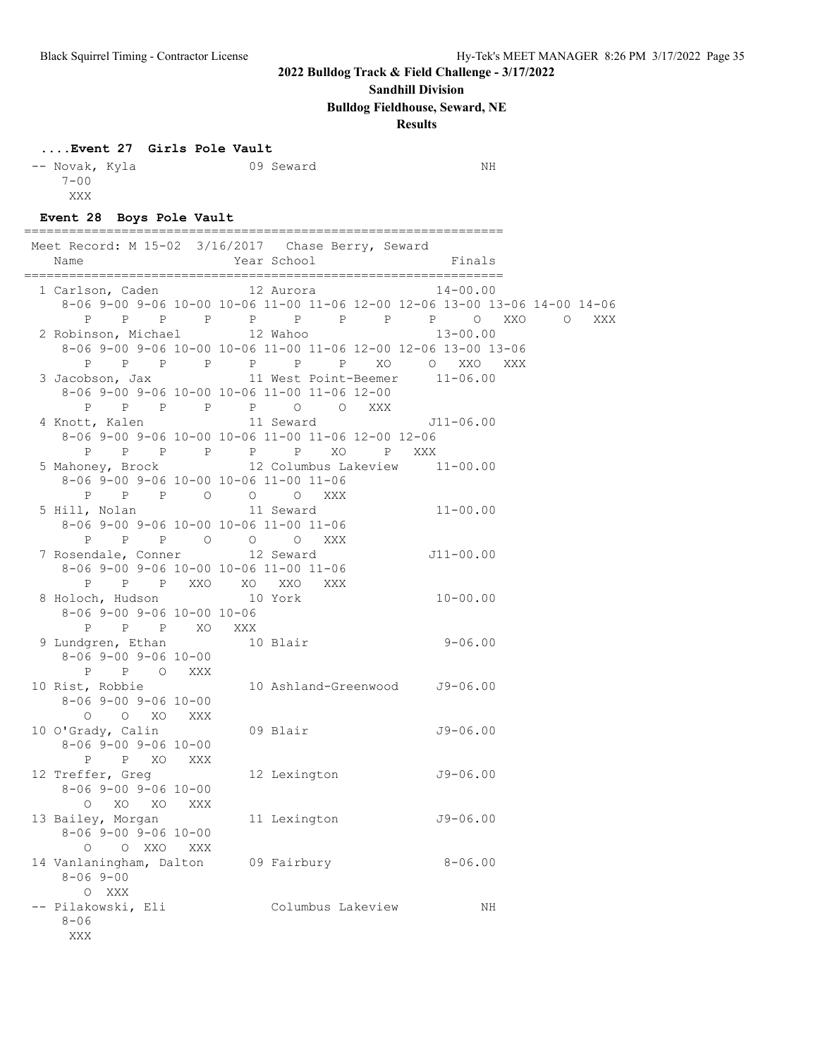### **Sandhill Division**

**Bulldog Fieldhouse, Seward, NE**

### **Results**

### **....Event 27 Girls Pole Vault**

| -- Novak, Kyla |  | 09 Seward | ΝH |
|----------------|--|-----------|----|
| $7 - 00$       |  |           |    |
| XXX            |  |           |    |
|                |  |           |    |

================================================================

### **Event 28 Boys Pole Vault**

|  |                                                  | Meet Record: M 15-02 3/16/2017 Chase Berry, Seward                         |  |
|--|--------------------------------------------------|----------------------------------------------------------------------------|--|
|  | Name                                             | Year School<br><b>Example 1</b> Finals                                     |  |
|  |                                                  | 1 Carlson, Caden 12 Aurora 14-00.00                                        |  |
|  |                                                  | 8-06 9-00 9-06 10-00 10-06 11-00 11-06 12-00 12-06 13-00 13-06 14-00 14-06 |  |
|  |                                                  | P P P P P P P P P P O XXO O XXX                                            |  |
|  |                                                  | 2 Robinson, Michael 12 Wahoo 13-00.00                                      |  |
|  |                                                  | 8-06 9-00 9-06 10-00 10-06 11-00 11-06 12-00 12-06 13-00 13-06             |  |
|  |                                                  | P P P P P P P P XO O XXO XXX                                               |  |
|  |                                                  | 3 Jacobson, Jax 11 West Point-Beemer 11-06.00                              |  |
|  |                                                  | 8-06 9-00 9-06 10-00 10-06 11-00 11-06 12-00                               |  |
|  |                                                  | P P P P P P O O XXX                                                        |  |
|  |                                                  | 4 Knott, Kalen 11 Seward 511-06.00                                         |  |
|  |                                                  | 8-06 9-00 9-06 10-00 10-06 11-00 11-06 12-00 12-06                         |  |
|  |                                                  | P P P P P P XO P XXX                                                       |  |
|  |                                                  | 5 Mahoney, Brock 12 Columbus Lakeview 11-00.00                             |  |
|  | 8-06 9-00 9-06 10-00 10-06 11-00 11-06           |                                                                            |  |
|  |                                                  | P P P O O O XXX                                                            |  |
|  | 5 Hill, Nolan 11 Seward                          | $11 - 00.00$                                                               |  |
|  | 8-06 9-00 9-06 10-00 10-06 11-00 11-06           |                                                                            |  |
|  | P P P O O O XXX<br>7 Rosendale, Conner 12 Seward |                                                                            |  |
|  |                                                  | $J11 - 00.00$                                                              |  |
|  | 8-06 9-00 9-06 10-00 10-06 11-00 11-06           |                                                                            |  |
|  |                                                  | P P P XXO XO XXO XXX                                                       |  |
|  | 8 Holoch, Hudson 10 York                         | $10 - 00.00$                                                               |  |
|  | 8-06 9-00 9-06 10-00 10-06                       |                                                                            |  |
|  | P P P XO XXX                                     |                                                                            |  |
|  |                                                  | 9 Lundgren, Ethan 10 Blair 9-06.00                                         |  |
|  | 8-06 9-00 9-06 10-00                             |                                                                            |  |
|  | P P O XXX                                        |                                                                            |  |
|  | 10 Rist, Robbie                                  | 10 Ashland-Greenwood J9-06.00                                              |  |
|  | 8-06 9-00 9-06 10-00                             |                                                                            |  |
|  | O O XO XXX                                       | $J9 - 06.00$                                                               |  |
|  | 10 O'Grady, Calin<br>8-06 9-00 9-06 10-00        | 09 Blair                                                                   |  |
|  | P P XO XXX                                       |                                                                            |  |
|  | 12 Treffer, Greg                                 | 12 Lexington J9-06.00                                                      |  |
|  | 8-06 9-00 9-06 10-00                             |                                                                            |  |
|  | O XO XO XXX                                      |                                                                            |  |
|  | 13 Bailey, Morgan                                | 11 Lexington 59-06.00                                                      |  |
|  | 8-06 9-00 9-06 10-00                             |                                                                            |  |
|  | O O XXO XXX                                      |                                                                            |  |
|  | 14 Vanlaningham, Dalton                          | 09 Fairbury<br>$8 - 06.00$                                                 |  |
|  | $8 - 069 - 00$                                   |                                                                            |  |
|  | O XXX                                            |                                                                            |  |
|  | -- Pilakowski, Eli                               | Columbus Lakeview<br>NH                                                    |  |
|  | $8 - 06$                                         |                                                                            |  |
|  | XXX                                              |                                                                            |  |
|  |                                                  |                                                                            |  |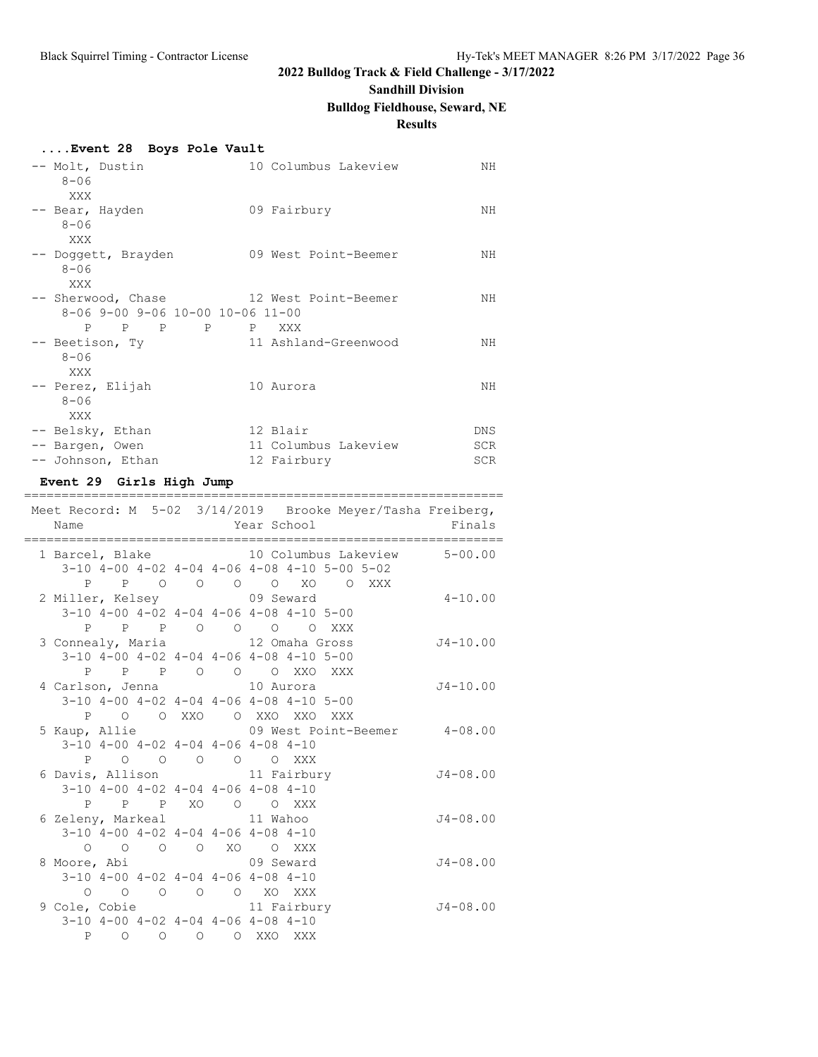# **Sandhill Division**

## **Bulldog Fieldhouse, Seward, NE**

## **Results**

### **....Event 28 Boys Pole Vault**

| -- Molt, Dustin<br>$8 - 06$                                                        | 10 Columbus Lakeview             | NH                 |
|------------------------------------------------------------------------------------|----------------------------------|--------------------|
| XXX<br>-- Bear, Hayden<br>$8 - 06$                                                 | 09 Fairbury                      | NΗ                 |
| XXX<br>-- Doggett, Brayden<br>$8 - 06$                                             | 09 West Point-Beemer             | NΗ                 |
| XXX<br>-- Sherwood, Chase 12 West Point-Beemer<br>8-06 9-00 9-06 10-00 10-06 11-00 |                                  | NH                 |
| P<br>P P P P XXX<br>-- Beetison, Ty<br>$8 - 06$                                    | 11 Ashland-Greenwood             | NH                 |
| XXX<br>-- Perez, Elijah<br>$8 - 06$                                                | 10 Aurora                        | NH                 |
| XXX<br>-- Belsky, Ethan<br>-- Bargen, Owen                                         | 12 Blair<br>11 Columbus Lakeview | DNS.<br><b>SCR</b> |
| -- Johnson, Ethan                                                                  | 12 Fairbury                      | <b>SCR</b>         |

### **Event 29 Girls High Jump**

| Name<br>.=============================== |  | <u>======</u> |                                                  |                                                         | Year School The Management of the Management of the Management of the Management of the Management of the Management of the Management of the Management of the Management of the Management of the Management of the Manageme<br>------------------------- | Meet Record: M 5-02 3/14/2019 Brooke Meyer/Tasha Freiberg,<br>Finals |
|------------------------------------------|--|---------------|--------------------------------------------------|---------------------------------------------------------|-------------------------------------------------------------------------------------------------------------------------------------------------------------------------------------------------------------------------------------------------------------|----------------------------------------------------------------------|
|                                          |  |               |                                                  |                                                         |                                                                                                                                                                                                                                                             | 1 Barcel, Blake 10 Columbus Lakeview 5-00.00                         |
|                                          |  |               |                                                  | 3-10 4-00 4-02 4-04 4-06 4-08 4-10 5-00 5-02            |                                                                                                                                                                                                                                                             |                                                                      |
|                                          |  |               |                                                  | P P O O O O XO O XXX                                    |                                                                                                                                                                                                                                                             |                                                                      |
| 2 Miller, Kelsey 69 Seward               |  |               |                                                  |                                                         |                                                                                                                                                                                                                                                             | $4 - 10.00$                                                          |
|                                          |  |               |                                                  | $3-10$ $4-00$ $4-02$ $4-04$ $4-06$ $4-08$ $4-10$ $5-00$ |                                                                                                                                                                                                                                                             |                                                                      |
|                                          |  |               |                                                  | P P P O O O O XXX                                       |                                                                                                                                                                                                                                                             |                                                                      |
| 3 Connealy, Maria 12 Omaha Gross         |  |               |                                                  |                                                         |                                                                                                                                                                                                                                                             | $J4-10.00$                                                           |
|                                          |  |               |                                                  | 3-10 4-00 4-02 4-04 4-06 4-08 4-10 5-00                 |                                                                                                                                                                                                                                                             |                                                                      |
|                                          |  |               |                                                  | P P P O O O XXO XXX                                     |                                                                                                                                                                                                                                                             |                                                                      |
|                                          |  |               |                                                  |                                                         |                                                                                                                                                                                                                                                             | $J4 - 10.00$                                                         |
|                                          |  |               |                                                  | $3-10$ 4-00 4-02 4-04 4-06 4-08 4-10 5-00               |                                                                                                                                                                                                                                                             |                                                                      |
|                                          |  |               |                                                  | P O O XXO O XXO XXO XXX                                 |                                                                                                                                                                                                                                                             |                                                                      |
|                                          |  |               |                                                  |                                                         |                                                                                                                                                                                                                                                             | 5 Kaup, Allie 69 West Point-Beemer 4-08.00                           |
|                                          |  |               | $3-10$ 4-00 4-02 4-04 4-06 4-08 4-10             |                                                         |                                                                                                                                                                                                                                                             |                                                                      |
|                                          |  |               | P O O O O O XXX                                  |                                                         |                                                                                                                                                                                                                                                             |                                                                      |
| 6 Davis, Allison 11 Fairbury             |  |               |                                                  |                                                         |                                                                                                                                                                                                                                                             | $J4 - 08.00$                                                         |
|                                          |  |               | $3-10$ $4-00$ $4-02$ $4-04$ $4-06$ $4-08$ $4-10$ |                                                         |                                                                                                                                                                                                                                                             |                                                                      |
|                                          |  |               | P P P XO O O XXX                                 |                                                         |                                                                                                                                                                                                                                                             |                                                                      |
| 6 Zeleny, Markeal 11 Wahoo               |  |               |                                                  |                                                         |                                                                                                                                                                                                                                                             | $J4 - 08.00$                                                         |
|                                          |  |               | $3-10$ $4-00$ $4-02$ $4-04$ $4-06$ $4-08$ $4-10$ |                                                         |                                                                                                                                                                                                                                                             |                                                                      |
|                                          |  |               | 0 0 0 0 XO 0 XXX                                 |                                                         |                                                                                                                                                                                                                                                             |                                                                      |
|                                          |  |               |                                                  |                                                         |                                                                                                                                                                                                                                                             | $J4 - 08.00$                                                         |
|                                          |  |               | $3-10$ $4-00$ $4-02$ $4-04$ $4-06$ $4-08$ $4-10$ |                                                         |                                                                                                                                                                                                                                                             |                                                                      |
|                                          |  |               | 0 0 0 0 0 XO XXX                                 |                                                         |                                                                                                                                                                                                                                                             |                                                                      |
| 9 Cole, Cobie 11 Fairbury                |  |               |                                                  |                                                         |                                                                                                                                                                                                                                                             | $J4 - 08.00$                                                         |
|                                          |  |               | $3-10$ 4-00 4-02 4-04 4-06 4-08 4-10             |                                                         |                                                                                                                                                                                                                                                             |                                                                      |
|                                          |  |               | P O O O O XXO XXX                                |                                                         |                                                                                                                                                                                                                                                             |                                                                      |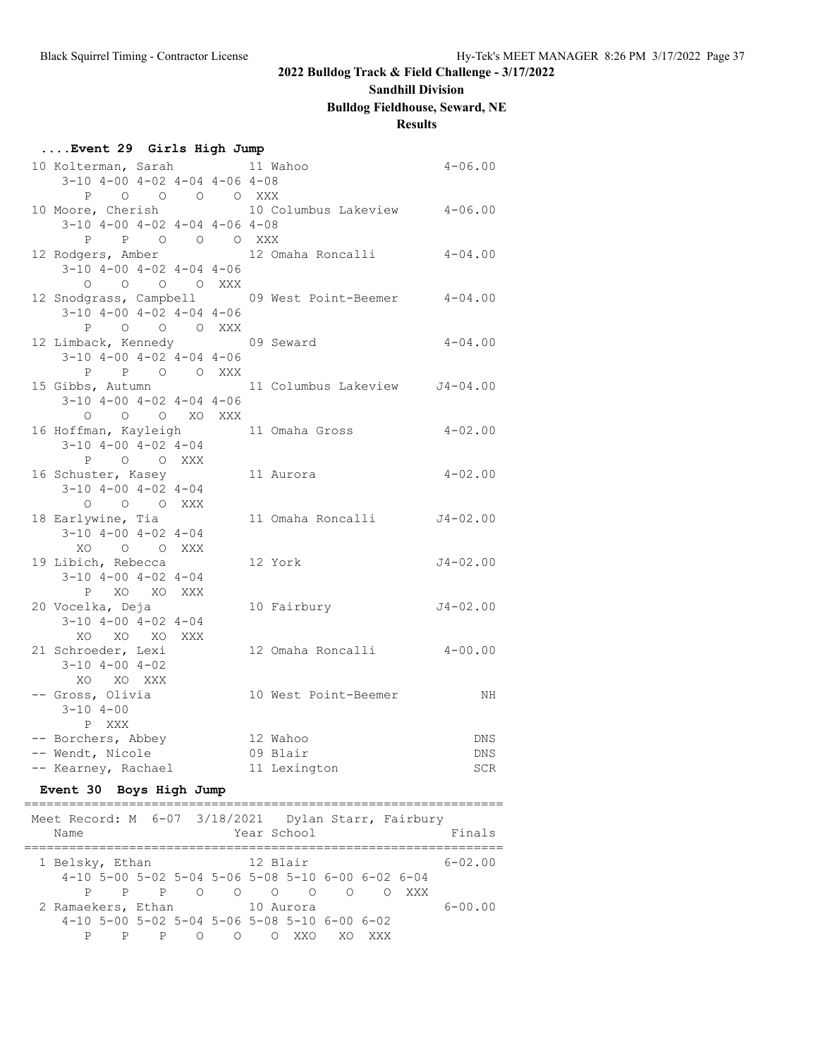### **Sandhill Division**

## **Bulldog Fieldhouse, Seward, NE**

## **Results**

| Event 29 Girls High Jump                            |                               |              |
|-----------------------------------------------------|-------------------------------|--------------|
| 10 Kolterman, Sarah 11 Wahoo                        |                               | $4 - 06.00$  |
| $3-10$ $4-00$ $4-02$ $4-04$ $4-06$ $4-08$           |                               |              |
| P 0 0 0 0 XXX                                       |                               |              |
| 10 Moore, Cherish 10 Columbus Lakeview 4-06.00      |                               |              |
| $3-10$ $4-00$ $4-02$ $4-04$ $4-06$ $4-08$           |                               |              |
| P P O O O XXX                                       |                               |              |
| 12 Rodgers, Amber                                   | 12 Omaha Roncalli 4-04.00     |              |
| $3-10$ $4-00$ $4-02$ $4-04$ $4-06$                  |                               |              |
| 0 0 0 0 XXX                                         |                               |              |
| 12 Snodgrass, Campbell 09 West Point-Beemer 4-04.00 |                               |              |
| $3-10$ $4-00$ $4-02$ $4-04$ $4-06$                  |                               |              |
| O O O XXX<br>$\mathbf{P}$                           |                               |              |
| 12 Limback, Kennedy 69 Seward                       |                               | $4 - 04.00$  |
| $3-10$ $4-00$ $4-02$ $4-04$ $4-06$                  |                               |              |
| P P O O XXX                                         |                               |              |
| 15 Gibbs, Autumn                                    | 11 Columbus Lakeview J4-04.00 |              |
| $3-10$ $4-00$ $4-02$ $4-04$ $4-06$                  |                               |              |
| O O XO XXX<br>$\Omega$                              |                               |              |
| 16 Hoffman, Kayleigh 11 Omaha Gross 4-02.00         |                               |              |
| $3-10$ $4-00$ $4-02$ $4-04$                         |                               |              |
| P O O XXX                                           |                               |              |
| 16 Schuster, Kasey                                  | 11 Aurora                     | $4 - 02.00$  |
| $3-10$ $4-00$ $4-02$ $4-04$                         |                               |              |
| O O O XXX                                           |                               |              |
| 18 Earlywine, Tia                                   | 11 Omaha Roncalli J4-02.00    |              |
| $3-10$ $4-00$ $4-02$ $4-04$                         |                               |              |
| XO O O XXX                                          |                               |              |
| 19 Libich, Rebecca                                  | 12 York                       | $J4 - 02.00$ |
| $3-10$ $4-00$ $4-02$ $4-04$                         |                               |              |
| P XO XO XXX                                         |                               |              |
| 20 Vocelka, Deja                                    | 10 Fairbury                   | $J4 - 02.00$ |
| $3-10$ $4-00$ $4-02$ $4-04$                         |                               |              |
| XO XO XO XXX                                        |                               |              |
| 21 Schroeder, Lexi                                  | 12 Omaha Roncalli 4-00.00     |              |
| $3 - 10$ $4 - 00$ $4 - 02$                          |                               |              |
| XO XO XXX                                           |                               |              |
| -- Gross, Olivia                                    | 10 West Point-Beemer          | ΝH           |
| $3 - 10$ $4 - 00$                                   |                               |              |
| P XXX                                               |                               |              |
| -- Borchers, Abbey                                  | 12 Wahoo                      | <b>DNS</b>   |
| -- Wendt, Nicole                                    | 09 Blair                      | <b>DNS</b>   |
| -- Kearney, Rachael                                 | 11 Lexington                  | SCR          |

## **Event 30 Boys High Jump**

| Meet Record: M 6-07 3/18/2021  Dylan Starr, Fairbury<br>Name |   |   |        |            | Year School |                                                     |     |     |     | Finals      |
|--------------------------------------------------------------|---|---|--------|------------|-------------|-----------------------------------------------------|-----|-----|-----|-------------|
| 1 Belsky, Ethan                                              |   |   |        |            | 12 Blair    |                                                     |     |     |     | $6 - 02.00$ |
|                                                              |   |   |        |            |             | $4-10$ 5-00 5-02 5-04 5-06 5-08 5-10 6-00 6-02 6-04 |     |     |     |             |
|                                                              |   |   |        |            |             | P P P O O O O O O                                   |     |     | XXX |             |
| 2 Ramaekers, Ethan                                           |   |   |        |            | 10 Aurora   |                                                     |     |     |     | $6 - 00.00$ |
|                                                              |   |   |        |            |             | $4-10$ 5-00 5-02 5-04 5-06 5-08 5-10 6-00 6-02      |     |     |     |             |
| P                                                            | P | P | $\cap$ | $\bigcirc$ |             | XXV                                                 | XO. | XXX |     |             |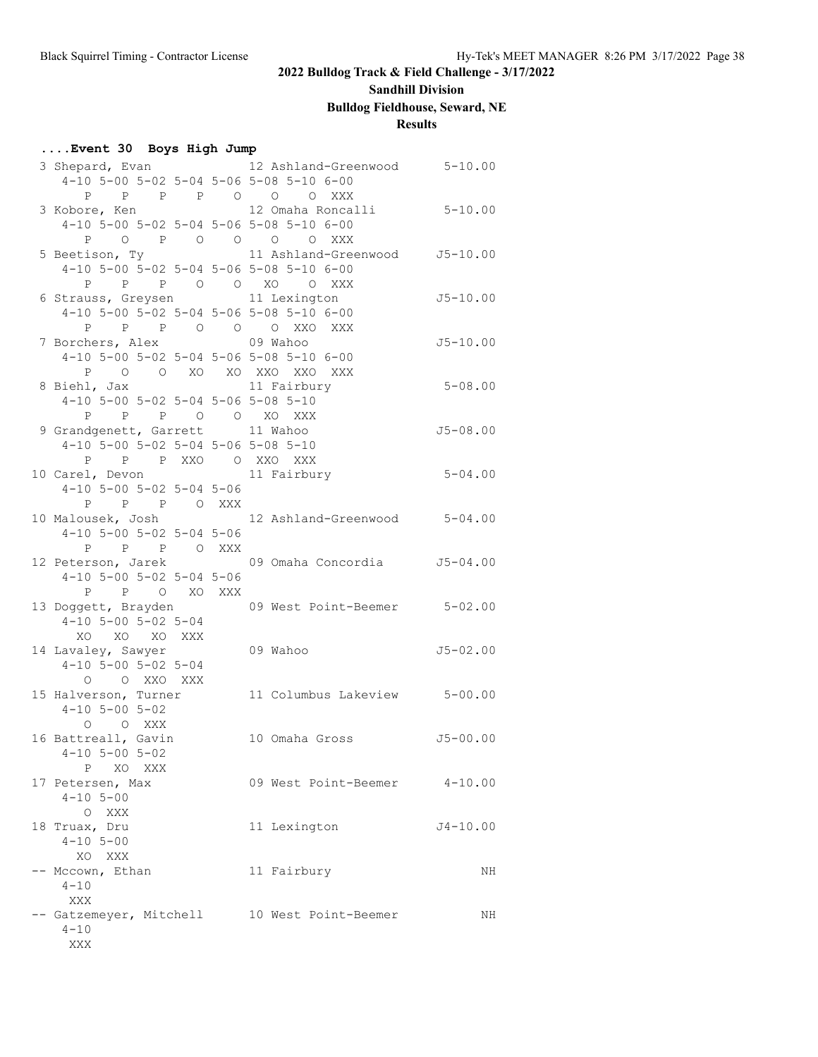# **Sandhill Division**

## **Bulldog Fieldhouse, Seward, NE**

## **Results**

### **....Event 30 Boys High Jump**

|                                              | 3 Shepard, Evan 12 Ashland-Greenwood 5-10.00     |              |
|----------------------------------------------|--------------------------------------------------|--------------|
| 4-10 5-00 5-02 5-04 5-06 5-08 5-10 6-00      |                                                  |              |
| P P P O O O XXX<br>P                         |                                                  |              |
| 3 Kobore, Ken 12 Omaha Roncalli              |                                                  | $5 - 10.00$  |
| 4-10 5-00 5-02 5-04 5-06 5-08 5-10 6-00      |                                                  |              |
| $\mathbf{P}$<br>O P O O O O XXX              |                                                  |              |
| 5 Beetison, Ty                               | 11 Ashland-Greenwood J5-10.00                    |              |
| 4-10 5-00 5-02 5-04 5-06 5-08 5-10 6-00      |                                                  |              |
| P P O O XO O XXX<br>P                        |                                                  |              |
| 6 Strauss, Greysen 11 Lexington              |                                                  | $J5 - 10.00$ |
| 4-10 5-00 5-02 5-04 5-06 5-08 5-10 6-00      |                                                  |              |
| P P P O O O XXO XXX                          |                                                  |              |
| 7 Borchers, Alex                             | 09 Wahoo                                         | $J5 - 10.00$ |
| 4-10 5-00 5-02 5-04 5-06 5-08 5-10 6-00      |                                                  |              |
| O O XO XO XXO XXO XXX<br>P                   |                                                  |              |
| 8 Biehl, Jax                                 | 11 Fairbury                                      | $5 - 08.00$  |
| 4-10 5-00 5-02 5-04 5-06 5-08 5-10           |                                                  |              |
| P P P O O XO XXX                             |                                                  |              |
| 9 Grandgenett, Garrett 11 Wahoo              |                                                  | $J5 - 08.00$ |
| 4-10 5-00 5-02 5-04 5-06 5-08 5-10           |                                                  |              |
| P P P XXO O XXO XXX                          |                                                  |              |
| 10 Carel, Devon                              | 11 Fairbury                                      | $5 - 04.00$  |
| $4-10$ 5-00 5-02 5-04 5-06                   |                                                  |              |
| P P P O XXX                                  |                                                  |              |
| 10 Malousek, Josh                            | 12 Ashland-Greenwood 5-04.00                     |              |
| $4-10$ 5-00 5-02 5-04 5-06                   |                                                  |              |
| P<br>P P OXXX                                |                                                  |              |
|                                              | 12 Peterson, Jarek 69 Omaha Concordia 55-04.00   |              |
| $4-10$ 5-00 5-02 5-04 5-06                   |                                                  |              |
| P P O XO XXX                                 |                                                  |              |
|                                              | 13 Doggett, Brayden 69 West Point-Beemer 5-02.00 |              |
| $4-10$ 5-00 5-02 5-04                        |                                                  |              |
| XO XO XO XXX                                 |                                                  |              |
| 14 Lavaley, Sawyer                           | 09 Wahoo                                         | $J5 - 02.00$ |
| $4-10$ 5-00 5-02 5-04                        |                                                  |              |
| O O XXO XXX                                  |                                                  |              |
| 15 Halverson, Turner                         | 11 Columbus Lakeview 5-00.00                     |              |
| $4 - 10$ 5 - 00 5 - 02                       |                                                  |              |
| O XXX<br>$\circ$                             |                                                  |              |
| 16 Battreall, Gavin                          | 10 Omaha Gross                                   | $J5 - 00.00$ |
| $4-10$ 5-00 5-02                             |                                                  |              |
| XO XXX<br>P                                  |                                                  |              |
| 17 Petersen, Max<br>$4 - 10$ $5 - 00$        | 09 West Point-Beemer 4-10.00                     |              |
| $\circ$<br>XXX                               |                                                  |              |
| 18 Truax, Dru                                | 11 Lexington                                     | $J4 - 10.00$ |
| $4 - 10$ 5-00                                |                                                  |              |
| XO XXX                                       |                                                  |              |
| -- Mccown, Ethan                             | 11 Fairbury                                      | NH           |
| $4 - 10$                                     |                                                  |              |
| XXX                                          |                                                  |              |
| -- Gatzemeyer, Mitchell 10 West Point-Beemer |                                                  | NH           |
| $4 - 10$                                     |                                                  |              |
| XXX                                          |                                                  |              |